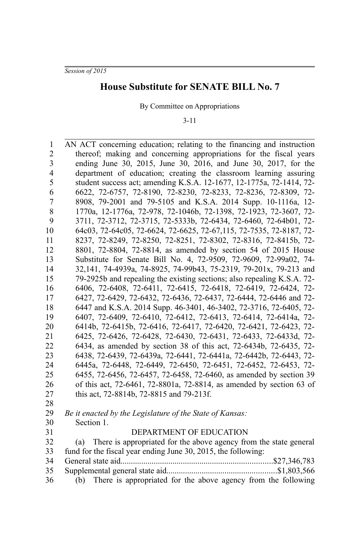*Session of 2015*

36

## **House Substitute for SENATE BILL No. 7**

By Committee on Appropriations

3-11

AN ACT concerning education; relating to the financing and instruction thereof; making and concerning appropriations for the fiscal years ending June 30, 2015, June 30, 2016, and June 30, 2017, for the department of education; creating the classroom learning assuring student success act; amending K.S.A. 12-1677, 12-1775a, 72-1414, 72- 6622, 72-6757, 72-8190, 72-8230, 72-8233, 72-8236, 72-8309, 72- 8908, 79-2001 and 79-5105 and K.S.A. 2014 Supp. 10-1116a, 12- 1770a, 12-1776a, 72-978, 72-1046b, 72-1398, 72-1923, 72-3607, 72- 3711, 72-3712, 72-3715, 72-5333b, 72-6434, 72-6460, 72-64b01, 72- 64c03, 72-64c05, 72-6624, 72-6625, 72-67,115, 72-7535, 72-8187, 72- 8237, 72-8249, 72-8250, 72-8251, 72-8302, 72-8316, 72-8415b, 72- 8801, 72-8804, 72-8814, as amended by section 54 of 2015 House Substitute for Senate Bill No. 4, 72-9509, 72-9609, 72-99a02, 74- 32,141, 74-4939a, 74-8925, 74-99b43, 75-2319, 79-201x, 79-213 and 79-2925b and repealing the existing sections; also repealing K.S.A. 72- 6406, 72-6408, 72-6411, 72-6415, 72-6418, 72-6419, 72-6424, 72- 6427, 72-6429, 72-6432, 72-6436, 72-6437, 72-6444, 72-6446 and 72- 6447 and K.S.A. 2014 Supp. 46-3401, 46-3402, 72-3716, 72-6405, 72- 6407, 72-6409, 72-6410, 72-6412, 72-6413, 72-6414, 72-6414a, 72- 6414b, 72-6415b, 72-6416, 72-6417, 72-6420, 72-6421, 72-6423, 72- 6425, 72-6426, 72-6428, 72-6430, 72-6431, 72-6433, 72-6433d, 72- 6434, as amended by section 38 of this act, 72-6434b, 72-6435, 72- 6438, 72-6439, 72-6439a, 72-6441, 72-6441a, 72-6442b, 72-6443, 72- 6445a, 72-6448, 72-6449, 72-6450, 72-6451, 72-6452, 72-6453, 72- 6455, 72-6456, 72-6457, 72-6458, 72-6460, as amended by section 39 of this act, 72-6461, 72-8801a, 72-8814, as amended by section 63 of this act, 72-8814b, 72-8815 and 79-213f. *Be it enacted by the Legislature of the State of Kansas:* Section 1. DEPARTMENT OF EDUCATION (a) There is appropriated for the above agency from the state general fund for the fiscal year ending June 30, 2015, the following: General state aid.........................................................................\$27,346,783 Supplemental general state aid.....................................................\$1,803,566 1 2 3 4 5 6 7 8 9 10 11 12 13 14 15 16 17 18 19 20 21 22 23 24 25 26 27 28 29 30 31 32 33 34 35

(b) There is appropriated for the above agency from the following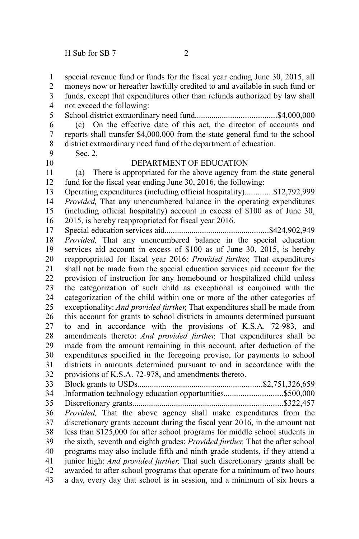special revenue fund or funds for the fiscal year ending June 30, 2015, all moneys now or hereafter lawfully credited to and available in such fund or funds, except that expenditures other than refunds authorized by law shall not exceed the following: School district extraordinary need fund.......................................\$4,000,000 (c) On the effective date of this act, the director of accounts and reports shall transfer \$4,000,000 from the state general fund to the school district extraordinary need fund of the department of education. Sec. 2. DEPARTMENT OF EDUCATION (a) There is appropriated for the above agency from the state general fund for the fiscal year ending June 30, 2016, the following: Operating expenditures (including official hospitality).............\$12,792,999 *Provided,* That any unencumbered balance in the operating expenditures (including official hospitality) account in excess of \$100 as of June 30, 2015, is hereby reappropriated for fiscal year 2016. Special education services aid..................................................\$424,902,949 *Provided,* That any unencumbered balance in the special education services aid account in excess of \$100 as of June 30, 2015, is hereby reappropriated for fiscal year 2016: *Provided further,* That expenditures shall not be made from the special education services aid account for the provision of instruction for any homebound or hospitalized child unless the categorization of such child as exceptional is conjoined with the categorization of the child within one or more of the other categories of exceptionality: *And provided further,* That expenditures shall be made from this account for grants to school districts in amounts determined pursuant to and in accordance with the provisions of K.S.A. 72-983, and amendments thereto: *And provided further,* That expenditures shall be made from the amount remaining in this account, after deduction of the expenditures specified in the foregoing proviso, for payments to school districts in amounts determined pursuant to and in accordance with the provisions of K.S.A. 72-978, and amendments thereto. Block grants to USDs............................................................\$2,751,326,659 Information technology education opportunities............................\$500,000 Discretionary grants........................................................................\$322,457 *Provided,* That the above agency shall make expenditures from the discretionary grants account during the fiscal year 2016, in the amount not less than \$125,000 for after school programs for middle school students in the sixth, seventh and eighth grades: *Provided further,* That the after school programs may also include fifth and ninth grade students, if they attend a junior high: *And provided further,* That such discretionary grants shall be awarded to after school programs that operate for a minimum of two hours a day, every day that school is in session, and a minimum of six hours a 1 2 3 4 5 6 7 8 9 10 11 12 13 14 15 16 17 18 19 20 21 22 23 24 25 26 27 28 29 30 31 32 33 34 35 36 37 38 39 40 41 42 43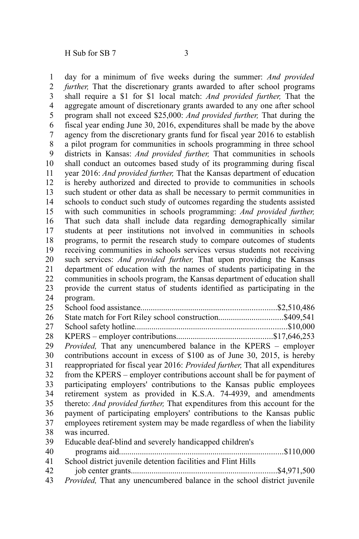day for a minimum of five weeks during the summer: *And provided further,* That the discretionary grants awarded to after school programs shall require a \$1 for \$1 local match: *And provided further,* That the aggregate amount of discretionary grants awarded to any one after school program shall not exceed \$25,000: *And provided further,* That during the fiscal year ending June 30, 2016, expenditures shall be made by the above agency from the discretionary grants fund for fiscal year 2016 to establish a pilot program for communities in schools programming in three school districts in Kansas: *And provided further,* That communities in schools shall conduct an outcomes based study of its programming during fiscal year 2016: *And provided further,* That the Kansas department of education is hereby authorized and directed to provide to communities in schools such student or other data as shall be necessary to permit communities in schools to conduct such study of outcomes regarding the students assisted with such communities in schools programming: *And provided further,* That such data shall include data regarding demographically similar students at peer institutions not involved in communities in schools programs, to permit the research study to compare outcomes of students receiving communities in schools services versus students not receiving such services: *And provided further,* That upon providing the Kansas department of education with the names of students participating in the communities in schools program, the Kansas department of education shall provide the current status of students identified as participating in the program. School food assistance.................................................................\$2,510,486 State match for Fort Riley school construction................................\$409,541 School safety hotline.........................................................................\$10,000 KPERS – employer contributions..............................................\$17,646,253 *Provided,* That any unencumbered balance in the KPERS – employer contributions account in excess of \$100 as of June 30, 2015, is hereby reappropriated for fiscal year 2016: *Provided further,* That all expenditures from the KPERS – employer contributions account shall be for payment of participating employers' contributions to the Kansas public employees retirement system as provided in K.S.A. 74-4939, and amendments thereto: *And provided further,* That expenditures from this account for the payment of participating employers' contributions to the Kansas public employees retirement system may be made regardless of when the liability was incurred. Educable deaf-blind and severely handicapped children's programs aid...............................................................................\$110,000 School district juvenile detention facilities and Flint Hills job center grants......................................................................\$4,971,500 1 2 3 4 5 6 7 8 9 10 11 12 13 14 15 16 17 18 19 20 21 22 23 24 25 26 27 28 29 30 31 32 33 34 35 36 37 38 39 40 41 42

*Provided,* That any unencumbered balance in the school district juvenile 43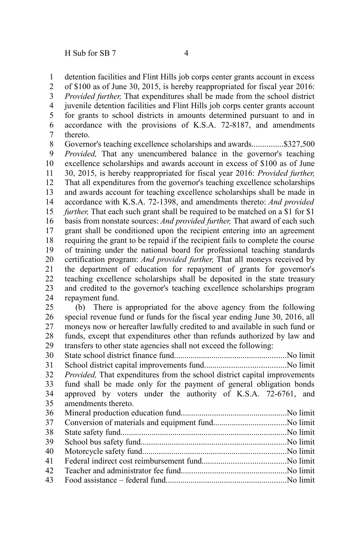detention facilities and Flint Hills job corps center grants account in excess 1

of \$100 as of June 30, 2015, is hereby reappropriated for fiscal year 2016: 2

*Provided further,* That expenditures shall be made from the school district 3

juvenile detention facilities and Flint Hills job corps center grants account for grants to school districts in amounts determined pursuant to and in accordance with the provisions of K.S.A. 72-8187, and amendments thereto. 4 5 6 7

Governor's teaching excellence scholarships and awards................\$327,500 *Provided,* That any unencumbered balance in the governor's teaching excellence scholarships and awards account in excess of \$100 as of June 30, 2015, is hereby reappropriated for fiscal year 2016: *Provided further,* That all expenditures from the governor's teaching excellence scholarships and awards account for teaching excellence scholarships shall be made in accordance with K.S.A. 72-1398, and amendments thereto: *And provided further*, That each such grant shall be required to be matched on a \$1 for \$1 basis from nonstate sources: *And provided further,* That award of each such grant shall be conditioned upon the recipient entering into an agreement requiring the grant to be repaid if the recipient fails to complete the course of training under the national board for professional teaching standards certification program: *And provided further,* That all moneys received by the department of education for repayment of grants for governor's teaching excellence scholarships shall be deposited in the state treasury and credited to the governor's teaching excellence scholarships program repayment fund. 8 9 10 11 12 13 14 15 16 17 18 19 20 21 22 23 24

(b) There is appropriated for the above agency from the following special revenue fund or funds for the fiscal year ending June 30, 2016, all moneys now or hereafter lawfully credited to and available in such fund or funds, except that expenditures other than refunds authorized by law and transfers to other state agencies shall not exceed the following: 25 26 27 28 29

State school district finance fund......................................................No limit 30

School district capital improvements fund.......................................No limit *Provided,* That expenditures from the school district capital improvements fund shall be made only for the payment of general obligation bonds approved by voters under the authority of K.S.A. 72-6761, and amendments thereto. 31 32 33 34 35

| 38 |  |
|----|--|
| 39 |  |
| 40 |  |
| 41 |  |
| 42 |  |
|    |  |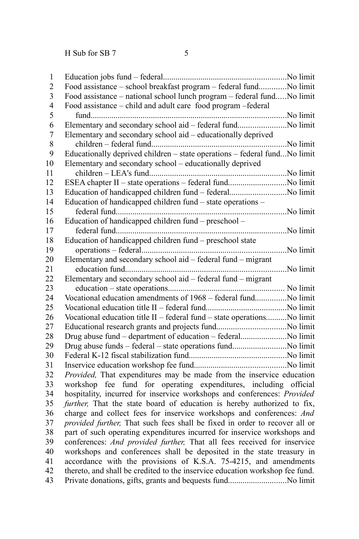| $\mathbf{1}$            |                                                                              |  |
|-------------------------|------------------------------------------------------------------------------|--|
| $\overline{2}$          | Food assistance - school breakfast program - federal fundNo limit            |  |
| $\overline{\mathbf{3}}$ | Food assistance – national school lunch program – federal fundNo limit       |  |
| $\overline{\mathbf{4}}$ | Food assistance - child and adult care food program -federal                 |  |
| 5                       |                                                                              |  |
| 6                       | Elementary and secondary school aid - federal fundNo limit                   |  |
| $\overline{7}$          | Elementary and secondary school aid - educationally deprived                 |  |
| 8                       |                                                                              |  |
| 9                       | Educationally deprived children - state operations - federal fundNo limit    |  |
| 10                      | Elementary and secondary school - educationally deprived                     |  |
| 11                      |                                                                              |  |
| 12                      | ESEA chapter II - state operations - federal fundNo limit                    |  |
| 13                      | Education of handicapped children fund - federalNo limit                     |  |
| 14                      | Education of handicapped children fund – state operations –                  |  |
| 15                      |                                                                              |  |
| 16                      | Education of handicapped children fund – preschool –                         |  |
| 17                      |                                                                              |  |
| 18                      | Education of handicapped children fund - preschool state                     |  |
| 19                      |                                                                              |  |
| 20                      | Elementary and secondary school aid - federal fund - migrant                 |  |
| 21                      |                                                                              |  |
| 22                      | Elementary and secondary school aid - federal fund - migrant                 |  |
| 23                      |                                                                              |  |
| 24                      | Vocational education amendments of 1968 – federal fundNo limit               |  |
| 25                      |                                                                              |  |
| 26                      | Vocational education title II - federal fund - state operationsNo limit      |  |
| 27                      |                                                                              |  |
| 28                      | Drug abuse fund - department of education - federalNo limit                  |  |
| 29                      | Drug abuse funds - federal - state operations fundNo limit                   |  |
| 30                      |                                                                              |  |
| 31                      |                                                                              |  |
| 32                      | Provided, That expenditures may be made from the inservice education         |  |
| 33                      | workshop fee fund for operating expenditures, including official             |  |
| 34                      | hospitality, incurred for inservice workshops and conferences: Provided      |  |
| 35                      | further, That the state board of education is hereby authorized to fix,      |  |
| 36                      | charge and collect fees for inservice workshops and conferences: And         |  |
| 37                      | provided further, That such fees shall be fixed in order to recover all or   |  |
| 38                      | part of such operating expenditures incurred for inservice workshops and     |  |
| 39                      | conferences: And provided further, That all fees received for inservice      |  |
| 40                      | workshops and conferences shall be deposited in the state treasury in        |  |
| 41                      | accordance with the provisions of K.S.A. 75-4215, and amendments             |  |
| 42                      | thereto, and shall be credited to the inservice education workshop fee fund. |  |
| 43                      | Private donations, gifts, grants and bequests fundNo limit                   |  |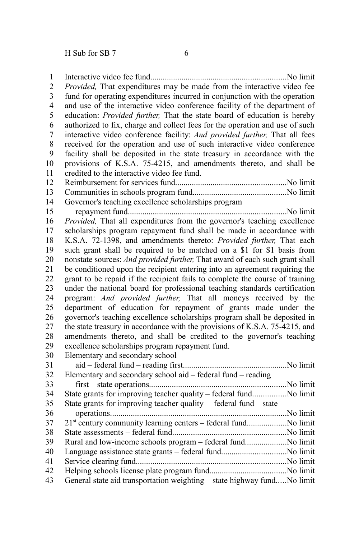Interactive video fee fund.................................................................No limit *Provided,* That expenditures may be made from the interactive video fee fund for operating expenditures incurred in conjunction with the operation and use of the interactive video conference facility of the department of education: *Provided further,* That the state board of education is hereby authorized to fix, charge and collect fees for the operation and use of such interactive video conference facility: *And provided further,* That all fees received for the operation and use of such interactive video conference facility shall be deposited in the state treasury in accordance with the provisions of K.S.A. 75-4215, and amendments thereto, and shall be credited to the interactive video fee fund. Reimbursement for services fund.....................................................No limit Communities in schools program fund.............................................No limit Governor's teaching excellence scholarships program repayment fund............................................................................No limit *Provided,* That all expenditures from the governor's teaching excellence scholarships program repayment fund shall be made in accordance with K.S.A. 72-1398, and amendments thereto: *Provided further,* That each such grant shall be required to be matched on a \$1 for \$1 basis from nonstate sources: *And provided further,* That award of each such grant shall be conditioned upon the recipient entering into an agreement requiring the grant to be repaid if the recipient fails to complete the course of training under the national board for professional teaching standards certification program: *And provided further,* That all moneys received by the department of education for repayment of grants made under the governor's teaching excellence scholarships program shall be deposited in the state treasury in accordance with the provisions of K.S.A. 75-4215, and amendments thereto, and shall be credited to the governor's teaching excellence scholarships program repayment fund. Elementary and secondary school aid – federal fund – reading first..................................................No limit Elementary and secondary school aid – federal fund – reading first – state operations..................................................................No limit State grants for improving teacher quality – federal fund................No limit State grants for improving teacher quality – federal fund – state operations.....................................................................................No limit  $21<sup>st</sup>$  century community learning centers – federal fund.......................... No limit State assessments – federal fund.......................................................No limit Rural and low-income schools program – federal fund....................No limit Language assistance state grants – federal fund...............................No limit Service clearing fund........................................................................No limit Helping schools license plate program fund.....................................No limit General state aid transportation weighting – state highway fund.....No limit 1 2 3 4 5 6 7 8 9 10 11 12 13 14 15 16 17 18 19 20 21 22 23 24 25 26 27 28 29 30 31 32 33 34 35 36 37 38 39 40 41 42 43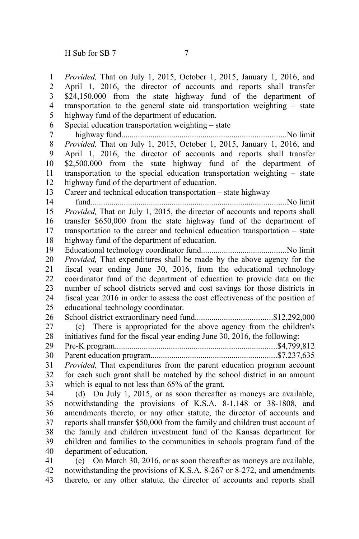*Provided,* That on July 1, 2015, October 1, 2015, January 1, 2016, and April 1, 2016, the director of accounts and reports shall transfer \$24,150,000 from the state highway fund of the department of transportation to the general state aid transportation weighting – state highway fund of the department of education. Special education transportation weighting – state highway fund...............................................................................No limit *Provided,* That on July 1, 2015, October 1, 2015, January 1, 2016, and April 1, 2016, the director of accounts and reports shall transfer \$2,500,000 from the state highway fund of the department of transportation to the special education transportation weighting – state highway fund of the department of education. Career and technical education transportation – state highway fund..............................................................................................No limit *Provided,* That on July 1, 2015, the director of accounts and reports shall transfer \$650,000 from the state highway fund of the department of transportation to the career and technical education transportation – state highway fund of the department of education. Educational technology coordinator fund.........................................No limit *Provided,* That expenditures shall be made by the above agency for the fiscal year ending June 30, 2016, from the educational technology coordinator fund of the department of education to provide data on the number of school districts served and cost savings for those districts in fiscal year 2016 in order to assess the cost effectiveness of the position of educational technology coordinator. School district extraordinary need fund.....................................\$12,292,000 (c) There is appropriated for the above agency from the children's initiatives fund for the fiscal year ending June 30, 2016, the following: Pre-K program..............................................................................\$4,799,812 Parent education program.............................................................\$7,237,635 *Provided,* That expenditures from the parent education program account for each such grant shall be matched by the school district in an amount which is equal to not less than 65% of the grant. (d) On July 1, 2015, or as soon thereafter as moneys are available, notwithstanding the provisions of K.S.A. 8-1,148 or 38-1808, and amendments thereto, or any other statute, the director of accounts and reports shall transfer \$50,000 from the family and children trust account of the family and children investment fund of the Kansas department for children and families to the communities in schools program fund of the department of education. (e) On March 30, 2016, or as soon thereafter as moneys are available, 1 2 3 4 5 6 7 8 9 10 11 12 13 14 15 16 17 18 19 20 21 22 23 24 25 26 27 28 29 30 31 32 33 34 35 36 37 38 39 40 41

notwithstanding the provisions of K.S.A. 8-267 or 8-272, and amendments thereto, or any other statute, the director of accounts and reports shall 42 43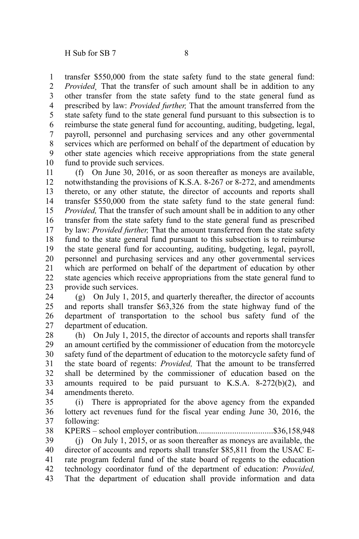transfer \$550,000 from the state safety fund to the state general fund: *Provided¸* That the transfer of such amount shall be in addition to any other transfer from the state safety fund to the state general fund as prescribed by law: *Provided further,* That the amount transferred from the state safety fund to the state general fund pursuant to this subsection is to reimburse the state general fund for accounting, auditing, budgeting, legal, payroll, personnel and purchasing services and any other governmental services which are performed on behalf of the department of education by other state agencies which receive appropriations from the state general fund to provide such services. 1 2 3 4 5 6 7 8 9 10

(f) On June 30, 2016, or as soon thereafter as moneys are available, notwithstanding the provisions of K.S.A. 8-267 or 8-272, and amendments thereto, or any other statute, the director of accounts and reports shall transfer \$550,000 from the state safety fund to the state general fund: *Provided,* That the transfer of such amount shall be in addition to any other transfer from the state safety fund to the state general fund as prescribed by law: *Provided further,* That the amount transferred from the state safety fund to the state general fund pursuant to this subsection is to reimburse the state general fund for accounting, auditing, budgeting, legal, payroll, personnel and purchasing services and any other governmental services which are performed on behalf of the department of education by other state agencies which receive appropriations from the state general fund to provide such services. 11 12 13 14 15 16 17 18 19 20 21 22 23

(g) On July 1, 2015, and quarterly thereafter, the director of accounts and reports shall transfer \$63,326 from the state highway fund of the department of transportation to the school bus safety fund of the department of education. 24 25 26 27

(h) On July 1, 2015, the director of accounts and reports shall transfer an amount certified by the commissioner of education from the motorcycle safety fund of the department of education to the motorcycle safety fund of the state board of regents: *Provided,* That the amount to be transferred shall be determined by the commissioner of education based on the amounts required to be paid pursuant to K.S.A. 8-272(b)(2), and amendments thereto. 28 29 30 31 32 33 34

(i) There is appropriated for the above agency from the expanded lottery act revenues fund for the fiscal year ending June 30, 2016, the following: 35 36 37

KPERS – school employer contribution....................................\$36,158,948 (j) On July 1, 2015, or as soon thereafter as moneys are available, the director of accounts and reports shall transfer \$85,811 from the USAC Erate program federal fund of the state board of regents to the education technology coordinator fund of the department of education: *Provided,* That the department of education shall provide information and data 38 39 40 41 42 43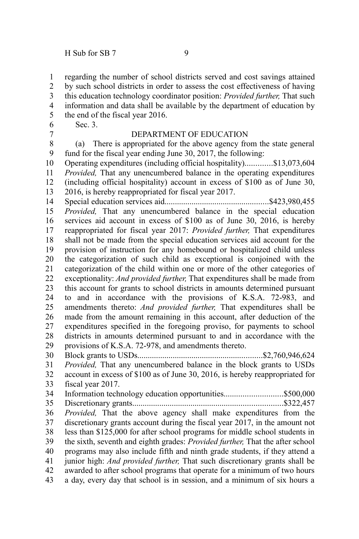regarding the number of school districts served and cost savings attained by such school districts in order to assess the cost effectiveness of having this education technology coordinator position: *Provided further,* That such information and data shall be available by the department of education by the end of the fiscal year 2016. Sec. 3. DEPARTMENT OF EDUCATION (a) There is appropriated for the above agency from the state general fund for the fiscal year ending June 30, 2017, the following: Operating expenditures (including official hospitality).............\$13,073,604 *Provided,* That any unencumbered balance in the operating expenditures (including official hospitality) account in excess of \$100 as of June 30, 2016, is hereby reappropriated for fiscal year 2017. Special education services aid..................................................\$423,980,455 *Provided,* That any unencumbered balance in the special education services aid account in excess of \$100 as of June 30, 2016, is hereby reappropriated for fiscal year 2017: *Provided further,* That expenditures shall not be made from the special education services aid account for the provision of instruction for any homebound or hospitalized child unless the categorization of such child as exceptional is conjoined with the categorization of the child within one or more of the other categories of exceptionality: *And provided further,* That expenditures shall be made from this account for grants to school districts in amounts determined pursuant to and in accordance with the provisions of K.S.A. 72-983, and amendments thereto: *And provided further,* That expenditures shall be made from the amount remaining in this account, after deduction of the expenditures specified in the foregoing proviso, for payments to school districts in amounts determined pursuant to and in accordance with the provisions of K.S.A. 72-978, and amendments thereto. Block grants to USDs............................................................\$2,760,946,624 *Provided,* That any unencumbered balance in the block grants to USDs account in excess of \$100 as of June 30, 2016, is hereby reappropriated for fiscal year 2017. Information technology education opportunities............................\$500,000 Discretionary grants........................................................................\$322,457 *Provided,* That the above agency shall make expenditures from the discretionary grants account during the fiscal year 2017, in the amount not less than \$125,000 for after school programs for middle school students in the sixth, seventh and eighth grades: *Provided further,* That the after school programs may also include fifth and ninth grade students, if they attend a junior high: *And provided further,* That such discretionary grants shall be awarded to after school programs that operate for a minimum of two hours a day, every day that school is in session, and a minimum of six hours a 1 2 3 4 5 6 7 8 9 10 11 12 13 14 15 16 17 18 19 20 21 22 23 24 25 26 27 28 29 30 31 32 33 34 35 36 37 38 39 40 41 42 43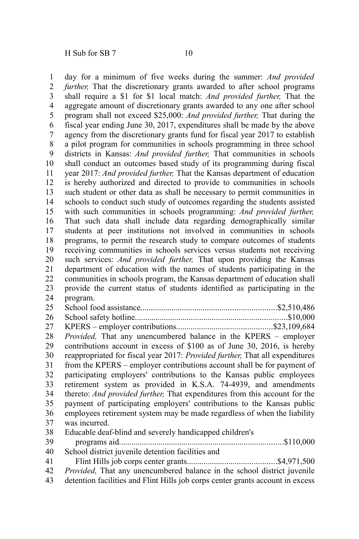day for a minimum of five weeks during the summer: *And provided further,* That the discretionary grants awarded to after school programs shall require a \$1 for \$1 local match: *And provided further,* That the aggregate amount of discretionary grants awarded to any one after school program shall not exceed \$25,000: *And provided further,* That during the fiscal year ending June 30, 2017, expenditures shall be made by the above agency from the discretionary grants fund for fiscal year 2017 to establish a pilot program for communities in schools programming in three school districts in Kansas: *And provided further,* That communities in schools shall conduct an outcomes based study of its programming during fiscal year 2017: *And provided further,* That the Kansas department of education is hereby authorized and directed to provide to communities in schools such student or other data as shall be necessary to permit communities in schools to conduct such study of outcomes regarding the students assisted with such communities in schools programming: *And provided further,* That such data shall include data regarding demographically similar students at peer institutions not involved in communities in schools programs, to permit the research study to compare outcomes of students receiving communities in schools services versus students not receiving such services: *And provided further,* That upon providing the Kansas department of education with the names of students participating in the communities in schools program, the Kansas department of education shall provide the current status of students identified as participating in the program. School food assistance.................................................................\$2,510,486 School safety hotline.........................................................................\$10,000 KPERS – employer contributions..............................................\$23,109,684 *Provided,* That any unencumbered balance in the KPERS – employer contributions account in excess of \$100 as of June 30, 2016, is hereby reappropriated for fiscal year 2017: *Provided further,* That all expenditures from the KPERS – employer contributions account shall be for payment of participating employers' contributions to the Kansas public employees retirement system as provided in K.S.A. 74-4939, and amendments thereto: *And provided further,* That expenditures from this account for the payment of participating employers' contributions to the Kansas public employees retirement system may be made regardless of when the liability was incurred. Educable deaf-blind and severely handicapped children's programs aid...............................................................................\$110,000 School district juvenile detention facilities and Flint Hills job corps center grants...........................................\$4,971,500 *Provided,* That any unencumbered balance in the school district juvenile 1 2 3 4 5 6 7 8 9 10 11 12 13 14 15 16 17 18 19 20 21 22 23 24 25 26 27 28 29 30 31 32 33 34 35 36 37 38 39 40 41 42

detention facilities and Flint Hills job corps center grants account in excess 43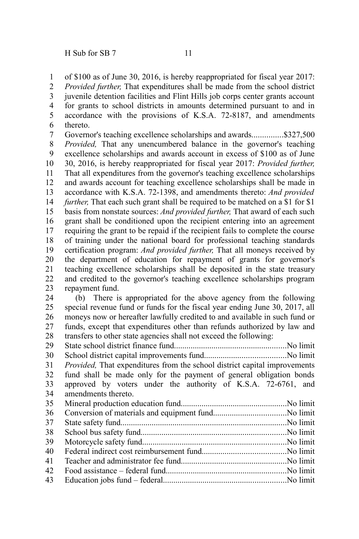of \$100 as of June 30, 2016, is hereby reappropriated for fiscal year 2017: 1

*Provided further,* That expenditures shall be made from the school district 2

juvenile detention facilities and Flint Hills job corps center grants account for grants to school districts in amounts determined pursuant to and in accordance with the provisions of K.S.A. 72-8187, and amendments thereto. 3 4 5 6

Governor's teaching excellence scholarships and awards...............\$327,500 *Provided,* That any unencumbered balance in the governor's teaching excellence scholarships and awards account in excess of \$100 as of June 30, 2016, is hereby reappropriated for fiscal year 2017: *Provided further,* That all expenditures from the governor's teaching excellence scholarships and awards account for teaching excellence scholarships shall be made in accordance with K.S.A. 72-1398, and amendments thereto: *And provided further*, That each such grant shall be required to be matched on a \$1 for \$1 basis from nonstate sources: *And provided further,* That award of each such grant shall be conditioned upon the recipient entering into an agreement requiring the grant to be repaid if the recipient fails to complete the course of training under the national board for professional teaching standards certification program: *And provided further,* That all moneys received by the department of education for repayment of grants for governor's teaching excellence scholarships shall be deposited in the state treasury and credited to the governor's teaching excellence scholarships program repayment fund. 7 8 9 10 11 12 13 14 15 16 17 18 19 20 21 22 23

(b) There is appropriated for the above agency from the following special revenue fund or funds for the fiscal year ending June 30, 2017, all moneys now or hereafter lawfully credited to and available in such fund or funds, except that expenditures other than refunds authorized by law and transfers to other state agencies shall not exceed the following: 24 25 26 27 28

State school district finance fund......................................................No limit School district capital improvements fund.......................................No limit *Provided,* That expenditures from the school district capital improvements fund shall be made only for the payment of general obligation bonds approved by voters under the authority of K.S.A. 72-6761, and amendments thereto. 29 30 31 32 33 34  $25$ 

| 36 |  |
|----|--|
| 37 |  |
| 38 |  |
| 39 |  |
| 40 |  |
| 41 |  |
| 42 |  |
| 43 |  |
|    |  |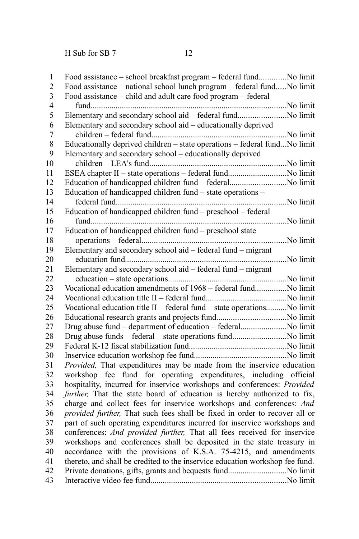| 1              |                                                                              |
|----------------|------------------------------------------------------------------------------|
| $\overline{2}$ | Food assistance – national school lunch program – federal fundNo limit       |
| $\overline{3}$ | Food assistance - child and adult care food program - federal                |
| $\overline{4}$ |                                                                              |
| 5              | Elementary and secondary school aid - federal fundNo limit                   |
| 6              | Elementary and secondary school aid - educationally deprived                 |
| $\overline{7}$ |                                                                              |
| 8              | Educationally deprived children - state operations - federal fundNo limit    |
| 9              | Elementary and secondary school - educationally deprived                     |
| 10             |                                                                              |
| 11             |                                                                              |
| 12             | Education of handicapped children fund - federalNo limit                     |
| 13             | Education of handicapped children fund – state operations –                  |
| 14             |                                                                              |
| 15             | Education of handicapped children fund - preschool - federal                 |
| 16             |                                                                              |
| 17             | Education of handicapped children fund - preschool state                     |
| 18             |                                                                              |
| 19             | Elementary and secondary school aid – federal fund – migrant                 |
| 20             |                                                                              |
| 21             | Elementary and secondary school aid - federal fund - migrant                 |
| 22             |                                                                              |
| 23             | Vocational education amendments of 1968 - federal fundNo limit               |
| 24             |                                                                              |
| 25             | Vocational education title II - federal fund - state operationsNo limit      |
| 26             |                                                                              |
| 27             | Drug abuse fund - department of education - federalNo limit                  |
| 28             | Drug abuse funds - federal - state operations fundNo limit                   |
| 29             |                                                                              |
| 30             |                                                                              |
| 31             | Provided, That expenditures may be made from the inservice education         |
| 32             | workshop fee fund for operating expenditures, including official             |
| 33             | hospitality, incurred for inservice workshops and conferences: Provided      |
| 34             | further, That the state board of education is hereby authorized to fix,      |
| 35             | charge and collect fees for inservice workshops and conferences: And         |
| 36             | provided further, That such fees shall be fixed in order to recover all or   |
| 37             | part of such operating expenditures incurred for inservice workshops and     |
| 38             | conferences: And provided further, That all fees received for inservice      |
| 39             | workshops and conferences shall be deposited in the state treasury in        |
| 40             | accordance with the provisions of K.S.A. 75-4215, and amendments             |
| 41             | thereto, and shall be credited to the inservice education workshop fee fund. |
| 42             |                                                                              |
| 43             |                                                                              |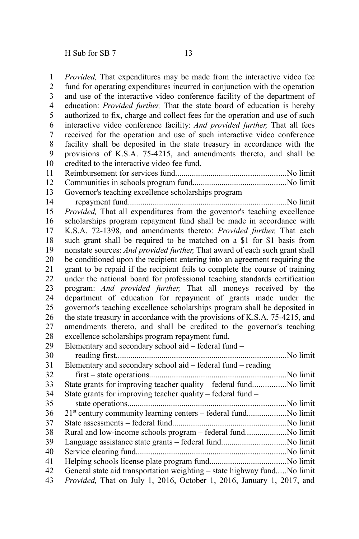*Provided,* That expenditures may be made from the interactive video fee fund for operating expenditures incurred in conjunction with the operation and use of the interactive video conference facility of the department of education: *Provided further,* That the state board of education is hereby authorized to fix, charge and collect fees for the operation and use of such interactive video conference facility: *And provided further,* That all fees received for the operation and use of such interactive video conference facility shall be deposited in the state treasury in accordance with the provisions of K.S.A. 75-4215, and amendments thereto, and shall be credited to the interactive video fee fund. Reimbursement for services fund.....................................................No limit Communities in schools program fund.............................................No limit Governor's teaching excellence scholarships program

repayment fund............................................................................No limit *Provided,* That all expenditures from the governor's teaching excellence scholarships program repayment fund shall be made in accordance with K.S.A. 72-1398, and amendments thereto: *Provided further,* That each such grant shall be required to be matched on a \$1 for \$1 basis from nonstate sources: *And provided further,* That award of each such grant shall be conditioned upon the recipient entering into an agreement requiring the grant to be repaid if the recipient fails to complete the course of training under the national board for professional teaching standards certification program: *And provided further,* That all moneys received by the department of education for repayment of grants made under the governor's teaching excellence scholarships program shall be deposited in the state treasury in accordance with the provisions of K.S.A. 75-4215, and amendments thereto, and shall be credited to the governor's teaching excellence scholarships program repayment fund. 14 15 16 17 18 19 20 21 22 23 24 25 26 27 28

Elementary and secondary school aid – federal fund – reading first..................................................................................No limit Elementary and secondary school aid – federal fund – reading first – state operations..................................................................No limit State grants for improving teacher quality – federal fund................No limit State grants for improving teacher quality – federal fund – state operations............................................................................No limit 21<sup>st</sup> century community learning centers – federal fund........................No limit State assessments – federal fund.......................................................No limit Rural and low-income schools program – federal fund....................No limit Language assistance state grants – federal fund...............................No limit Service clearing fund........................................................................No limit Helping schools license plate program fund.....................................No limit General state aid transportation weighting – state highway fund.....No limit *Provided,* That on July 1, 2016, October 1, 2016, January 1, 2017, and 29 30 31 32 33 34 35 36 37 38 39 40 41 42 43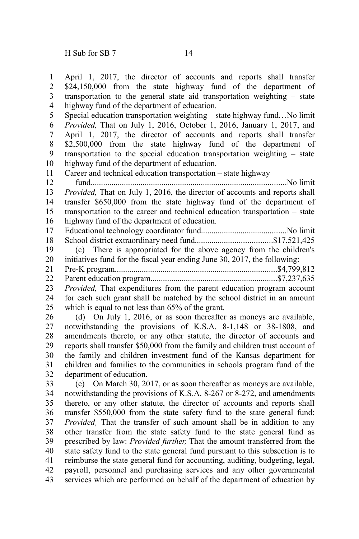April 1, 2017, the director of accounts and reports shall transfer \$24,150,000 from the state highway fund of the department of transportation to the general state aid transportation weighting – state highway fund of the department of education. 1 2 3 4

Special education transportation weighting – state highway fund...No limit *Provided,* That on July 1, 2016, October 1, 2016, January 1, 2017, and April 1, 2017, the director of accounts and reports shall transfer \$2,500,000 from the state highway fund of the department of transportation to the special education transportation weighting – state highway fund of the department of education. 5 6 7 8 9 10

Career and technical education transportation – state highway 11

fund..............................................................................................No limit *Provided,* That on July 1, 2016, the director of accounts and reports shall transfer \$650,000 from the state highway fund of the department of transportation to the career and technical education transportation – state highway fund of the department of education. 12 13 14 15 16

Educational technology coordinator fund.........................................No limit School district extraordinary need fund.....................................\$17,521,425 17 18

(c) There is appropriated for the above agency from the children's initiatives fund for the fiscal year ending June 30, 2017, the following: 19 20

- Pre-K program..............................................................................\$4,799,812 21
- Parent education program.............................................................\$7,237,635 22

*Provided,* That expenditures from the parent education program account 23

for each such grant shall be matched by the school district in an amount which is equal to not less than 65% of the grant. 24 25

(d) On July 1, 2016, or as soon thereafter as moneys are available, notwithstanding the provisions of K.S.A. 8-1,148 or 38-1808, and amendments thereto, or any other statute, the director of accounts and reports shall transfer \$50,000 from the family and children trust account of the family and children investment fund of the Kansas department for children and families to the communities in schools program fund of the department of education. 26 27 28 29 30 31 32

(e) On March 30, 2017, or as soon thereafter as moneys are available, notwithstanding the provisions of K.S.A. 8-267 or 8-272, and amendments thereto, or any other statute, the director of accounts and reports shall transfer \$550,000 from the state safety fund to the state general fund: *Provided¸* That the transfer of such amount shall be in addition to any other transfer from the state safety fund to the state general fund as prescribed by law: *Provided further,* That the amount transferred from the state safety fund to the state general fund pursuant to this subsection is to reimburse the state general fund for accounting, auditing, budgeting, legal, payroll, personnel and purchasing services and any other governmental services which are performed on behalf of the department of education by 33 34 35 36 37 38 39 40 41 42 43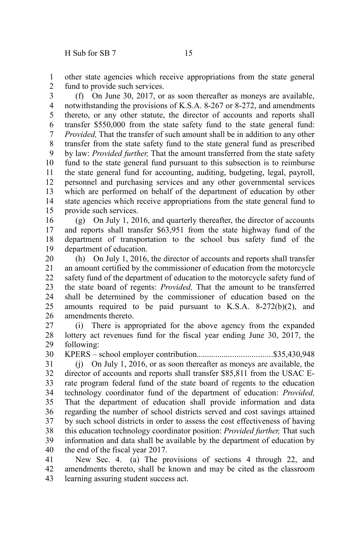other state agencies which receive appropriations from the state general fund to provide such services. 1 2

(f) On June 30, 2017, or as soon thereafter as moneys are available, notwithstanding the provisions of K.S.A. 8-267 or 8-272, and amendments thereto, or any other statute, the director of accounts and reports shall transfer \$550,000 from the state safety fund to the state general fund: *Provided,* That the transfer of such amount shall be in addition to any other transfer from the state safety fund to the state general fund as prescribed by law: *Provided further,* That the amount transferred from the state safety fund to the state general fund pursuant to this subsection is to reimburse the state general fund for accounting, auditing, budgeting, legal, payroll, personnel and purchasing services and any other governmental services which are performed on behalf of the department of education by other state agencies which receive appropriations from the state general fund to provide such services. 3 4 5 6 7 8 9 10 11 12 13 14 15

(g) On July 1, 2016, and quarterly thereafter, the director of accounts and reports shall transfer \$63,951 from the state highway fund of the department of transportation to the school bus safety fund of the department of education. 16 17 18 19

(h) On July 1, 2016, the director of accounts and reports shall transfer an amount certified by the commissioner of education from the motorcycle safety fund of the department of education to the motorcycle safety fund of the state board of regents: *Provided,* That the amount to be transferred shall be determined by the commissioner of education based on the amounts required to be paid pursuant to K.S.A. 8-272(b)(2), and amendments thereto. 20 21 22 23 24 25 26

(i) There is appropriated for the above agency from the expanded lottery act revenues fund for the fiscal year ending June 30, 2017, the following: 27 28 29

KPERS – school employer contribution....................................\$35,430,948 30

(j) On July 1, 2016, or as soon thereafter as moneys are available, the director of accounts and reports shall transfer \$85,811 from the USAC Erate program federal fund of the state board of regents to the education technology coordinator fund of the department of education: *Provided,* That the department of education shall provide information and data regarding the number of school districts served and cost savings attained by such school districts in order to assess the cost effectiveness of having this education technology coordinator position: *Provided further,* That such information and data shall be available by the department of education by the end of the fiscal year 2017. 31 32 33 34 35 36 37 38 39 40

New Sec. 4. (a) The provisions of sections 4 through 22, and amendments thereto, shall be known and may be cited as the classroom learning assuring student success act. 41 42 43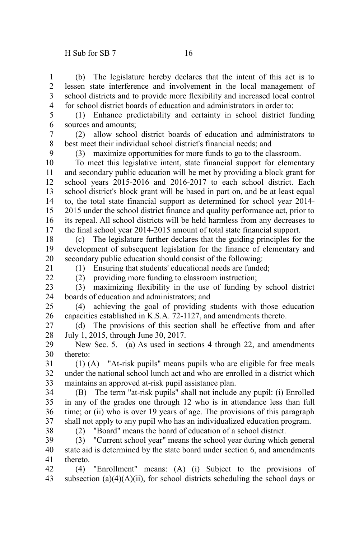(b) The legislature hereby declares that the intent of this act is to lessen state interference and involvement in the local management of school districts and to provide more flexibility and increased local control for school district boards of education and administrators in order to: 1 2 3 4

5 6

(1) Enhance predictability and certainty in school district funding sources and amounts;

(2) allow school district boards of education and administrators to best meet their individual school district's financial needs; and 7 8

9

(3) maximize opportunities for more funds to go to the classroom.

To meet this legislative intent, state financial support for elementary and secondary public education will be met by providing a block grant for school years 2015-2016 and 2016-2017 to each school district. Each school district's block grant will be based in part on, and be at least equal to, the total state financial support as determined for school year 2014- 2015 under the school district finance and quality performance act, prior to its repeal. All school districts will be held harmless from any decreases to the final school year 2014-2015 amount of total state financial support. 10 11 12 13 14 15 16 17

(c) The legislature further declares that the guiding principles for the development of subsequent legislation for the finance of elementary and secondary public education should consist of the following: 18 19 20

21

 $22$ 

(1) Ensuring that students' educational needs are funded; (2) providing more funding to classroom instruction;

23

(3) maximizing flexibility in the use of funding by school district boards of education and administrators; and 24

(4) achieving the goal of providing students with those education capacities established in K.S.A. 72-1127, and amendments thereto. 25 26

(d) The provisions of this section shall be effective from and after July 1, 2015, through June 30, 2017. 27 28

New Sec. 5. (a) As used in sections 4 through 22, and amendments thereto: 29 30

(1) (A) "At-risk pupils" means pupils who are eligible for free meals under the national school lunch act and who are enrolled in a district which maintains an approved at-risk pupil assistance plan. 31 32 33

(B) The term "at-risk pupils" shall not include any pupil: (i) Enrolled in any of the grades one through 12 who is in attendance less than full time; or (ii) who is over 19 years of age. The provisions of this paragraph shall not apply to any pupil who has an individualized education program. 34 35 36 37

38

(2) "Board" means the board of education of a school district.

(3) "Current school year" means the school year during which general state aid is determined by the state board under section 6, and amendments thereto. 39 40 41

(4) "Enrollment" means: (A) (i) Subject to the provisions of subsection (a)(4)(A)(ii), for school districts scheduling the school days or 42 43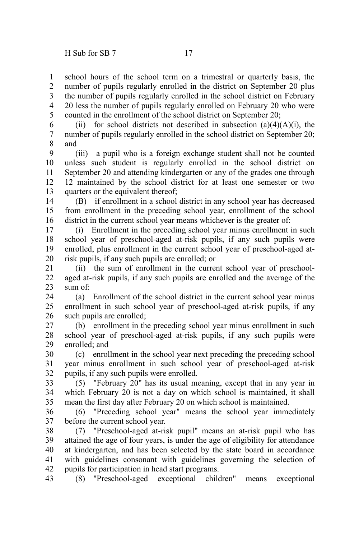school hours of the school term on a trimestral or quarterly basis, the number of pupils regularly enrolled in the district on September 20 plus the number of pupils regularly enrolled in the school district on February 20 less the number of pupils regularly enrolled on February 20 who were counted in the enrollment of the school district on September 20; 1 2 3 4 5

(ii) for school districts not described in subsection  $(a)(4)(A)(i)$ , the number of pupils regularly enrolled in the school district on September 20; and 6 7 8

(iii) a pupil who is a foreign exchange student shall not be counted unless such student is regularly enrolled in the school district on September 20 and attending kindergarten or any of the grades one through 12 maintained by the school district for at least one semester or two quarters or the equivalent thereof; 9 10 11 12 13

(B) if enrollment in a school district in any school year has decreased from enrollment in the preceding school year, enrollment of the school district in the current school year means whichever is the greater of: 14 15 16

(i) Enrollment in the preceding school year minus enrollment in such school year of preschool-aged at-risk pupils, if any such pupils were enrolled, plus enrollment in the current school year of preschool-aged atrisk pupils, if any such pupils are enrolled; or 17 18 19 20

(ii) the sum of enrollment in the current school year of preschoolaged at-risk pupils, if any such pupils are enrolled and the average of the sum of: 21 22 23

(a) Enrollment of the school district in the current school year minus enrollment in such school year of preschool-aged at-risk pupils, if any such pupils are enrolled; 24 25 26

(b) enrollment in the preceding school year minus enrollment in such school year of preschool-aged at-risk pupils, if any such pupils were enrolled; and 27 28 29

(c) enrollment in the school year next preceding the preceding school year minus enrollment in such school year of preschool-aged at-risk pupils, if any such pupils were enrolled. 30 31 32

(5) "February 20" has its usual meaning, except that in any year in which February 20 is not a day on which school is maintained, it shall mean the first day after February 20 on which school is maintained. 33 34 35

(6) "Preceding school year" means the school year immediately before the current school year. 36 37

(7) "Preschool-aged at-risk pupil" means an at-risk pupil who has attained the age of four years, is under the age of eligibility for attendance at kindergarten, and has been selected by the state board in accordance with guidelines consonant with guidelines governing the selection of pupils for participation in head start programs. 38 39 40 41 42

(8) "Preschool-aged exceptional children" means exceptional 43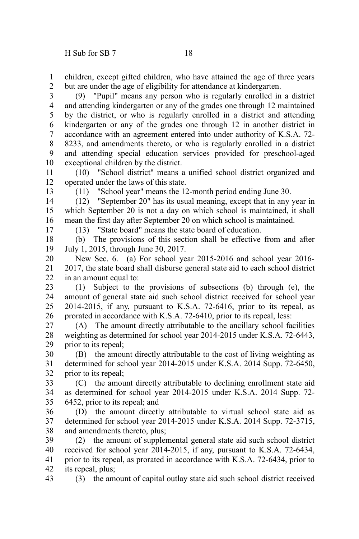children, except gifted children, who have attained the age of three years but are under the age of eligibility for attendance at kindergarten. 1 2

(9) "Pupil" means any person who is regularly enrolled in a district and attending kindergarten or any of the grades one through 12 maintained by the district, or who is regularly enrolled in a district and attending kindergarten or any of the grades one through 12 in another district in accordance with an agreement entered into under authority of K.S.A. 72- 8233, and amendments thereto, or who is regularly enrolled in a district and attending special education services provided for preschool-aged exceptional children by the district. 3 4 5 6 7 8 9 10

(10) "School district" means a unified school district organized and operated under the laws of this state. 11 12

(11) "School year" means the 12-month period ending June 30.

(12) "September 20" has its usual meaning, except that in any year in which September 20 is not a day on which school is maintained, it shall mean the first day after September 20 on which school is maintained. 14 15 16

17

13

(13) "State board" means the state board of education.

(b) The provisions of this section shall be effective from and after July 1, 2015, through June 30, 2017. 18 19

New Sec. 6. (a) For school year 2015-2016 and school year 2016- 2017, the state board shall disburse general state aid to each school district in an amount equal to: 20 21 22

(1) Subject to the provisions of subsections (b) through (e), the amount of general state aid such school district received for school year 2014-2015, if any, pursuant to K.S.A. 72-6416, prior to its repeal, as prorated in accordance with K.S.A. 72-6410, prior to its repeal, less: 23 24 25 26

(A) The amount directly attributable to the ancillary school facilities weighting as determined for school year 2014-2015 under K.S.A. 72-6443, prior to its repeal; 27 28 29

(B) the amount directly attributable to the cost of living weighting as determined for school year 2014-2015 under K.S.A. 2014 Supp. 72-6450, prior to its repeal; 30 31 32

(C) the amount directly attributable to declining enrollment state aid as determined for school year 2014-2015 under K.S.A. 2014 Supp. 72- 6452, prior to its repeal; and 33 34 35

(D) the amount directly attributable to virtual school state aid as determined for school year 2014-2015 under K.S.A. 2014 Supp. 72-3715, and amendments thereto, plus; 36 37 38

(2) the amount of supplemental general state aid such school district received for school year 2014-2015, if any, pursuant to K.S.A. 72-6434, prior to its repeal, as prorated in accordance with K.S.A. 72-6434, prior to its repeal, plus; 39 40 41 42

(3) the amount of capital outlay state aid such school district received 43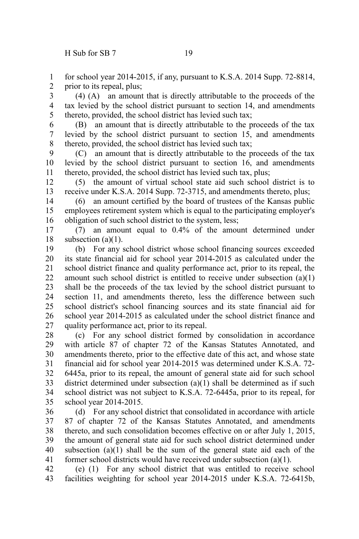for school year 2014-2015, if any, pursuant to K.S.A. 2014 Supp. 72-8814, prior to its repeal, plus; 1 2

(4) (A) an amount that is directly attributable to the proceeds of the tax levied by the school district pursuant to section 14, and amendments thereto, provided, the school district has levied such tax; 3 4 5

(B) an amount that is directly attributable to the proceeds of the tax levied by the school district pursuant to section 15, and amendments thereto, provided, the school district has levied such tax; 6 7 8

(C) an amount that is directly attributable to the proceeds of the tax levied by the school district pursuant to section 16, and amendments thereto, provided, the school district has levied such tax, plus; 9 10 11

(5) the amount of virtual school state aid such school district is to receive under K.S.A. 2014 Supp. 72-3715, and amendments thereto, plus; 12 13

(6) an amount certified by the board of trustees of the Kansas public employees retirement system which is equal to the participating employer's obligation of such school district to the system, less; 14 15 16

(7) an amount equal to 0.4% of the amount determined under subsection  $(a)(1)$ . 17 18

(b) For any school district whose school financing sources exceeded its state financial aid for school year 2014-2015 as calculated under the school district finance and quality performance act, prior to its repeal, the amount such school district is entitled to receive under subsection (a)(1) shall be the proceeds of the tax levied by the school district pursuant to section 11, and amendments thereto, less the difference between such school district's school financing sources and its state financial aid for school year 2014-2015 as calculated under the school district finance and quality performance act, prior to its repeal. 19 20 21 22 23 24 25 26 27

(c) For any school district formed by consolidation in accordance with article 87 of chapter 72 of the Kansas Statutes Annotated, and amendments thereto, prior to the effective date of this act, and whose state financial aid for school year 2014-2015 was determined under K.S.A. 72- 6445a, prior to its repeal, the amount of general state aid for such school district determined under subsection (a)(1) shall be determined as if such school district was not subject to K.S.A. 72-6445a, prior to its repeal, for school year 2014-2015. 28 29 30 31 32 33 34 35

(d) For any school district that consolidated in accordance with article 87 of chapter 72 of the Kansas Statutes Annotated, and amendments thereto, and such consolidation becomes effective on or after July 1, 2015, the amount of general state aid for such school district determined under subsection  $(a)(1)$  shall be the sum of the general state aid each of the former school districts would have received under subsection (a)(1). 36 37 38 39 40 41

(e) (1) For any school district that was entitled to receive school facilities weighting for school year 2014-2015 under K.S.A. 72-6415b, 42 43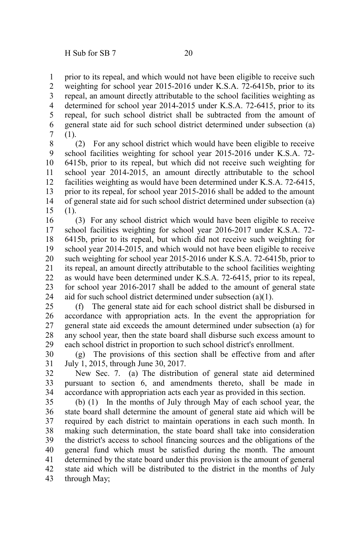prior to its repeal, and which would not have been eligible to receive such weighting for school year 2015-2016 under K.S.A. 72-6415b, prior to its repeal, an amount directly attributable to the school facilities weighting as determined for school year 2014-2015 under K.S.A. 72-6415, prior to its repeal, for such school district shall be subtracted from the amount of general state aid for such school district determined under subsection (a) (1). 1 2 3 4 5 6 7

(2) For any school district which would have been eligible to receive school facilities weighting for school year 2015-2016 under K.S.A. 72- 6415b, prior to its repeal, but which did not receive such weighting for school year 2014-2015, an amount directly attributable to the school facilities weighting as would have been determined under K.S.A. 72-6415, prior to its repeal, for school year 2015-2016 shall be added to the amount of general state aid for such school district determined under subsection (a) (1). 8 9 10 11 12 13 14 15

(3) For any school district which would have been eligible to receive school facilities weighting for school year 2016-2017 under K.S.A. 72- 6415b, prior to its repeal, but which did not receive such weighting for school year 2014-2015, and which would not have been eligible to receive such weighting for school year 2015-2016 under K.S.A. 72-6415b, prior to its repeal, an amount directly attributable to the school facilities weighting as would have been determined under K.S.A. 72-6415, prior to its repeal, for school year 2016-2017 shall be added to the amount of general state aid for such school district determined under subsection (a)(1). 16 17 18 19 20 21 22 23 24

(f) The general state aid for each school district shall be disbursed in accordance with appropriation acts. In the event the appropriation for general state aid exceeds the amount determined under subsection (a) for any school year, then the state board shall disburse such excess amount to each school district in proportion to such school district's enrollment. 25 26 27 28 29

(g) The provisions of this section shall be effective from and after July 1, 2015, through June 30, 2017. 30 31

New Sec. 7. (a) The distribution of general state aid determined pursuant to section 6, and amendments thereto, shall be made in accordance with appropriation acts each year as provided in this section. 32 33 34

(b) (1) In the months of July through May of each school year, the state board shall determine the amount of general state aid which will be required by each district to maintain operations in each such month. In making such determination, the state board shall take into consideration the district's access to school financing sources and the obligations of the general fund which must be satisfied during the month. The amount determined by the state board under this provision is the amount of general state aid which will be distributed to the district in the months of July through May; 35 36 37 38 39 40 41 42 43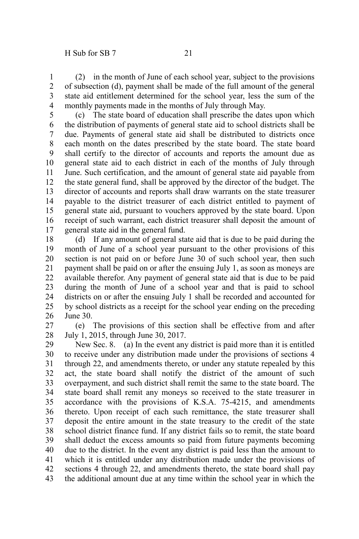(2) in the month of June of each school year, subject to the provisions of subsection (d), payment shall be made of the full amount of the general state aid entitlement determined for the school year, less the sum of the monthly payments made in the months of July through May. 1 2 3 4

(c) The state board of education shall prescribe the dates upon which the distribution of payments of general state aid to school districts shall be due. Payments of general state aid shall be distributed to districts once each month on the dates prescribed by the state board. The state board shall certify to the director of accounts and reports the amount due as general state aid to each district in each of the months of July through June. Such certification, and the amount of general state aid payable from the state general fund, shall be approved by the director of the budget. The director of accounts and reports shall draw warrants on the state treasurer payable to the district treasurer of each district entitled to payment of general state aid, pursuant to vouchers approved by the state board. Upon receipt of such warrant, each district treasurer shall deposit the amount of general state aid in the general fund. 5 6 7 8 9 10 11 12 13 14 15 16 17

(d) If any amount of general state aid that is due to be paid during the month of June of a school year pursuant to the other provisions of this section is not paid on or before June 30 of such school year, then such payment shall be paid on or after the ensuing July 1, as soon as moneys are available therefor. Any payment of general state aid that is due to be paid during the month of June of a school year and that is paid to school districts on or after the ensuing July 1 shall be recorded and accounted for by school districts as a receipt for the school year ending on the preceding June 30. 18 19 20 21 22 23 24 25 26

(e) The provisions of this section shall be effective from and after July 1, 2015, through June 30, 2017. 27 28

New Sec. 8. (a) In the event any district is paid more than it is entitled to receive under any distribution made under the provisions of sections 4 through 22, and amendments thereto, or under any statute repealed by this act, the state board shall notify the district of the amount of such overpayment, and such district shall remit the same to the state board. The state board shall remit any moneys so received to the state treasurer in accordance with the provisions of K.S.A. 75-4215, and amendments thereto. Upon receipt of each such remittance, the state treasurer shall deposit the entire amount in the state treasury to the credit of the state school district finance fund. If any district fails so to remit, the state board shall deduct the excess amounts so paid from future payments becoming due to the district. In the event any district is paid less than the amount to which it is entitled under any distribution made under the provisions of sections 4 through 22, and amendments thereto, the state board shall pay the additional amount due at any time within the school year in which the 29 30 31 32 33 34 35 36 37 38 39 40 41 42 43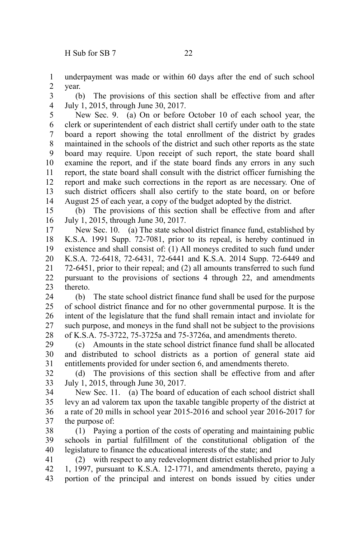underpayment was made or within 60 days after the end of such school year. 1 2

(b) The provisions of this section shall be effective from and after July 1, 2015, through June 30, 2017. 3 4

New Sec. 9. (a) On or before October 10 of each school year, the clerk or superintendent of each district shall certify under oath to the state board a report showing the total enrollment of the district by grades maintained in the schools of the district and such other reports as the state board may require. Upon receipt of such report, the state board shall examine the report, and if the state board finds any errors in any such report, the state board shall consult with the district officer furnishing the report and make such corrections in the report as are necessary. One of such district officers shall also certify to the state board, on or before August 25 of each year, a copy of the budget adopted by the district. 5 6 7 8 9 10 11 12 13 14

(b) The provisions of this section shall be effective from and after July 1, 2015, through June 30, 2017. 15 16

New Sec. 10. (a) The state school district finance fund, established by K.S.A. 1991 Supp. 72-7081, prior to its repeal, is hereby continued in existence and shall consist of: (1) All moneys credited to such fund under K.S.A. 72-6418, 72-6431, 72-6441 and K.S.A. 2014 Supp. 72-6449 and 72-6451, prior to their repeal; and (2) all amounts transferred to such fund pursuant to the provisions of sections 4 through 22, and amendments thereto. 17 18 19 20 21 22 23

(b) The state school district finance fund shall be used for the purpose of school district finance and for no other governmental purpose. It is the intent of the legislature that the fund shall remain intact and inviolate for such purpose, and moneys in the fund shall not be subject to the provisions of K.S.A. 75-3722, 75-3725a and 75-3726a, and amendments thereto. 24 25 26 27 28

(c) Amounts in the state school district finance fund shall be allocated and distributed to school districts as a portion of general state aid entitlements provided for under section 6, and amendments thereto. 29 30 31

(d) The provisions of this section shall be effective from and after July 1, 2015, through June 30, 2017. 32 33

New Sec. 11. (a) The board of education of each school district shall levy an ad valorem tax upon the taxable tangible property of the district at a rate of 20 mills in school year 2015-2016 and school year 2016-2017 for the purpose of: 34 35 36 37

(1) Paying a portion of the costs of operating and maintaining public schools in partial fulfillment of the constitutional obligation of the legislature to finance the educational interests of the state; and 38 39 40

(2) with respect to any redevelopment district established prior to July 1, 1997, pursuant to K.S.A. 12-1771, and amendments thereto, paying a portion of the principal and interest on bonds issued by cities under 41 42 43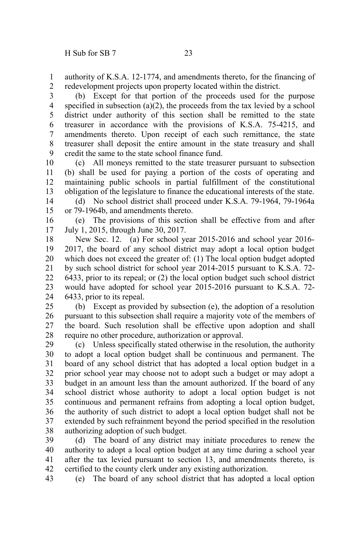authority of K.S.A. 12-1774, and amendments thereto, for the financing of redevelopment projects upon property located within the district. 1 2

(b) Except for that portion of the proceeds used for the purpose specified in subsection (a)(2), the proceeds from the tax levied by a school district under authority of this section shall be remitted to the state treasurer in accordance with the provisions of K.S.A. 75-4215, and amendments thereto. Upon receipt of each such remittance, the state treasurer shall deposit the entire amount in the state treasury and shall credit the same to the state school finance fund. 3 4 5 6 7 8 9

(c) All moneys remitted to the state treasurer pursuant to subsection (b) shall be used for paying a portion of the costs of operating and maintaining public schools in partial fulfillment of the constitutional obligation of the legislature to finance the educational interests of the state. 10 11 12 13

(d) No school district shall proceed under K.S.A. 79-1964, 79-1964a or 79-1964b, and amendments thereto. 14 15

(e) The provisions of this section shall be effective from and after July 1, 2015, through June 30, 2017. 16 17

New Sec. 12. (a) For school year 2015-2016 and school year 2016- 2017, the board of any school district may adopt a local option budget which does not exceed the greater of: (1) The local option budget adopted by such school district for school year 2014-2015 pursuant to K.S.A. 72- 6433, prior to its repeal; or (2) the local option budget such school district would have adopted for school year 2015-2016 pursuant to K.S.A. 72- 6433, prior to its repeal. 18 19 20 21 22 23 24

(b) Except as provided by subsection (e), the adoption of a resolution pursuant to this subsection shall require a majority vote of the members of the board. Such resolution shall be effective upon adoption and shall require no other procedure, authorization or approval. 25 26 27 28

(c) Unless specifically stated otherwise in the resolution, the authority to adopt a local option budget shall be continuous and permanent. The board of any school district that has adopted a local option budget in a prior school year may choose not to adopt such a budget or may adopt a budget in an amount less than the amount authorized. If the board of any school district whose authority to adopt a local option budget is not continuous and permanent refrains from adopting a local option budget, the authority of such district to adopt a local option budget shall not be extended by such refrainment beyond the period specified in the resolution authorizing adoption of such budget. 29 30 31 32 33 34 35 36 37 38

(d) The board of any district may initiate procedures to renew the authority to adopt a local option budget at any time during a school year after the tax levied pursuant to section 13, and amendments thereto, is certified to the county clerk under any existing authorization. 39 40 41 42

(e) The board of any school district that has adopted a local option 43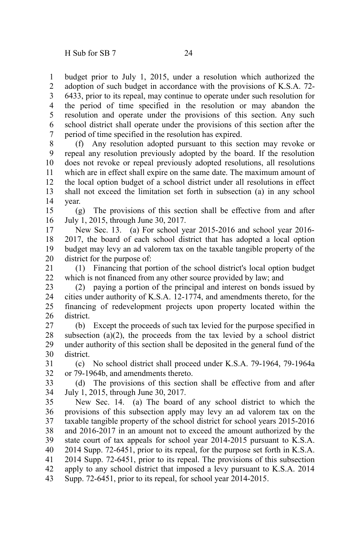budget prior to July 1, 2015, under a resolution which authorized the adoption of such budget in accordance with the provisions of K.S.A. 72- 6433, prior to its repeal, may continue to operate under such resolution for the period of time specified in the resolution or may abandon the resolution and operate under the provisions of this section. Any such school district shall operate under the provisions of this section after the period of time specified in the resolution has expired. 1 2 3 4 5 6 7

(f) Any resolution adopted pursuant to this section may revoke or repeal any resolution previously adopted by the board. If the resolution does not revoke or repeal previously adopted resolutions, all resolutions which are in effect shall expire on the same date. The maximum amount of the local option budget of a school district under all resolutions in effect shall not exceed the limitation set forth in subsection (a) in any school year. 8 9 10 11 12 13 14

(g) The provisions of this section shall be effective from and after July 1, 2015, through June 30, 2017. 15 16

New Sec. 13. (a) For school year 2015-2016 and school year 2016- 2017, the board of each school district that has adopted a local option budget may levy an ad valorem tax on the taxable tangible property of the district for the purpose of: 17 18 19 20

(1) Financing that portion of the school district's local option budget which is not financed from any other source provided by law; and 21 22

(2) paying a portion of the principal and interest on bonds issued by cities under authority of K.S.A. 12-1774, and amendments thereto, for the financing of redevelopment projects upon property located within the district. 23 24 25 26

(b) Except the proceeds of such tax levied for the purpose specified in subsection  $(a)(2)$ , the proceeds from the tax levied by a school district under authority of this section shall be deposited in the general fund of the district. 27 28 29 30

(c) No school district shall proceed under K.S.A. 79-1964, 79-1964a or 79-1964b, and amendments thereto. 31 32

(d) The provisions of this section shall be effective from and after July 1, 2015, through June 30, 2017. 33 34

New Sec. 14. (a) The board of any school district to which the provisions of this subsection apply may levy an ad valorem tax on the taxable tangible property of the school district for school years 2015-2016 and 2016-2017 in an amount not to exceed the amount authorized by the state court of tax appeals for school year 2014-2015 pursuant to K.S.A. 2014 Supp. 72-6451, prior to its repeal, for the purpose set forth in K.S.A. 2014 Supp. 72-6451, prior to its repeal. The provisions of this subsection apply to any school district that imposed a levy pursuant to K.S.A. 2014 Supp. 72-6451, prior to its repeal, for school year 2014-2015. 35 36 37 38 39 40 41 42 43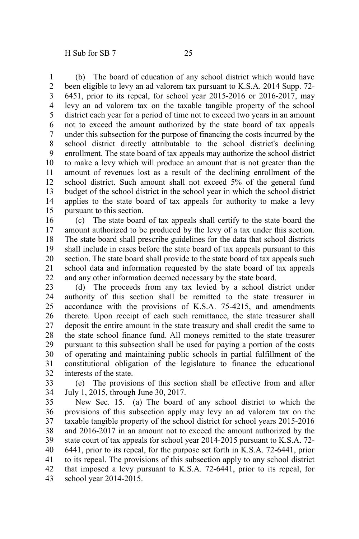(b) The board of education of any school district which would have been eligible to levy an ad valorem tax pursuant to K.S.A. 2014 Supp. 72- 6451, prior to its repeal, for school year 2015-2016 or 2016-2017, may levy an ad valorem tax on the taxable tangible property of the school district each year for a period of time not to exceed two years in an amount not to exceed the amount authorized by the state board of tax appeals under this subsection for the purpose of financing the costs incurred by the school district directly attributable to the school district's declining enrollment. The state board of tax appeals may authorize the school district to make a levy which will produce an amount that is not greater than the amount of revenues lost as a result of the declining enrollment of the school district. Such amount shall not exceed 5% of the general fund budget of the school district in the school year in which the school district applies to the state board of tax appeals for authority to make a levy pursuant to this section. 1 2 3 4 5 6 7 8 9 10 11 12 13 14 15

(c) The state board of tax appeals shall certify to the state board the amount authorized to be produced by the levy of a tax under this section. The state board shall prescribe guidelines for the data that school districts shall include in cases before the state board of tax appeals pursuant to this section. The state board shall provide to the state board of tax appeals such school data and information requested by the state board of tax appeals and any other information deemed necessary by the state board. 16 17 18 19 20 21 22

(d) The proceeds from any tax levied by a school district under authority of this section shall be remitted to the state treasurer in accordance with the provisions of K.S.A. 75-4215, and amendments thereto. Upon receipt of each such remittance, the state treasurer shall deposit the entire amount in the state treasury and shall credit the same to the state school finance fund. All moneys remitted to the state treasurer pursuant to this subsection shall be used for paying a portion of the costs of operating and maintaining public schools in partial fulfillment of the constitutional obligation of the legislature to finance the educational interests of the state. 23 24 25 26 27 28 29 30 31 32

(e) The provisions of this section shall be effective from and after July 1, 2015, through June 30, 2017. 33 34

New Sec. 15. (a) The board of any school district to which the provisions of this subsection apply may levy an ad valorem tax on the taxable tangible property of the school district for school years 2015-2016 and 2016-2017 in an amount not to exceed the amount authorized by the state court of tax appeals for school year 2014-2015 pursuant to K.S.A. 72- 6441, prior to its repeal, for the purpose set forth in K.S.A. 72-6441, prior to its repeal. The provisions of this subsection apply to any school district that imposed a levy pursuant to K.S.A. 72-6441, prior to its repeal, for school year 2014-2015. 35 36 37 38 39 40 41 42 43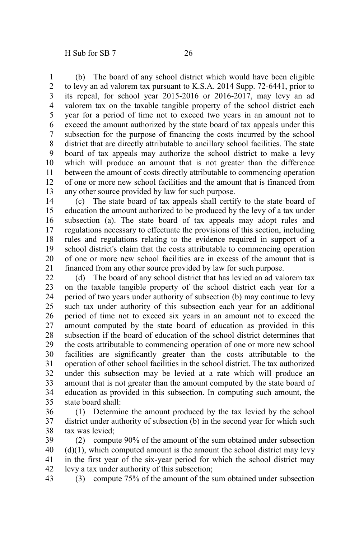(b) The board of any school district which would have been eligible to levy an ad valorem tax pursuant to K.S.A. 2014 Supp. 72-6441, prior to its repeal, for school year 2015-2016 or 2016-2017, may levy an ad valorem tax on the taxable tangible property of the school district each year for a period of time not to exceed two years in an amount not to exceed the amount authorized by the state board of tax appeals under this subsection for the purpose of financing the costs incurred by the school district that are directly attributable to ancillary school facilities. The state board of tax appeals may authorize the school district to make a levy which will produce an amount that is not greater than the difference between the amount of costs directly attributable to commencing operation of one or more new school facilities and the amount that is financed from any other source provided by law for such purpose. 1 2 3 4 5 6 7 8 9 10 11 12 13

(c) The state board of tax appeals shall certify to the state board of education the amount authorized to be produced by the levy of a tax under subsection (a). The state board of tax appeals may adopt rules and regulations necessary to effectuate the provisions of this section, including rules and regulations relating to the evidence required in support of a school district's claim that the costs attributable to commencing operation of one or more new school facilities are in excess of the amount that is financed from any other source provided by law for such purpose. 14 15 16 17 18 19 20 21

(d) The board of any school district that has levied an ad valorem tax on the taxable tangible property of the school district each year for a period of two years under authority of subsection (b) may continue to levy such tax under authority of this subsection each year for an additional period of time not to exceed six years in an amount not to exceed the amount computed by the state board of education as provided in this subsection if the board of education of the school district determines that the costs attributable to commencing operation of one or more new school facilities are significantly greater than the costs attributable to the operation of other school facilities in the school district. The tax authorized under this subsection may be levied at a rate which will produce an amount that is not greater than the amount computed by the state board of education as provided in this subsection. In computing such amount, the state board shall: 22 23 24 25 26 27 28 29 30 31 32 33 34 35

(1) Determine the amount produced by the tax levied by the school district under authority of subsection (b) in the second year for which such tax was levied; 36 37 38

(2) compute 90% of the amount of the sum obtained under subsection  $(d)(1)$ , which computed amount is the amount the school district may levy in the first year of the six-year period for which the school district may levy a tax under authority of this subsection; 39 40 41 42

(3) compute 75% of the amount of the sum obtained under subsection 43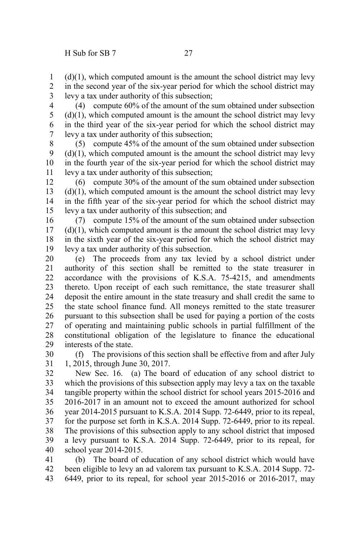$(d)(1)$ , which computed amount is the amount the school district may levy in the second year of the six-year period for which the school district may levy a tax under authority of this subsection; 1 2 3

(4) compute 60% of the amount of the sum obtained under subsection  $(d)(1)$ , which computed amount is the amount the school district may levy in the third year of the six-year period for which the school district may levy a tax under authority of this subsection; 4 5 6 7

(5) compute 45% of the amount of the sum obtained under subsection  $(d)(1)$ , which computed amount is the amount the school district may levy in the fourth year of the six-year period for which the school district may levy a tax under authority of this subsection; 8 9 10 11

(6) compute 30% of the amount of the sum obtained under subsection  $(d)(1)$ , which computed amount is the amount the school district may levy in the fifth year of the six-year period for which the school district may levy a tax under authority of this subsection; and 12 13 14 15

(7) compute 15% of the amount of the sum obtained under subsection  $(d)(1)$ , which computed amount is the amount the school district may levy in the sixth year of the six-year period for which the school district may levy a tax under authority of this subsection. 16 17 18 19

(e) The proceeds from any tax levied by a school district under authority of this section shall be remitted to the state treasurer in accordance with the provisions of K.S.A. 75-4215, and amendments thereto. Upon receipt of each such remittance, the state treasurer shall deposit the entire amount in the state treasury and shall credit the same to the state school finance fund. All moneys remitted to the state treasurer pursuant to this subsection shall be used for paying a portion of the costs of operating and maintaining public schools in partial fulfillment of the constitutional obligation of the legislature to finance the educational interests of the state. 20 21 22 23 24 25 26 27 28 29

(f) The provisions of this section shall be effective from and after July 1, 2015, through June 30, 2017. 30 31

New Sec. 16. (a) The board of education of any school district to which the provisions of this subsection apply may levy a tax on the taxable tangible property within the school district for school years 2015-2016 and 2016-2017 in an amount not to exceed the amount authorized for school year 2014-2015 pursuant to K.S.A. 2014 Supp. 72-6449, prior to its repeal, for the purpose set forth in K.S.A. 2014 Supp. 72-6449, prior to its repeal. The provisions of this subsection apply to any school district that imposed a levy pursuant to K.S.A. 2014 Supp. 72-6449, prior to its repeal, for school year 2014-2015. 32 33 34 35 36 37 38 39 40

(b) The board of education of any school district which would have been eligible to levy an ad valorem tax pursuant to K.S.A. 2014 Supp. 72- 6449, prior to its repeal, for school year 2015-2016 or 2016-2017, may 41 42 43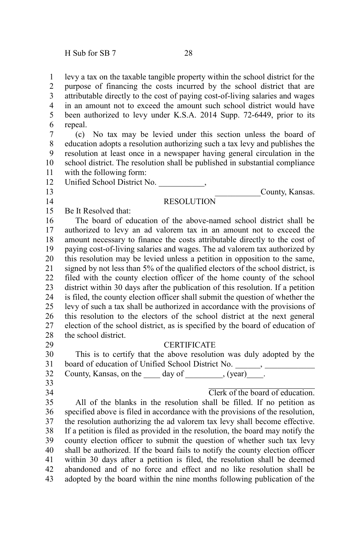levy a tax on the taxable tangible property within the school district for the purpose of financing the costs incurred by the school district that are attributable directly to the cost of paying cost-of-living salaries and wages in an amount not to exceed the amount such school district would have been authorized to levy under K.S.A. 2014 Supp. 72-6449, prior to its repeal. 1 2 3 4 5 6

(c) No tax may be levied under this section unless the board of education adopts a resolution authorizing such a tax levy and publishes the resolution at least once in a newspaper having general circulation in the school district. The resolution shall be published in substantial compliance with the following form: 7 8 9 10 11

Unified School District No. \_\_\_\_\_\_\_\_\_\_\_, 12

## 13 14

## **RESOLUTION**

Be It Resolved that: 15

The board of education of the above-named school district shall be authorized to levy an ad valorem tax in an amount not to exceed the amount necessary to finance the costs attributable directly to the cost of paying cost-of-living salaries and wages. The ad valorem tax authorized by this resolution may be levied unless a petition in opposition to the same, signed by not less than 5% of the qualified electors of the school district, is filed with the county election officer of the home county of the school district within 30 days after the publication of this resolution. If a petition is filed, the county election officer shall submit the question of whether the levy of such a tax shall be authorized in accordance with the provisions of this resolution to the electors of the school district at the next general election of the school district, as is specified by the board of education of the school district. 16 17 18 19 20 21 22 23 24 25 26 27 28

29

## **CERTIFICATE**

This is to certify that the above resolution was duly adopted by the board of education of Unified School District No. \_\_\_\_\_\_, \_\_\_\_\_\_\_\_\_\_\_\_\_\_\_\_\_\_\_\_\_\_\_ County, Kansas, on the  $\rule{1em}{0.15mm}$  day of  $\rule{1.5mm}{0.15mm}$  (year)  $\qquad$ . 30 31 32

- 33
- 34

Clerk of the board of education.

County, Kansas.

All of the blanks in the resolution shall be filled. If no petition as specified above is filed in accordance with the provisions of the resolution, the resolution authorizing the ad valorem tax levy shall become effective. If a petition is filed as provided in the resolution, the board may notify the county election officer to submit the question of whether such tax levy shall be authorized. If the board fails to notify the county election officer within 30 days after a petition is filed, the resolution shall be deemed abandoned and of no force and effect and no like resolution shall be adopted by the board within the nine months following publication of the 35 36 37 38 39 40 41 42 43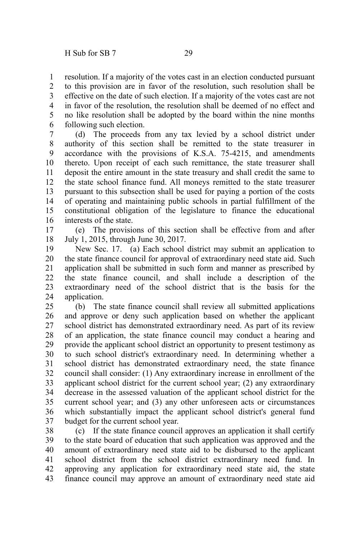resolution. If a majority of the votes cast in an election conducted pursuant to this provision are in favor of the resolution, such resolution shall be effective on the date of such election. If a majority of the votes cast are not in favor of the resolution, the resolution shall be deemed of no effect and no like resolution shall be adopted by the board within the nine months following such election. 1 2 3 4 5 6

(d) The proceeds from any tax levied by a school district under authority of this section shall be remitted to the state treasurer in accordance with the provisions of K.S.A. 75-4215, and amendments thereto. Upon receipt of each such remittance, the state treasurer shall deposit the entire amount in the state treasury and shall credit the same to the state school finance fund. All moneys remitted to the state treasurer pursuant to this subsection shall be used for paying a portion of the costs of operating and maintaining public schools in partial fulfillment of the constitutional obligation of the legislature to finance the educational interests of the state. 7 8 9 10 11 12 13 14 15 16

(e) The provisions of this section shall be effective from and after July 1, 2015, through June 30, 2017. 17 18

New Sec. 17. (a) Each school district may submit an application to the state finance council for approval of extraordinary need state aid. Such application shall be submitted in such form and manner as prescribed by the state finance council, and shall include a description of the extraordinary need of the school district that is the basis for the application. 19 20 21 22 23 24

(b) The state finance council shall review all submitted applications and approve or deny such application based on whether the applicant school district has demonstrated extraordinary need. As part of its review of an application, the state finance council may conduct a hearing and provide the applicant school district an opportunity to present testimony as to such school district's extraordinary need. In determining whether a school district has demonstrated extraordinary need, the state finance council shall consider: (1) Any extraordinary increase in enrollment of the applicant school district for the current school year; (2) any extraordinary decrease in the assessed valuation of the applicant school district for the current school year; and (3) any other unforeseen acts or circumstances which substantially impact the applicant school district's general fund budget for the current school year. 25 26 27 28 29 30 31 32 33 34 35 36 37

(c) If the state finance council approves an application it shall certify to the state board of education that such application was approved and the amount of extraordinary need state aid to be disbursed to the applicant school district from the school district extraordinary need fund. In approving any application for extraordinary need state aid, the state finance council may approve an amount of extraordinary need state aid 38 39 40 41 42 43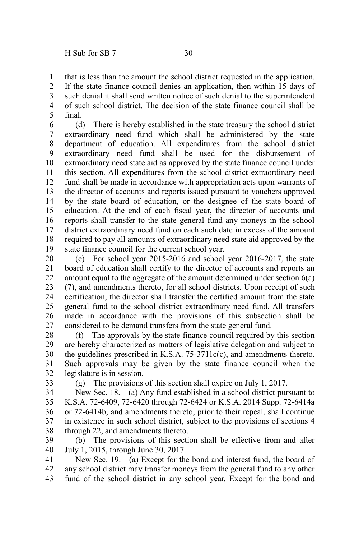that is less than the amount the school district requested in the application. If the state finance council denies an application, then within 15 days of such denial it shall send written notice of such denial to the superintendent of such school district. The decision of the state finance council shall be final. 1 2 3 4 5

(d) There is hereby established in the state treasury the school district extraordinary need fund which shall be administered by the state department of education. All expenditures from the school district extraordinary need fund shall be used for the disbursement of extraordinary need state aid as approved by the state finance council under this section. All expenditures from the school district extraordinary need fund shall be made in accordance with appropriation acts upon warrants of the director of accounts and reports issued pursuant to vouchers approved by the state board of education, or the designee of the state board of education. At the end of each fiscal year, the director of accounts and reports shall transfer to the state general fund any moneys in the school district extraordinary need fund on each such date in excess of the amount required to pay all amounts of extraordinary need state aid approved by the state finance council for the current school year. 6 7 8 9 10 11 12 13 14 15 16 17 18 19

(e) For school year 2015-2016 and school year 2016-2017, the state board of education shall certify to the director of accounts and reports an amount equal to the aggregate of the amount determined under section 6(a) (7), and amendments thereto, for all school districts. Upon receipt of such certification, the director shall transfer the certified amount from the state general fund to the school district extraordinary need fund. All transfers made in accordance with the provisions of this subsection shall be considered to be demand transfers from the state general fund. 20 21 22 23 24 25 26 27

(f) The approvals by the state finance council required by this section are hereby characterized as matters of legislative delegation and subject to the guidelines prescribed in K.S.A. 75-3711c(c), and amendments thereto. Such approvals may be given by the state finance council when the legislature is in session. 28 29 30 31 32

33

(g) The provisions of this section shall expire on July 1, 2017.

New Sec. 18. (a) Any fund established in a school district pursuant to K.S.A. 72-6409, 72-6420 through 72-6424 or K.S.A. 2014 Supp. 72-6414a or 72-6414b, and amendments thereto, prior to their repeal, shall continue in existence in such school district, subject to the provisions of sections 4 through 22, and amendments thereto. 34 35 36 37 38

(b) The provisions of this section shall be effective from and after July 1, 2015, through June 30, 2017. 39 40

New Sec. 19. (a) Except for the bond and interest fund, the board of any school district may transfer moneys from the general fund to any other fund of the school district in any school year. Except for the bond and 41 42 43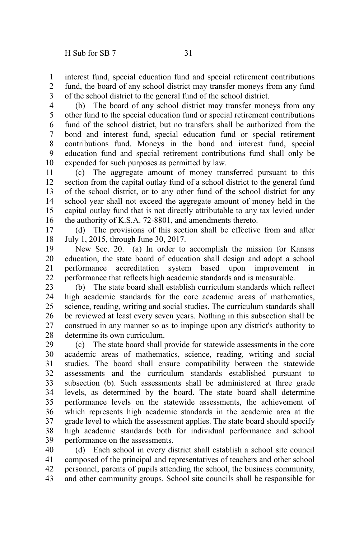interest fund, special education fund and special retirement contributions fund, the board of any school district may transfer moneys from any fund of the school district to the general fund of the school district. 1 2 3

(b) The board of any school district may transfer moneys from any other fund to the special education fund or special retirement contributions fund of the school district, but no transfers shall be authorized from the bond and interest fund, special education fund or special retirement contributions fund. Moneys in the bond and interest fund, special education fund and special retirement contributions fund shall only be expended for such purposes as permitted by law. 4 5 6 7 8 9 10

(c) The aggregate amount of money transferred pursuant to this section from the capital outlay fund of a school district to the general fund of the school district, or to any other fund of the school district for any school year shall not exceed the aggregate amount of money held in the capital outlay fund that is not directly attributable to any tax levied under the authority of K.S.A. 72-8801, and amendments thereto. 11 12 13 14 15 16

(d) The provisions of this section shall be effective from and after July 1, 2015, through June 30, 2017. 17 18

New Sec. 20. (a) In order to accomplish the mission for Kansas education, the state board of education shall design and adopt a school performance accreditation system based upon improvement performance that reflects high academic standards and is measurable. 19 20 21 22

(b) The state board shall establish curriculum standards which reflect high academic standards for the core academic areas of mathematics, science, reading, writing and social studies. The curriculum standards shall be reviewed at least every seven years. Nothing in this subsection shall be construed in any manner so as to impinge upon any district's authority to determine its own curriculum. 23 24 25 26 27 28

(c) The state board shall provide for statewide assessments in the core academic areas of mathematics, science, reading, writing and social studies. The board shall ensure compatibility between the statewide assessments and the curriculum standards established pursuant to subsection (b). Such assessments shall be administered at three grade levels, as determined by the board. The state board shall determine performance levels on the statewide assessments, the achievement of which represents high academic standards in the academic area at the grade level to which the assessment applies. The state board should specify high academic standards both for individual performance and school performance on the assessments. 29 30 31 32 33 34 35 36 37 38 39

(d) Each school in every district shall establish a school site council composed of the principal and representatives of teachers and other school personnel, parents of pupils attending the school, the business community, and other community groups. School site councils shall be responsible for 40 41 42 43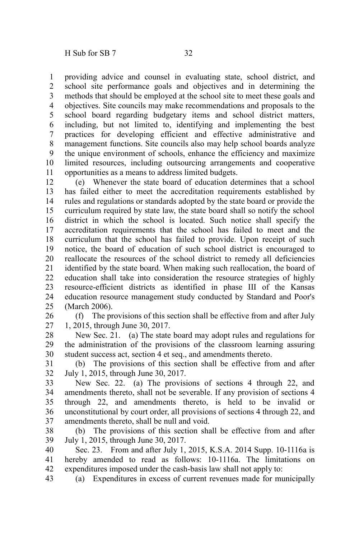providing advice and counsel in evaluating state, school district, and school site performance goals and objectives and in determining the methods that should be employed at the school site to meet these goals and objectives. Site councils may make recommendations and proposals to the school board regarding budgetary items and school district matters, including, but not limited to, identifying and implementing the best practices for developing efficient and effective administrative and management functions. Site councils also may help school boards analyze the unique environment of schools, enhance the efficiency and maximize limited resources, including outsourcing arrangements and cooperative opportunities as a means to address limited budgets. 1 2 3 4 5 6 7 8 9 10 11

(e) Whenever the state board of education determines that a school has failed either to meet the accreditation requirements established by rules and regulations or standards adopted by the state board or provide the curriculum required by state law, the state board shall so notify the school district in which the school is located. Such notice shall specify the accreditation requirements that the school has failed to meet and the curriculum that the school has failed to provide. Upon receipt of such notice, the board of education of such school district is encouraged to reallocate the resources of the school district to remedy all deficiencies identified by the state board. When making such reallocation, the board of education shall take into consideration the resource strategies of highly resource-efficient districts as identified in phase III of the Kansas education resource management study conducted by Standard and Poor's (March 2006). 12 13 14 15 16 17 18 19 20 21 22 23 24 25

(f) The provisions of this section shall be effective from and after July 1, 2015, through June 30, 2017. 26 27

New Sec. 21. (a) The state board may adopt rules and regulations for the administration of the provisions of the classroom learning assuring student success act, section 4 et seq., and amendments thereto. 28 29 30

(b) The provisions of this section shall be effective from and after July 1, 2015, through June 30, 2017. 31 32

New Sec. 22. (a) The provisions of sections 4 through 22, and amendments thereto, shall not be severable. If any provision of sections 4 through 22, and amendments thereto, is held to be invalid or unconstitutional by court order, all provisions of sections 4 through 22, and amendments thereto, shall be null and void. 33 34 35 36 37

(b) The provisions of this section shall be effective from and after July 1, 2015, through June 30, 2017. 38 39

Sec. 23. From and after July 1, 2015, K.S.A. 2014 Supp. 10-1116a is hereby amended to read as follows: 10-1116a. The limitations on expenditures imposed under the cash-basis law shall not apply to: 40 41 42

(a) Expenditures in excess of current revenues made for municipally 43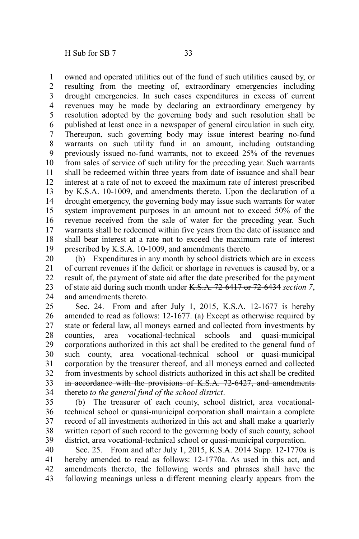1

owned and operated utilities out of the fund of such utilities caused by, or

resulting from the meeting of, extraordinary emergencies including drought emergencies. In such cases expenditures in excess of current revenues may be made by declaring an extraordinary emergency by resolution adopted by the governing body and such resolution shall be published at least once in a newspaper of general circulation in such city. Thereupon, such governing body may issue interest bearing no-fund warrants on such utility fund in an amount, including outstanding previously issued no-fund warrants, not to exceed 25% of the revenues from sales of service of such utility for the preceding year. Such warrants shall be redeemed within three years from date of issuance and shall bear interest at a rate of not to exceed the maximum rate of interest prescribed by K.S.A. 10-1009, and amendments thereto. Upon the declaration of a drought emergency, the governing body may issue such warrants for water system improvement purposes in an amount not to exceed 50% of the revenue received from the sale of water for the preceding year. Such warrants shall be redeemed within five years from the date of issuance and shall bear interest at a rate not to exceed the maximum rate of interest prescribed by K.S.A. 10-1009, and amendments thereto. 2 3 4 5 6 7 8 9 10 11 12 13 14 15 16 17 18 19

(b) Expenditures in any month by school districts which are in excess of current revenues if the deficit or shortage in revenues is caused by, or a result of, the payment of state aid after the date prescribed for the payment of state aid during such month under K.S.A. 72-6417 or 72-6434 *section 7*, and amendments thereto. 20 21 22 23 24

Sec. 24. From and after July 1, 2015, K.S.A. 12-1677 is hereby amended to read as follows: 12-1677. (a) Except as otherwise required by state or federal law, all moneys earned and collected from investments by counties, area vocational-technical schools and quasi-municipal corporations authorized in this act shall be credited to the general fund of such county, area vocational-technical school or quasi-municipal corporation by the treasurer thereof, and all moneys earned and collected from investments by school districts authorized in this act shall be credited in accordance with the provisions of K.S.A. 72-6427, and amendments thereto *to the general fund of the school district*. 25 26 27 28 29 30 31 32 33 34

(b) The treasurer of each county, school district, area vocationaltechnical school or quasi-municipal corporation shall maintain a complete record of all investments authorized in this act and shall make a quarterly written report of such record to the governing body of such county, school district, area vocational-technical school or quasi-municipal corporation. 35 36 37 38 39

Sec. 25. From and after July 1, 2015, K.S.A. 2014 Supp. 12-1770a is hereby amended to read as follows: 12-1770a. As used in this act, and amendments thereto, the following words and phrases shall have the following meanings unless a different meaning clearly appears from the 40 41 42 43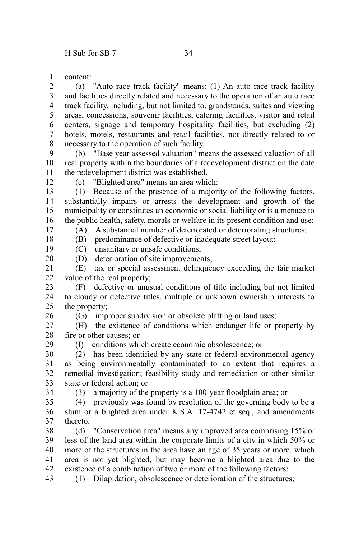content: 1

(a) "Auto race track facility" means: (1) An auto race track facility and facilities directly related and necessary to the operation of an auto race track facility, including, but not limited to, grandstands, suites and viewing areas, concessions, souvenir facilities, catering facilities, visitor and retail centers, signage and temporary hospitality facilities, but excluding (2) hotels, motels, restaurants and retail facilities, not directly related to or necessary to the operation of such facility. 2 3 4 5 6 7 8

(b) "Base year assessed valuation" means the assessed valuation of all real property within the boundaries of a redevelopment district on the date the redevelopment district was established. 9 10 11

12

17 18 (c) "Blighted area" means an area which:

(1) Because of the presence of a majority of the following factors, substantially impairs or arrests the development and growth of the municipality or constitutes an economic or social liability or is a menace to the public health, safety, morals or welfare in its present condition and use: 13 14 15 16

(A) A substantial number of deteriorated or deteriorating structures;

(B) predominance of defective or inadequate street layout;

(C) unsanitary or unsafe conditions; 19

(D) deterioration of site improvements; 20

(E) tax or special assessment delinquency exceeding the fair market value of the real property; 21 22

(F) defective or unusual conditions of title including but not limited to cloudy or defective titles, multiple or unknown ownership interests to the property; 23 24 25

26

29

(G) improper subdivision or obsolete platting or land uses;

(H) the existence of conditions which endanger life or property by fire or other causes; or 27 28

(I) conditions which create economic obsolescence; or

(2) has been identified by any state or federal environmental agency as being environmentally contaminated to an extent that requires a remedial investigation; feasibility study and remediation or other similar state or federal action; or 30 31 32 33

34

(3) a majority of the property is a 100-year floodplain area; or

(4) previously was found by resolution of the governing body to be a slum or a blighted area under K.S.A. 17-4742 et seq., and amendments thereto. 35 36 37

(d) "Conservation area" means any improved area comprising 15% or less of the land area within the corporate limits of a city in which 50% or more of the structures in the area have an age of 35 years or more, which area is not yet blighted, but may become a blighted area due to the existence of a combination of two or more of the following factors: 38 39 40 41 42

(1) Dilapidation, obsolescence or deterioration of the structures; 43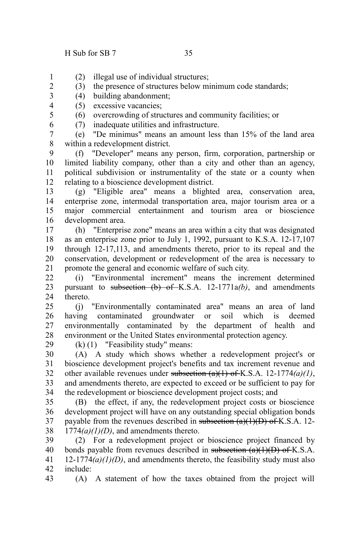2

6

- (2) illegal use of individual structures; 1
	- (3) the presence of structures below minimum code standards;
- (4) building abandonment; 3
- (5) excessive vacancies; 4
- (6) overcrowding of structures and community facilities; or 5
	- (7) inadequate utilities and infrastructure.

(e) "De minimus" means an amount less than 15% of the land area within a redevelopment district. 7 8

(f) "Developer" means any person, firm, corporation, partnership or limited liability company, other than a city and other than an agency, political subdivision or instrumentality of the state or a county when relating to a bioscience development district. 9 10 11 12

(g) "Eligible area" means a blighted area, conservation area, enterprise zone, intermodal transportation area, major tourism area or a major commercial entertainment and tourism area or bioscience development area. 13 14 15 16

(h) "Enterprise zone" means an area within a city that was designated as an enterprise zone prior to July 1, 1992, pursuant to K.S.A. 12-17,107 through 12-17,113, and amendments thereto, prior to its repeal and the conservation, development or redevelopment of the area is necessary to promote the general and economic welfare of such city. 17 18 19 20 21

(i) "Environmental increment" means the increment determined pursuant to subsection  $(b)$  of K.S.A. 12-1771 $a(b)$ , and amendments thereto. 22 23 24

(j) "Environmentally contaminated area" means an area of land having contaminated groundwater or soil which is deemed environmentally contaminated by the department of health and environment or the United States environmental protection agency. 25 26 27 28

29

(k) (1) "Feasibility study" means:

(A) A study which shows whether a redevelopment project's or bioscience development project's benefits and tax increment revenue and other available revenues under subsection (a)(1) of K.S.A. 12-1774*(a)(1)*, and amendments thereto, are expected to exceed or be sufficient to pay for the redevelopment or bioscience development project costs; and 30 31 32 33 34

(B) the effect, if any, the redevelopment project costs or bioscience development project will have on any outstanding special obligation bonds payable from the revenues described in subsection  $(a)(1)(D)$  of K.S.A. 12-1774*(a)(1)(D)*, and amendments thereto. 35 36 37 38

(2) For a redevelopment project or bioscience project financed by bonds payable from revenues described in subsection  $(a)(1)(D)$  of K.S.A.  $12-1774(a)(1)(D)$ , and amendments thereto, the feasibility study must also include: 39 40 41 42 43

(A) A statement of how the taxes obtained from the project will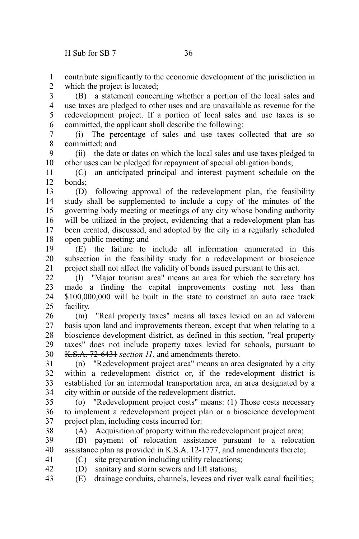contribute significantly to the economic development of the jurisdiction in which the project is located: 1 2

(B) a statement concerning whether a portion of the local sales and use taxes are pledged to other uses and are unavailable as revenue for the redevelopment project. If a portion of local sales and use taxes is so committed, the applicant shall describe the following: 3 4 5 6

(i) The percentage of sales and use taxes collected that are so committed; and 7 8

(ii) the date or dates on which the local sales and use taxes pledged to other uses can be pledged for repayment of special obligation bonds; 9 10

(C) an anticipated principal and interest payment schedule on the bonds; 11 12

(D) following approval of the redevelopment plan, the feasibility study shall be supplemented to include a copy of the minutes of the governing body meeting or meetings of any city whose bonding authority will be utilized in the project, evidencing that a redevelopment plan has been created, discussed, and adopted by the city in a regularly scheduled open public meeting; and 13 14 15 16 17 18

(E) the failure to include all information enumerated in this subsection in the feasibility study for a redevelopment or bioscience project shall not affect the validity of bonds issued pursuant to this act. 19 20 21

(l) "Major tourism area" means an area for which the secretary has made a finding the capital improvements costing not less than \$100,000,000 will be built in the state to construct an auto race track facility. 22 23 24 25

(m) "Real property taxes" means all taxes levied on an ad valorem basis upon land and improvements thereon, except that when relating to a bioscience development district, as defined in this section, "real property taxes" does not include property taxes levied for schools, pursuant to K.S.A. 72-6431 *section 11*, and amendments thereto. 26 27 28 29 30

(n) "Redevelopment project area" means an area designated by a city within a redevelopment district or, if the redevelopment district is established for an intermodal transportation area, an area designated by a city within or outside of the redevelopment district. 31 32 33 34

(o) "Redevelopment project costs" means: (1) Those costs necessary to implement a redevelopment project plan or a bioscience development project plan, including costs incurred for: 35 36 37

38

(A) Acquisition of property within the redevelopment project area;

(B) payment of relocation assistance pursuant to a relocation assistance plan as provided in K.S.A. 12-1777, and amendments thereto; 39 40

- (C) site preparation including utility relocations; 41
- (D) sanitary and storm sewers and lift stations; 42
- (E) drainage conduits, channels, levees and river walk canal facilities; 43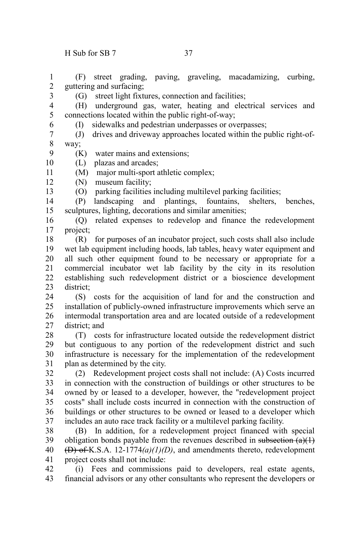3

6

13

(F) street grading, paving, graveling, macadamizing, curbing, guttering and surfacing; 1 2

(G) street light fixtures, connection and facilities;

- (H) underground gas, water, heating and electrical services and connections located within the public right-of-way; 4 5
	- (I) sidewalks and pedestrian underpasses or overpasses;
- (J) drives and driveway approaches located within the public right-ofway; 7 8
- (K) water mains and extensions; 9
- (L) plazas and arcades; 10
- (M) major multi-sport athletic complex; 11
- (N) museum facility; 12
	- (O) parking facilities including multilevel parking facilities;
- (P) landscaping and plantings, fountains, shelters, benches, sculptures, lighting, decorations and similar amenities; 14 15
- (Q) related expenses to redevelop and finance the redevelopment project; 16 17
- (R) for purposes of an incubator project, such costs shall also include wet lab equipment including hoods, lab tables, heavy water equipment and all such other equipment found to be necessary or appropriate for a commercial incubator wet lab facility by the city in its resolution establishing such redevelopment district or a bioscience development district; 18 19 20 21 22 23
- (S) costs for the acquisition of land for and the construction and installation of publicly-owned infrastructure improvements which serve an intermodal transportation area and are located outside of a redevelopment district; and 24 25 26 27
- (T) costs for infrastructure located outside the redevelopment district but contiguous to any portion of the redevelopment district and such infrastructure is necessary for the implementation of the redevelopment plan as determined by the city. 28 29 30 31
- (2) Redevelopment project costs shall not include: (A) Costs incurred in connection with the construction of buildings or other structures to be owned by or leased to a developer, however, the "redevelopment project costs" shall include costs incurred in connection with the construction of buildings or other structures to be owned or leased to a developer which includes an auto race track facility or a multilevel parking facility. 32 33 34 35 36 37
- (B) In addition, for a redevelopment project financed with special obligation bonds payable from the revenues described in subsection  $(a)(1)$ (D) of K.S.A. 12-1774*(a)(1)(D)*, and amendments thereto, redevelopment project costs shall not include: 38 39 40 41
- (i) Fees and commissions paid to developers, real estate agents, financial advisors or any other consultants who represent the developers or 42 43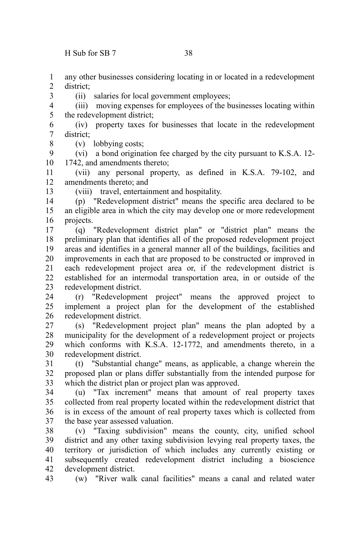$H$  Sub for SB 7 38

3

8

13

any other businesses considering locating in or located in a redevelopment district; 1 2

(ii) salaries for local government employees;

(iii) moving expenses for employees of the businesses locating within the redevelopment district; 4 5

(iv) property taxes for businesses that locate in the redevelopment district; 6 7

(v) lobbying costs;

(vi) a bond origination fee charged by the city pursuant to K.S.A. 12- 1742, and amendments thereto; 9 10

(vii) any personal property, as defined in K.S.A. 79-102, and amendments thereto; and 11 12

(viii) travel, entertainment and hospitality.

(p) "Redevelopment district" means the specific area declared to be an eligible area in which the city may develop one or more redevelopment projects. 14 15 16

(q) "Redevelopment district plan" or "district plan" means the preliminary plan that identifies all of the proposed redevelopment project areas and identifies in a general manner all of the buildings, facilities and improvements in each that are proposed to be constructed or improved in each redevelopment project area or, if the redevelopment district is established for an intermodal transportation area, in or outside of the redevelopment district. 17 18 19 20 21 22 23

(r) "Redevelopment project" means the approved project to implement a project plan for the development of the established redevelopment district. 24 25 26

(s) "Redevelopment project plan" means the plan adopted by a municipality for the development of a redevelopment project or projects which conforms with K.S.A. 12-1772, and amendments thereto, in a redevelopment district. 27 28 29 30

(t) "Substantial change" means, as applicable, a change wherein the proposed plan or plans differ substantially from the intended purpose for which the district plan or project plan was approved. 31 32 33

(u) "Tax increment" means that amount of real property taxes collected from real property located within the redevelopment district that is in excess of the amount of real property taxes which is collected from the base year assessed valuation. 34 35 36 37

(v) "Taxing subdivision" means the county, city, unified school district and any other taxing subdivision levying real property taxes, the territory or jurisdiction of which includes any currently existing or subsequently created redevelopment district including a bioscience development district. 38 39 40 41 42

(w) "River walk canal facilities" means a canal and related water 43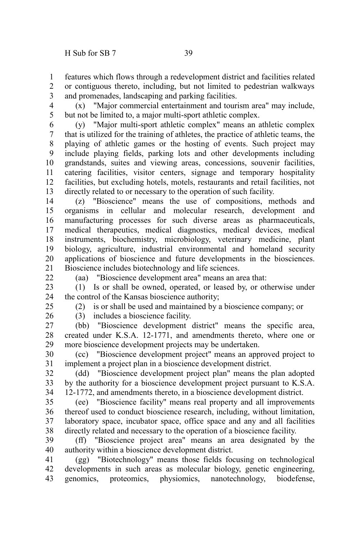features which flows through a redevelopment district and facilities related or contiguous thereto, including, but not limited to pedestrian walkways and promenades, landscaping and parking facilities. 1 2 3

4 5

(x) "Major commercial entertainment and tourism area" may include, but not be limited to, a major multi-sport athletic complex.

(y) "Major multi-sport athletic complex" means an athletic complex that is utilized for the training of athletes, the practice of athletic teams, the playing of athletic games or the hosting of events. Such project may include playing fields, parking lots and other developments including grandstands, suites and viewing areas, concessions, souvenir facilities, catering facilities, visitor centers, signage and temporary hospitality facilities, but excluding hotels, motels, restaurants and retail facilities, not directly related to or necessary to the operation of such facility. 6 7 8 9 10 11 12 13

(z) "Bioscience" means the use of compositions, methods and organisms in cellular and molecular research, development and manufacturing processes for such diverse areas as pharmaceuticals, medical therapeutics, medical diagnostics, medical devices, medical instruments, biochemistry, microbiology, veterinary medicine, plant biology, agriculture, industrial environmental and homeland security applications of bioscience and future developments in the biosciences. Bioscience includes biotechnology and life sciences. 14 15 16 17 18 19 20 21

22

(aa) "Bioscience development area" means an area that:

(1) Is or shall be owned, operated, or leased by, or otherwise under the control of the Kansas bioscience authority; 23 24

25

26

(2) is or shall be used and maintained by a bioscience company; or (3) includes a bioscience facility.

(bb) "Bioscience development district" means the specific area, created under K.S.A. 12-1771, and amendments thereto, where one or more bioscience development projects may be undertaken. 27 28 29

(cc) "Bioscience development project" means an approved project to implement a project plan in a bioscience development district. 30 31

(dd) "Bioscience development project plan" means the plan adopted by the authority for a bioscience development project pursuant to K.S.A. 12-1772, and amendments thereto, in a bioscience development district. 32 33 34

(ee) "Bioscience facility" means real property and all improvements thereof used to conduct bioscience research, including, without limitation, laboratory space, incubator space, office space and any and all facilities directly related and necessary to the operation of a bioscience facility. 35 36 37 38

(ff) "Bioscience project area" means an area designated by the authority within a bioscience development district. 39 40

(gg) "Biotechnology" means those fields focusing on technological developments in such areas as molecular biology, genetic engineering, genomics, proteomics, physiomics, nanotechnology, biodefense, 41 42 43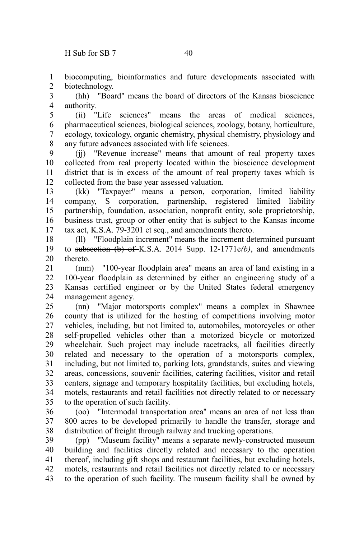biocomputing, bioinformatics and future developments associated with biotechnology. 1 2

(hh) "Board" means the board of directors of the Kansas bioscience authority. 3 4

(ii) "Life sciences" means the areas of medical sciences, pharmaceutical sciences, biological sciences, zoology, botany, horticulture, ecology, toxicology, organic chemistry, physical chemistry, physiology and any future advances associated with life sciences. 5 6 7 8

(jj) "Revenue increase" means that amount of real property taxes collected from real property located within the bioscience development district that is in excess of the amount of real property taxes which is collected from the base year assessed valuation. 9 10 11 12

(kk) "Taxpayer" means a person, corporation, limited liability company, S corporation, partnership, registered limited liability partnership, foundation, association, nonprofit entity, sole proprietorship, business trust, group or other entity that is subject to the Kansas income tax act, K.S.A. 79-3201 et seq., and amendments thereto. 13 14 15 16 17

(ll) "Floodplain increment" means the increment determined pursuant to subsection (b) of K.S.A. 2014 Supp. 12-1771e*(b)*, and amendments thereto. 18 19 20

(mm) "100-year floodplain area" means an area of land existing in a 100-year floodplain as determined by either an engineering study of a Kansas certified engineer or by the United States federal emergency management agency. 21 22 23 24

(nn) "Major motorsports complex" means a complex in Shawnee county that is utilized for the hosting of competitions involving motor vehicles, including, but not limited to, automobiles, motorcycles or other self-propelled vehicles other than a motorized bicycle or motorized wheelchair. Such project may include racetracks, all facilities directly related and necessary to the operation of a motorsports complex, including, but not limited to, parking lots, grandstands, suites and viewing areas, concessions, souvenir facilities, catering facilities, visitor and retail centers, signage and temporary hospitality facilities, but excluding hotels, motels, restaurants and retail facilities not directly related to or necessary to the operation of such facility. 25 26 27 28 29 30 31 32 33 34 35

(oo) "Intermodal transportation area" means an area of not less than 800 acres to be developed primarily to handle the transfer, storage and distribution of freight through railway and trucking operations. 36 37 38

(pp) "Museum facility" means a separate newly-constructed museum building and facilities directly related and necessary to the operation thereof, including gift shops and restaurant facilities, but excluding hotels, motels, restaurants and retail facilities not directly related to or necessary to the operation of such facility. The museum facility shall be owned by 39 40 41 42 43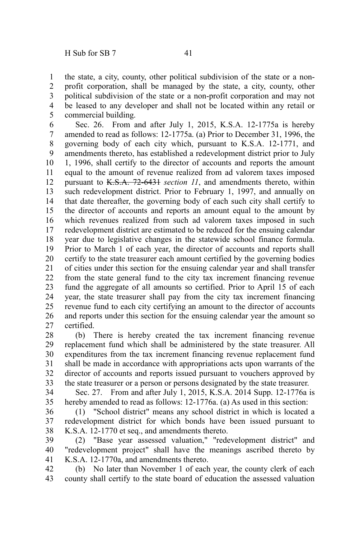the state, a city, county, other political subdivision of the state or a nonprofit corporation, shall be managed by the state, a city, county, other political subdivision of the state or a non-profit corporation and may not be leased to any developer and shall not be located within any retail or commercial building. 1 2 3 4 5

Sec. 26. From and after July 1, 2015, K.S.A. 12-1775a is hereby amended to read as follows: 12-1775a. (a) Prior to December 31, 1996, the governing body of each city which, pursuant to K.S.A. 12-1771, and amendments thereto, has established a redevelopment district prior to July 1, 1996, shall certify to the director of accounts and reports the amount equal to the amount of revenue realized from ad valorem taxes imposed pursuant to K.S.A. 72-6431 *section 11*, and amendments thereto, within such redevelopment district. Prior to February 1, 1997, and annually on that date thereafter, the governing body of each such city shall certify to the director of accounts and reports an amount equal to the amount by which revenues realized from such ad valorem taxes imposed in such redevelopment district are estimated to be reduced for the ensuing calendar year due to legislative changes in the statewide school finance formula. Prior to March 1 of each year, the director of accounts and reports shall certify to the state treasurer each amount certified by the governing bodies of cities under this section for the ensuing calendar year and shall transfer from the state general fund to the city tax increment financing revenue fund the aggregate of all amounts so certified. Prior to April 15 of each year, the state treasurer shall pay from the city tax increment financing revenue fund to each city certifying an amount to the director of accounts and reports under this section for the ensuing calendar year the amount so certified. 6 7 8 9 10 11 12 13 14 15 16 17 18 19 20 21 22 23 24 25 26 27

(b) There is hereby created the tax increment financing revenue replacement fund which shall be administered by the state treasurer. All expenditures from the tax increment financing revenue replacement fund shall be made in accordance with appropriations acts upon warrants of the director of accounts and reports issued pursuant to vouchers approved by the state treasurer or a person or persons designated by the state treasurer. 28 29 30 31 32 33

Sec. 27. From and after July 1, 2015, K.S.A. 2014 Supp. 12-1776a is hereby amended to read as follows: 12-1776a. (a) As used in this section: 34 35

(1) "School district" means any school district in which is located a redevelopment district for which bonds have been issued pursuant to K.S.A. 12-1770 et seq., and amendments thereto. 36 37 38

(2) "Base year assessed valuation," "redevelopment district" and "redevelopment project" shall have the meanings ascribed thereto by K.S.A. 12-1770a, and amendments thereto. 39 40 41

(b) No later than November 1 of each year, the county clerk of each county shall certify to the state board of education the assessed valuation 42 43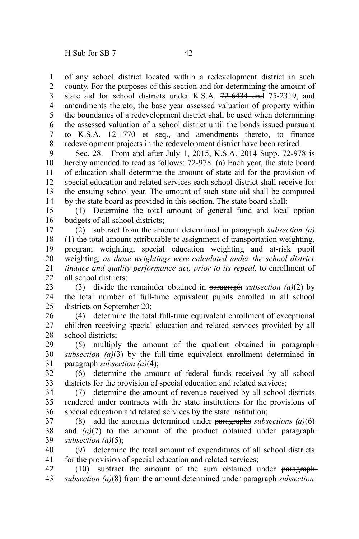of any school district located within a redevelopment district in such county. For the purposes of this section and for determining the amount of state aid for school districts under K.S.A. 72-6434 and 75-2319, and amendments thereto, the base year assessed valuation of property within the boundaries of a redevelopment district shall be used when determining the assessed valuation of a school district until the bonds issued pursuant to K.S.A. 12-1770 et seq., and amendments thereto, to finance redevelopment projects in the redevelopment district have been retired. 1 2 3 4 5 6 7 8

Sec. 28. From and after July 1, 2015, K.S.A. 2014 Supp. 72-978 is hereby amended to read as follows: 72-978. (a) Each year, the state board of education shall determine the amount of state aid for the provision of special education and related services each school district shall receive for the ensuing school year. The amount of such state aid shall be computed by the state board as provided in this section. The state board shall: 9 10 11 12 13 14

(1) Determine the total amount of general fund and local option budgets of all school districts; 15 16

(2) subtract from the amount determined in paragraph *subsection (a)* (1) the total amount attributable to assignment of transportation weighting, program weighting, special education weighting and at-risk pupil weighting*, as those weightings were calculated under the school district finance and quality performance act, prior to its repeal,* to enrollment of all school districts; 17 18 19 20 21 22

(3) divide the remainder obtained in paragraph *subsection (a)*(2) by the total number of full-time equivalent pupils enrolled in all school districts on September 20; 23 24 25

(4) determine the total full-time equivalent enrollment of exceptional children receiving special education and related services provided by all school districts; 26 27 28

(5) multiply the amount of the quotient obtained in paragraph *subsection (a)*(3) by the full-time equivalent enrollment determined in paragraph *subsection (a)*(4); 29 30 31

(6) determine the amount of federal funds received by all school districts for the provision of special education and related services; 32 33

(7) determine the amount of revenue received by all school districts rendered under contracts with the state institutions for the provisions of special education and related services by the state institution; 34 35 36

(8) add the amounts determined under paragraphs *subsections (a)*(6) and  $(a)(7)$  to the amount of the product obtained under paragraph*subsection (a)*(5); 37 38 39

(9) determine the total amount of expenditures of all school districts for the provision of special education and related services; 40 41

(10) subtract the amount of the sum obtained under paragraph *subsection (a)*(8) from the amount determined under paragraph *subsection* 42 43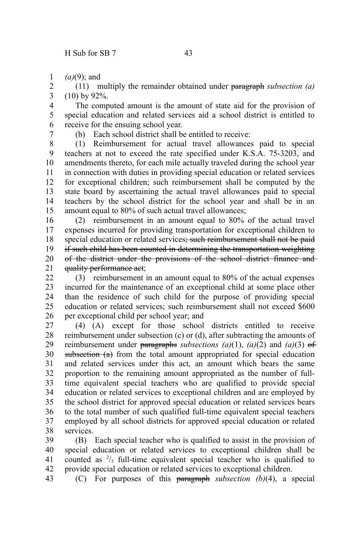*(a)*(9); and 1

(11) multiply the remainder obtained under paragraph *subsection (a)* (10) by 92%. 2 3

The computed amount is the amount of state aid for the provision of special education and related services aid a school district is entitled to receive for the ensuing school year. 4 5 6

7

(b) Each school district shall be entitled to receive:

(1) Reimbursement for actual travel allowances paid to special teachers at not to exceed the rate specified under K.S.A. 75-3203, and amendments thereto, for each mile actually traveled during the school year in connection with duties in providing special education or related services for exceptional children; such reimbursement shall be computed by the state board by ascertaining the actual travel allowances paid to special teachers by the school district for the school year and shall be in an amount equal to 80% of such actual travel allowances; 8 9 10 11 12 13 14 15

(2) reimbursement in an amount equal to 80% of the actual travel expenses incurred for providing transportation for exceptional children to special education or related services; such reimbursement shall not be paid if such child has been counted in determining the transportation weighting of the district under the provisions of the school district finance and quality performance act; 16 17 18 19 20 21

(3) reimbursement in an amount equal to 80% of the actual expenses incurred for the maintenance of an exceptional child at some place other than the residence of such child for the purpose of providing special education or related services; such reimbursement shall not exceed \$600 per exceptional child per school year; and  $22$ 23 24 25 26

(4) (A) except for those school districts entitled to receive reimbursement under subsection (c) or (d), after subtracting the amounts of reimbursement under paragraphs *subsections*  $(a)(1)$ ,  $(a)(2)$  and  $(a)(3)$  of subsection (a) from the total amount appropriated for special education and related services under this act, an amount which bears the same proportion to the remaining amount appropriated as the number of fulltime equivalent special teachers who are qualified to provide special education or related services to exceptional children and are employed by the school district for approved special education or related services bears to the total number of such qualified full-time equivalent special teachers employed by all school districts for approved special education or related services. 27 28 29 30 31 32 33 34 35 36 37 38

(B) Each special teacher who is qualified to assist in the provision of special education or related services to exceptional children shall be counted as  $\frac{2}{5}$  full-time equivalent special teacher who is qualified to provide special education or related services to exceptional children. 39 40 41 42

(C) For purposes of this paragraph *subsection (b)*(4), a special 43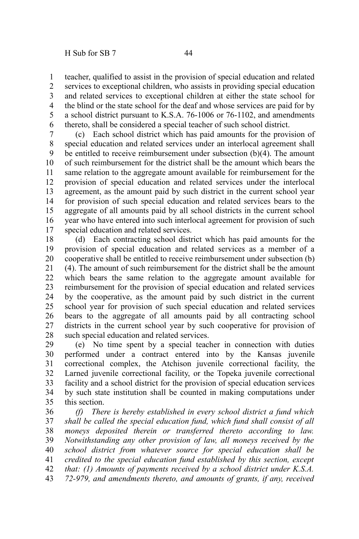teacher, qualified to assist in the provision of special education and related services to exceptional children, who assists in providing special education and related services to exceptional children at either the state school for the blind or the state school for the deaf and whose services are paid for by a school district pursuant to K.S.A. 76-1006 or 76-1102, and amendments thereto, shall be considered a special teacher of such school district. 1 2 3 4 5 6

(c) Each school district which has paid amounts for the provision of special education and related services under an interlocal agreement shall be entitled to receive reimbursement under subsection (b)(4). The amount of such reimbursement for the district shall be the amount which bears the same relation to the aggregate amount available for reimbursement for the provision of special education and related services under the interlocal agreement, as the amount paid by such district in the current school year for provision of such special education and related services bears to the aggregate of all amounts paid by all school districts in the current school year who have entered into such interlocal agreement for provision of such special education and related services. 7 8 9 10 11 12 13 14 15 16 17

(d) Each contracting school district which has paid amounts for the provision of special education and related services as a member of a cooperative shall be entitled to receive reimbursement under subsection (b) (4). The amount of such reimbursement for the district shall be the amount which bears the same relation to the aggregate amount available for reimbursement for the provision of special education and related services by the cooperative, as the amount paid by such district in the current school year for provision of such special education and related services bears to the aggregate of all amounts paid by all contracting school districts in the current school year by such cooperative for provision of such special education and related services. 18 19 20 21 22 23 24 25 26 27 28

(e) No time spent by a special teacher in connection with duties performed under a contract entered into by the Kansas juvenile correctional complex, the Atchison juvenile correctional facility, the Larned juvenile correctional facility, or the Topeka juvenile correctional facility and a school district for the provision of special education services by such state institution shall be counted in making computations under this section. 29 30 31 32 33 34 35

*(f) There is hereby established in every school district a fund which shall be called the special education fund, which fund shall consist of all moneys deposited therein or transferred thereto according to law. Notwithstanding any other provision of law, all moneys received by the school district from whatever source for special education shall be credited to the special education fund established by this section, except that: (1) Amounts of payments received by a school district under K.S.A. 72-979, and amendments thereto, and amounts of grants, if any, received* 36 37 38 39 40 41 42 43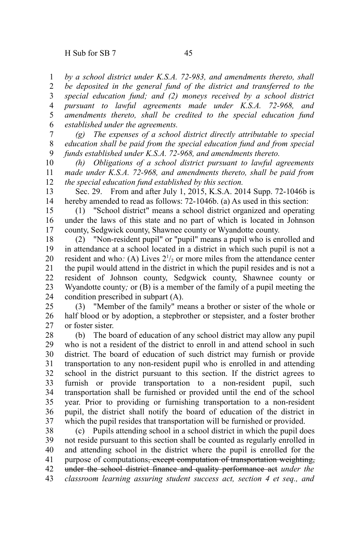*by a school district under K.S.A. 72-983, and amendments thereto, shall be deposited in the general fund of the district and transferred to the special education fund; and (2) moneys received by a school district pursuant to lawful agreements made under K.S.A. 72-968, and amendments thereto, shall be credited to the special education fund established under the agreements.* 1 2 3 4 5 6

*(g) The expenses of a school district directly attributable to special education shall be paid from the special education fund and from special funds established under K.S.A. 72-968, and amendments thereto.* 7 8 9

*(h) Obligations of a school district pursuant to lawful agreements made under K.S.A. 72-968, and amendments thereto, shall be paid from the special education fund established by this section.* 10 11 12

Sec. 29. From and after July 1, 2015, K.S.A. 2014 Supp. 72-1046b is hereby amended to read as follows: 72-1046b. (a) As used in this section: 13 14

(1) "School district" means a school district organized and operating under the laws of this state and no part of which is located in Johnson county, Sedgwick county, Shawnee county or Wyandotte county. 15 16 17

(2) "Non-resident pupil" or "pupil" means a pupil who is enrolled and in attendance at a school located in a district in which such pupil is not a resident and who: (A) Lives  $2^{1/2}$  or more miles from the attendance center the pupil would attend in the district in which the pupil resides and is not a resident of Johnson county, Sedgwick county, Shawnee county or Wyandotte county*;* or (B) is a member of the family of a pupil meeting the condition prescribed in subpart (A). 18 19 20 21 22 23 24

(3) "Member of the family" means a brother or sister of the whole or half blood or by adoption, a stepbrother or stepsister, and a foster brother or foster sister. 25 26 27

(b) The board of education of any school district may allow any pupil who is not a resident of the district to enroll in and attend school in such district. The board of education of such district may furnish or provide transportation to any non-resident pupil who is enrolled in and attending school in the district pursuant to this section. If the district agrees to furnish or provide transportation to a non-resident pupil, such transportation shall be furnished or provided until the end of the school year. Prior to providing or furnishing transportation to a non-resident pupil, the district shall notify the board of education of the district in which the pupil resides that transportation will be furnished or provided. 28 29 30 31 32 33 34 35 36 37

(c) Pupils attending school in a school district in which the pupil does not reside pursuant to this section shall be counted as regularly enrolled in and attending school in the district where the pupil is enrolled for the purpose of computations<del>, except computation of transportation weighting,</del> under the school district finance and quality performance act *under the classroom learning assuring student success act, section 4 et seq., and* 38 39 40 41 42 43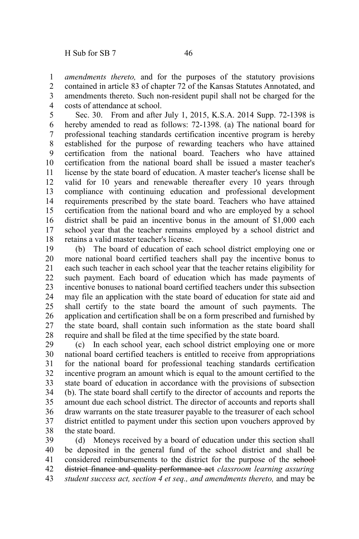*amendments thereto,* and for the purposes of the statutory provisions contained in article 83 of chapter 72 of the Kansas Statutes Annotated, and amendments thereto. Such non-resident pupil shall not be charged for the costs of attendance at school. 1 2 3 4

Sec. 30. From and after July 1, 2015, K.S.A. 2014 Supp. 72-1398 is hereby amended to read as follows: 72-1398. (a) The national board for professional teaching standards certification incentive program is hereby established for the purpose of rewarding teachers who have attained certification from the national board. Teachers who have attained certification from the national board shall be issued a master teacher's license by the state board of education. A master teacher's license shall be valid for 10 years and renewable thereafter every 10 years through compliance with continuing education and professional development requirements prescribed by the state board. Teachers who have attained certification from the national board and who are employed by a school district shall be paid an incentive bonus in the amount of \$1,000 each school year that the teacher remains employed by a school district and retains a valid master teacher's license. 5 6 7 8 9 10 11 12 13 14 15 16 17 18

(b) The board of education of each school district employing one or more national board certified teachers shall pay the incentive bonus to each such teacher in each school year that the teacher retains eligibility for such payment. Each board of education which has made payments of incentive bonuses to national board certified teachers under this subsection may file an application with the state board of education for state aid and shall certify to the state board the amount of such payments. The application and certification shall be on a form prescribed and furnished by the state board, shall contain such information as the state board shall require and shall be filed at the time specified by the state board. 19 20 21 22 23 24 25 26 27 28

(c) In each school year, each school district employing one or more national board certified teachers is entitled to receive from appropriations for the national board for professional teaching standards certification incentive program an amount which is equal to the amount certified to the state board of education in accordance with the provisions of subsection (b). The state board shall certify to the director of accounts and reports the amount due each school district. The director of accounts and reports shall draw warrants on the state treasurer payable to the treasurer of each school district entitled to payment under this section upon vouchers approved by the state board. 29 30 31 32 33 34 35 36 37 38

(d) Moneys received by a board of education under this section shall be deposited in the general fund of the school district and shall be considered reimbursements to the district for the purpose of the schooldistrict finance and quality performance act *classroom learning assuring student success act, section 4 et seq., and amendments thereto,* and may be 39 40 41 42 43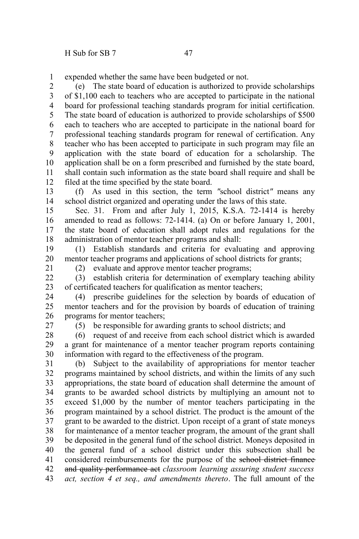expended whether the same have been budgeted or not. 1

(e) The state board of education is authorized to provide scholarships of \$1,100 each to teachers who are accepted to participate in the national board for professional teaching standards program for initial certification. The state board of education is authorized to provide scholarships of \$500 each to teachers who are accepted to participate in the national board for professional teaching standards program for renewal of certification. Any teacher who has been accepted to participate in such program may file an application with the state board of education for a scholarship. The application shall be on a form prescribed and furnished by the state board, shall contain such information as the state board shall require and shall be filed at the time specified by the state board. 2 3 4 5 6 7 8 9 10 11 12

(f) As used in this section, the term *"*school district*"* means any school district organized and operating under the laws of this state. 13 14

Sec. 31. From and after July 1, 2015, K.S.A. 72-1414 is hereby amended to read as follows: 72-1414. (a) On or before January 1, 2001, the state board of education shall adopt rules and regulations for the administration of mentor teacher programs and shall: 15 16 17 18

(1) Establish standards and criteria for evaluating and approving mentor teacher programs and applications of school districts for grants; 19 20

21

(2) evaluate and approve mentor teacher programs;

(3) establish criteria for determination of exemplary teaching ability of certificated teachers for qualification as mentor teachers;  $22$ 23

(4) prescribe guidelines for the selection by boards of education of mentor teachers and for the provision by boards of education of training programs for mentor teachers; 24 25 26

27

(5) be responsible for awarding grants to school districts; and

(6) request of and receive from each school district which is awarded a grant for maintenance of a mentor teacher program reports containing information with regard to the effectiveness of the program. 28 29 30

(b) Subject to the availability of appropriations for mentor teacher programs maintained by school districts, and within the limits of any such appropriations, the state board of education shall determine the amount of grants to be awarded school districts by multiplying an amount not to exceed \$1,000 by the number of mentor teachers participating in the program maintained by a school district. The product is the amount of the grant to be awarded to the district. Upon receipt of a grant of state moneys for maintenance of a mentor teacher program, the amount of the grant shall be deposited in the general fund of the school district. Moneys deposited in the general fund of a school district under this subsection shall be considered reimbursements for the purpose of the school district finance and quality performance act *classroom learning assuring student success act, section 4 et seq., and amendments thereto*. The full amount of the 31 32 33 34 35 36 37 38 39 40 41 42 43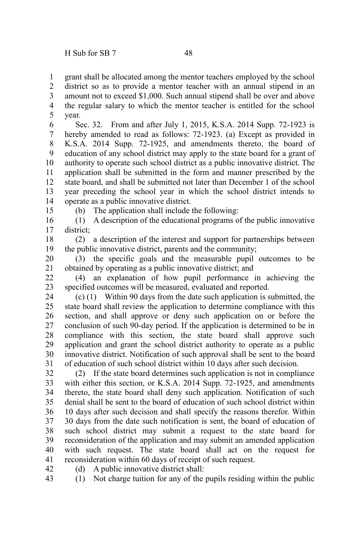grant shall be allocated among the mentor teachers employed by the school 1

district so as to provide a mentor teacher with an annual stipend in an amount not to exceed \$1,000. Such annual stipend shall be over and above the regular salary to which the mentor teacher is entitled for the school year. 2 3 4 5

Sec. 32. From and after July 1, 2015, K.S.A. 2014 Supp. 72-1923 is hereby amended to read as follows: 72-1923. (a) Except as provided in K.S.A. 2014 Supp. 72-1925, and amendments thereto, the board of education of any school district may apply to the state board for a grant of authority to operate such school district as a public innovative district. The application shall be submitted in the form and manner prescribed by the state board, and shall be submitted not later than December 1 of the school year preceding the school year in which the school district intends to operate as a public innovative district. 6 7 8 9 10 11 12 13 14

15

(b) The application shall include the following:

(1) A description of the educational programs of the public innovative district; 16 17

(2) a description of the interest and support for partnerships between the public innovative district, parents and the community; 18 19

(3) the specific goals and the measurable pupil outcomes to be obtained by operating as a public innovative district; and 20 21

(4) an explanation of how pupil performance in achieving the specified outcomes will be measured, evaluated and reported. 22 23

(c) (1) Within 90 days from the date such application is submitted, the state board shall review the application to determine compliance with this section, and shall approve or deny such application on or before the conclusion of such 90-day period. If the application is determined to be in compliance with this section, the state board shall approve such application and grant the school district authority to operate as a public innovative district. Notification of such approval shall be sent to the board of education of such school district within 10 days after such decision. 24 25 26 27 28 29 30 31

(2) If the state board determines such application is not in compliance with either this section, or K.S.A. 2014 Supp. 72-1925, and amendments thereto, the state board shall deny such application. Notification of such denial shall be sent to the board of education of such school district within 10 days after such decision and shall specify the reasons therefor. Within 30 days from the date such notification is sent, the board of education of such school district may submit a request to the state board for reconsideration of the application and may submit an amended application with such request. The state board shall act on the request for reconsideration within 60 days of receipt of such request. 32 33 34 35 36 37 38 39 40 41

(d) A public innovative district shall: 42

(1) Not charge tuition for any of the pupils residing within the public 43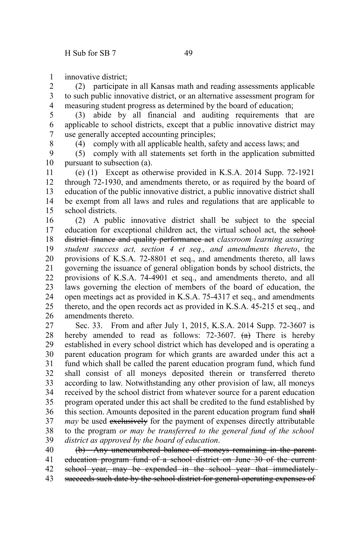innovative district; 1

(2) participate in all Kansas math and reading assessments applicable to such public innovative district, or an alternative assessment program for measuring student progress as determined by the board of education; 2 3 4

(3) abide by all financial and auditing requirements that are applicable to school districts, except that a public innovative district may use generally accepted accounting principles; 5 6 7

8

(4) comply with all applicable health, safety and access laws; and

(5) comply with all statements set forth in the application submitted pursuant to subsection (a). 9 10

(e) (1) Except as otherwise provided in K.S.A. 2014 Supp. 72-1921 through 72-1930, and amendments thereto, or as required by the board of education of the public innovative district, a public innovative district shall be exempt from all laws and rules and regulations that are applicable to school districts. 11 12 13 14 15

(2) A public innovative district shall be subject to the special education for exceptional children act, the virtual school act, the schooldistrict finance and quality performance act *classroom learning assuring student success act, section 4 et seq., and amendments thereto*, the provisions of K.S.A. 72-8801 et seq., and amendments thereto, all laws governing the issuance of general obligation bonds by school districts, the provisions of K.S.A. 74-4901 et seq., and amendments thereto, and all laws governing the election of members of the board of education, the open meetings act as provided in K.S.A. 75-4317 et seq., and amendments thereto, and the open records act as provided in K.S.A. 45-215 et seq., and amendments thereto. 16 17 18 19 20 21 22 23 24 25 26

Sec. 33. From and after July 1, 2015, K.S.A. 2014 Supp. 72-3607 is hereby amended to read as follows: 72-3607.  $\left(\frac{a}{b}\right)$  There is hereby established in every school district which has developed and is operating a parent education program for which grants are awarded under this act a fund which shall be called the parent education program fund, which fund shall consist of all moneys deposited therein or transferred thereto according to law. Notwithstanding any other provision of law, all moneys received by the school district from whatever source for a parent education program operated under this act shall be credited to the fund established by this section. Amounts deposited in the parent education program fund shall *may* be used exclusively for the payment of expenses directly attributable to the program *or may be transferred to the general fund of the school district as approved by the board of education*. 27 28 29 30 31 32 33 34 35 36 37 38 39

(b) Any unencumbered balance of moneys remaining in the parent education program fund of a school district on June 30 of the current school year, may be expended in the school year that immediatelysucceeds such date by the school district for general operating expenses of 40 41 42 43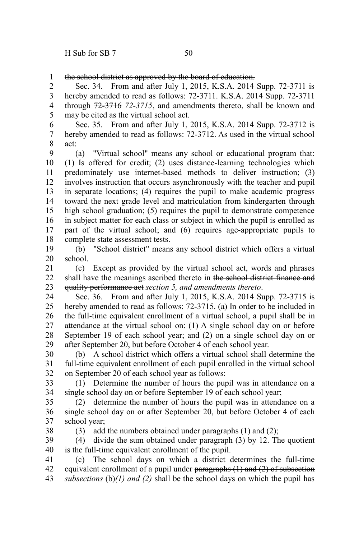38

the school district as approved by the board of education. 1

Sec. 34. From and after July 1, 2015, K.S.A. 2014 Supp. 72-3711 is hereby amended to read as follows: 72-3711. K.S.A. 2014 Supp. 72-3711 through 72-3716 *72-3715*, and amendments thereto, shall be known and may be cited as the virtual school act. 2 3 4 5

Sec. 35. From and after July 1, 2015, K.S.A. 2014 Supp. 72-3712 is hereby amended to read as follows: 72-3712. As used in the virtual school act: 6 7 8

(a) "Virtual school" means any school or educational program that: (1) Is offered for credit; (2) uses distance-learning technologies which predominately use internet-based methods to deliver instruction; (3) involves instruction that occurs asynchronously with the teacher and pupil in separate locations; (4) requires the pupil to make academic progress toward the next grade level and matriculation from kindergarten through high school graduation; (5) requires the pupil to demonstrate competence in subject matter for each class or subject in which the pupil is enrolled as part of the virtual school; and (6) requires age-appropriate pupils to complete state assessment tests. 9 10 11 12 13 14 15 16 17 18

(b) "School district" means any school district which offers a virtual school. 19 20

(c) Except as provided by the virtual school act, words and phrases shall have the meanings ascribed thereto in the school district finance and quality performance act *section 5, and amendments thereto*. 21 22 23

Sec. 36. From and after July 1, 2015, K.S.A. 2014 Supp. 72-3715 is hereby amended to read as follows: 72-3715. (a) In order to be included in the full-time equivalent enrollment of a virtual school, a pupil shall be in attendance at the virtual school on: (1) A single school day on or before September 19 of each school year; and (2) on a single school day on or after September 20, but before October 4 of each school year. 24 25 26 27 28 29

(b) A school district which offers a virtual school shall determine the full-time equivalent enrollment of each pupil enrolled in the virtual school on September 20 of each school year as follows: 30 31 32

(1) Determine the number of hours the pupil was in attendance on a single school day on or before September 19 of each school year; 33 34

(2) determine the number of hours the pupil was in attendance on a single school day on or after September 20, but before October 4 of each school year; 35 36 37

(3) add the numbers obtained under paragraphs (1) and (2);

(4) divide the sum obtained under paragraph (3) by 12. The quotient is the full-time equivalent enrollment of the pupil. 39 40

(c) The school days on which a district determines the full-time equivalent enrollment of a pupil under paragraphs (1) and (2) of subsection *subsections* (b)*(1) and (2)* shall be the school days on which the pupil has 41 42 43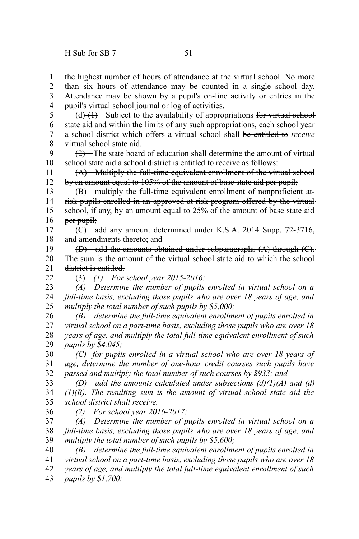the highest number of hours of attendance at the virtual school. No more than six hours of attendance may be counted in a single school day. 1 2

Attendance may be shown by a pupil's on-line activity or entries in the pupil's virtual school journal or log of activities. 3 4

(d) $(1)$  Subject to the availability of appropriations for virtual school state aid and within the limits of any such appropriations, each school year a school district which offers a virtual school shall be entitled to *receive* virtual school state aid. 5 6 7 8

 $(2)$ —The state board of education shall determine the amount of virtual school state aid a school district is entitled to receive as follows: 9 10

(A) Multiply the full-time equivalent enrollment of the virtual school by an amount equal to 105% of the amount of base state aid per pupil; 11 12

(B) multiply the full-time equivalent enrollment of nonproficient atrisk pupils enrolled in an approved at-risk program offered by the virtual school, if any, by an amount equal to 25% of the amount of base state aid per pupil: 13 14 15 16

(C) add any amount determined under K.S.A. 2014 Supp. 72-3716, and amendments thereto; and 17 18

(D) add the amounts obtained under subparagraphs (A) through (C). The sum is the amount of the virtual school state aid to which the school district is entitled. 19 20 21

22

(3) *(1) For school year 2015-2016:*

*(A) Determine the number of pupils enrolled in virtual school on a full-time basis, excluding those pupils who are over 18 years of age, and multiply the total number of such pupils by \$5,000;* 23 24 25

*(B) determine the full-time equivalent enrollment of pupils enrolled in virtual school on a part-time basis, excluding those pupils who are over 18 years of age, and multiply the total full-time equivalent enrollment of such pupils by \$4,045;* 26 27 28 29

*(C) for pupils enrolled in a virtual school who are over 18 years of age, determine the number of one-hour credit courses such pupils have passed and multiply the total number of such courses by \$933; and* 30 31 32

*(D) add the amounts calculated under subsections (d)(1)(A) and (d) (1)(B). The resulting sum is the amount of virtual school state aid the school district shall receive.* 33 34 35

36

*(2) For school year 2016-2017:*

*(A) Determine the number of pupils enrolled in virtual school on a full-time basis, excluding those pupils who are over 18 years of age, and multiply the total number of such pupils by \$5,600;* 37 38 39

*(B) determine the full-time equivalent enrollment of pupils enrolled in virtual school on a part-time basis, excluding those pupils who are over 18 years of age, and multiply the total full-time equivalent enrollment of such pupils by \$1,700;* 40 41 42 43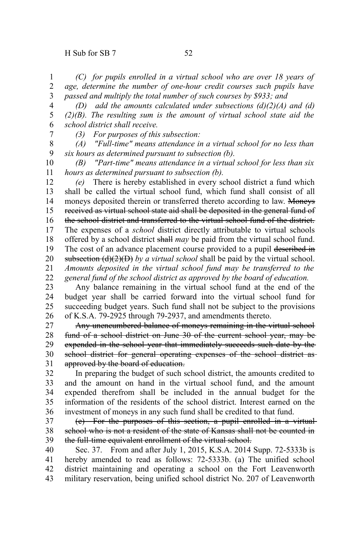*(C) for pupils enrolled in a virtual school who are over 18 years of age, determine the number of one-hour credit courses such pupils have passed and multiply the total number of such courses by \$933; and* 1 2 3

*(D) add the amounts calculated under subsections (d)(2)(A) and (d) (2)(B). The resulting sum is the amount of virtual school state aid the school district shall receive.* 4 5 6

7

*(3) For purposes of this subsection:*

*(A) "Full-time" means attendance in a virtual school for no less than six hours as determined pursuant to subsection (b).* 8 9

*(B) "Part-time" means attendance in a virtual school for less than six hours as determined pursuant to subsection (b).* 10 11

*(e)* There is hereby established in every school district a fund which shall be called the virtual school fund, which fund shall consist of all moneys deposited therein or transferred thereto according to law. Moneys received as virtual school state aid shall be deposited in the general fund of the school district and transferred to the virtual school fund of the district. The expenses of a *school* district directly attributable to virtual schools offered by a school district shall *may* be paid from the virtual school fund. The cost of an advance placement course provided to a pupil described in subsection  $(d)(2)(D)$  by a virtual school shall be paid by the virtual school. *Amounts deposited in the virtual school fund may be transferred to the general fund of the school district as approved by the board of education.* 12 13 14 15 16 17 18 19 20 21 22

Any balance remaining in the virtual school fund at the end of the budget year shall be carried forward into the virtual school fund for succeeding budget years. Such fund shall not be subject to the provisions of K.S.A. 79-2925 through 79-2937, and amendments thereto. 23 24 25 26

Any unencumbered balance of moneys remaining in the virtual school fund of a school district on June 30 of the current school year, may be expended in the school year that immediately succeeds such date by the school district for general operating expenses of the school district as approved by the board of education. 27 28 29 30 31

In preparing the budget of such school district, the amounts credited to and the amount on hand in the virtual school fund, and the amount expended therefrom shall be included in the annual budget for the information of the residents of the school district. Interest earned on the investment of moneys in any such fund shall be credited to that fund. 32 33 34 35 36

(e) For the purposes of this section, a pupil enrolled in a virtual school who is not a resident of the state of Kansas shall not be counted in the full-time equivalent enrollment of the virtual school. 37 38 39

Sec. 37. From and after July 1, 2015, K.S.A. 2014 Supp. 72-5333b is hereby amended to read as follows: 72-5333b. (a) The unified school district maintaining and operating a school on the Fort Leavenworth military reservation, being unified school district No. 207 of Leavenworth 40 41 42 43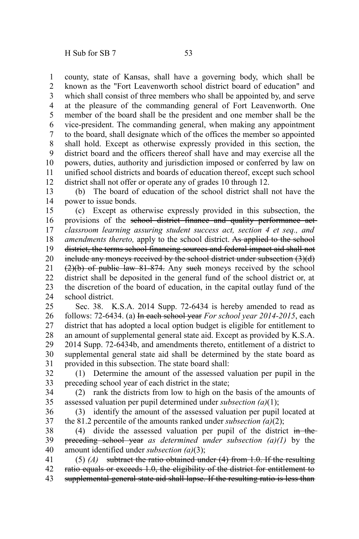county, state of Kansas, shall have a governing body, which shall be known as the "Fort Leavenworth school district board of education" and which shall consist of three members who shall be appointed by, and serve at the pleasure of the commanding general of Fort Leavenworth. One member of the board shall be the president and one member shall be the vice-president. The commanding general, when making any appointment to the board, shall designate which of the offices the member so appointed shall hold. Except as otherwise expressly provided in this section, the district board and the officers thereof shall have and may exercise all the powers, duties, authority and jurisdiction imposed or conferred by law on unified school districts and boards of education thereof, except such school district shall not offer or operate any of grades 10 through 12. 1 2 3 4 5 6 7 8 9 10 11 12

(b) The board of education of the school district shall not have the power to issue bonds. 13 14

(c) Except as otherwise expressly provided in this subsection, the provisions of the school district finance and quality performance act*classroom learning assuring student success act, section 4 et seq., and amendments thereto,* apply to the school district. As applied to the school district, the terms school financing sources and federal impact aid shall not include any moneys received by the school district under subsection (3)(d)  $(2)(b)$  of public law 81-874. Any such moneys received by the school district shall be deposited in the general fund of the school district or, at the discretion of the board of education, in the capital outlay fund of the school district. 15 16 17 18 19 20 21 22 23 24

Sec. 38. K.S.A. 2014 Supp. 72-6434 is hereby amended to read as follows: 72-6434. (a) In each school year *For school year 2014-2015*, each district that has adopted a local option budget is eligible for entitlement to an amount of supplemental general state aid. Except as provided by K.S.A. 2014 Supp. 72-6434b, and amendments thereto, entitlement of a district to supplemental general state aid shall be determined by the state board as provided in this subsection. The state board shall: 25 26 27 28 29 30 31

(1) Determine the amount of the assessed valuation per pupil in the preceding school year of each district in the state; 32 33

(2) rank the districts from low to high on the basis of the amounts of assessed valuation per pupil determined under *subsection (a)*(1); 34 35

(3) identify the amount of the assessed valuation per pupil located at the 81.2 percentile of the amounts ranked under *subsection (a)*(2); 36 37

(4) divide the assessed valuation per pupil of the district  $\frac{1}{2}$  the preceding school year *as determined under subsection (a)(1)* by the amount identified under *subsection (a)*(3); 38 39 40

(5) *(A)* subtract the ratio obtained under (4) from 1.0. If the resulting ratio equals or exceeds 1.0, the eligibility of the district for entitlement to supplemental general state aid shall lapse. If the resulting ratio is less than 41 42 43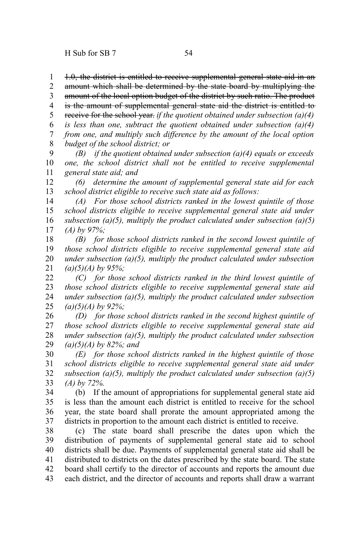1.0, the district is entitled to receive supplemental general state aid in an 1

amount which shall be determined by the state board by multiplying the 2

amount of the local option budget of the district by such ratio. The product 3

is the amount of supplemental general state aid the district is entitled to 4

receive for the school year. *if the quotient obtained under subsection (a)(4) is less than one, subtract the quotient obtained under subsection (a)(4)* 5 6

*from one, and multiply such difference by the amount of the local option* 7

*budget of the school district; or* 8

*(B) if the quotient obtained under subsection (a)(4) equals or exceeds one, the school district shall not be entitled to receive supplemental general state aid; and* 9 10 11

*(6) determine the amount of supplemental general state aid for each school district eligible to receive such state aid as follows:* 12 13

*(A) For those school districts ranked in the lowest quintile of those school districts eligible to receive supplemental general state aid under subsection (a)(5), multiply the product calculated under subsection (a)(5) (A) by 97%;* 14 15 16 17

*(B) for those school districts ranked in the second lowest quintile of those school districts eligible to receive supplemental general state aid under subsection (a)(5), multiply the product calculated under subsection (a)(5)(A) by 95%;* 18 19 20 21

*(C) for those school districts ranked in the third lowest quintile of those school districts eligible to receive supplemental general state aid under subsection (a)(5), multiply the product calculated under subsection (a)(5)(A) by 92%;* 22 23 24 25

*(D) for those school districts ranked in the second highest quintile of those school districts eligible to receive supplemental general state aid under subsection (a)(5), multiply the product calculated under subsection (a)(5)(A) by 82%; and* 26 27 28 29

*(E) for those school districts ranked in the highest quintile of those school districts eligible to receive supplemental general state aid under subsection (a)(5), multiply the product calculated under subsection (a)(5) (A) by 72%.* 30 31 32 33

(b) If the amount of appropriations for supplemental general state aid is less than the amount each district is entitled to receive for the school year, the state board shall prorate the amount appropriated among the districts in proportion to the amount each district is entitled to receive. 34 35 36 37

(c) The state board shall prescribe the dates upon which the distribution of payments of supplemental general state aid to school districts shall be due. Payments of supplemental general state aid shall be distributed to districts on the dates prescribed by the state board. The state board shall certify to the director of accounts and reports the amount due each district, and the director of accounts and reports shall draw a warrant 38 39 40 41 42 43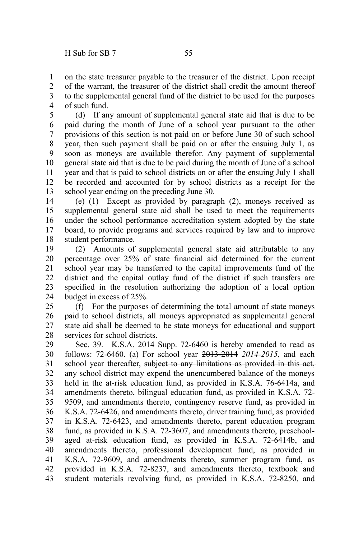on the state treasurer payable to the treasurer of the district. Upon receipt of the warrant, the treasurer of the district shall credit the amount thereof to the supplemental general fund of the district to be used for the purposes of such fund. 1 2 3 4

(d) If any amount of supplemental general state aid that is due to be paid during the month of June of a school year pursuant to the other provisions of this section is not paid on or before June 30 of such school year, then such payment shall be paid on or after the ensuing July 1, as soon as moneys are available therefor. Any payment of supplemental general state aid that is due to be paid during the month of June of a school year and that is paid to school districts on or after the ensuing July 1 shall be recorded and accounted for by school districts as a receipt for the school year ending on the preceding June 30. 5 6 7 8 9 10 11 12 13

(e) (1) Except as provided by paragraph (2), moneys received as supplemental general state aid shall be used to meet the requirements under the school performance accreditation system adopted by the state board, to provide programs and services required by law and to improve student performance. 14 15 16 17 18

(2) Amounts of supplemental general state aid attributable to any percentage over 25% of state financial aid determined for the current school year may be transferred to the capital improvements fund of the district and the capital outlay fund of the district if such transfers are specified in the resolution authorizing the adoption of a local option budget in excess of 25%. 19 20 21 22 23 24

(f) For the purposes of determining the total amount of state moneys paid to school districts, all moneys appropriated as supplemental general state aid shall be deemed to be state moneys for educational and support services for school districts. 25 26 27 28

Sec. 39. K.S.A. 2014 Supp. 72-6460 is hereby amended to read as follows: 72-6460. (a) For school year 2013-2014 *2014-2015*, and each school year thereafter, subject to any limitations as provided in this act, any school district may expend the unencumbered balance of the moneys held in the at-risk education fund, as provided in K.S.A. 76-6414a, and amendments thereto, bilingual education fund, as provided in K.S.A. 72- 9509, and amendments thereto, contingency reserve fund, as provided in K.S.A. 72-6426, and amendments thereto, driver training fund, as provided in K.S.A. 72-6423, and amendments thereto, parent education program fund, as provided in K.S.A. 72-3607, and amendments thereto, preschoolaged at-risk education fund, as provided in K.S.A. 72-6414b, and amendments thereto, professional development fund, as provided in K.S.A. 72-9609, and amendments thereto, summer program fund, as provided in K.S.A. 72-8237, and amendments thereto, textbook and student materials revolving fund, as provided in K.S.A. 72-8250, and 29 30 31 32 33 34 35 36 37 38 39 40 41 42 43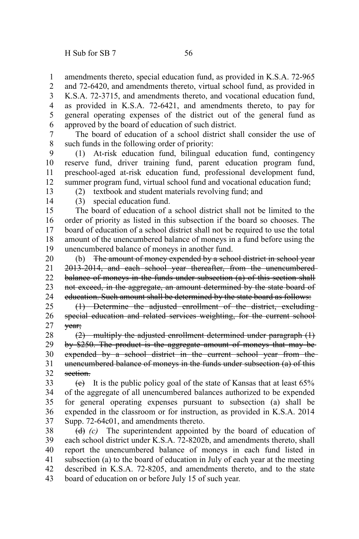amendments thereto, special education fund, as provided in K.S.A. 72-965 1 2

and 72-6420, and amendments thereto, virtual school fund, as provided in K.S.A. 72-3715, and amendments thereto, and vocational education fund, as provided in K.S.A. 72-6421, and amendments thereto, to pay for general operating expenses of the district out of the general fund as approved by the board of education of such district. 3 4 5 6

The board of education of a school district shall consider the use of such funds in the following order of priority: 7 8

(1) At-risk education fund, bilingual education fund, contingency reserve fund, driver training fund, parent education program fund, preschool-aged at-risk education fund, professional development fund, summer program fund, virtual school fund and vocational education fund; 9 10 11 12

13

(2) textbook and student materials revolving fund; and

14

(3) special education fund.

The board of education of a school district shall not be limited to the order of priority as listed in this subsection if the board so chooses. The board of education of a school district shall not be required to use the total amount of the unencumbered balance of moneys in a fund before using the unencumbered balance of moneys in another fund. 15 16 17 18 19

(b) The amount of money expended by a school district in school year 2013-2014, and each school year thereafter, from the unencumbered balance of moneys in the funds under subsection (a) of this section shall not exceed, in the aggregate, an amount determined by the state board of education. Such amount shall be determined by the state board as follows: 20 21 22 23 24

(1) Determine the adjusted enrollment of the district, excluding special education and related services weighting, for the current school year; 25 26 27

(2) multiply the adjusted enrollment determined under paragraph (1) by \$250. The product is the aggregate amount of moneys that may be expended by a school district in the current school year from the unencumbered balance of moneys in the funds under subsection (a) of this section. 28 29 30 31 32

 $(e)$  It is the public policy goal of the state of Kansas that at least 65% of the aggregate of all unencumbered balances authorized to be expended for general operating expenses pursuant to subsection (a) shall be expended in the classroom or for instruction, as provided in K.S.A. 2014 Supp. 72-64c01, and amendments thereto. 33 34 35 36 37

(d) *(c)* The superintendent appointed by the board of education of each school district under K.S.A. 72-8202b, and amendments thereto, shall report the unencumbered balance of moneys in each fund listed in subsection (a) to the board of education in July of each year at the meeting described in K.S.A. 72-8205, and amendments thereto, and to the state board of education on or before July 15 of such year. 38 39 40 41 42 43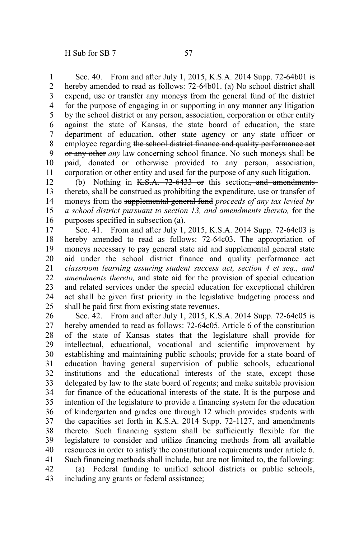Sec. 40. From and after July 1, 2015, K.S.A. 2014 Supp. 72-64b01 is hereby amended to read as follows: 72-64b01. (a) No school district shall expend, use or transfer any moneys from the general fund of the district for the purpose of engaging in or supporting in any manner any litigation by the school district or any person, association, corporation or other entity against the state of Kansas, the state board of education, the state department of education, other state agency or any state officer or employee regarding the school district finance and quality performance act or any other *any* law concerning school finance. No such moneys shall be paid, donated or otherwise provided to any person, association, corporation or other entity and used for the purpose of any such litigation. 1 2 3 4 5 6 7 8 9 10 11

(b) Nothing in  $K.S.A.$  72-6433 or this section, and amendmentsthereto, shall be construed as prohibiting the expenditure, use or transfer of moneys from the supplemental general fund *proceeds of any tax levied by a school district pursuant to section 13, and amendments thereto,* for the purposes specified in subsection (a). 12 13 14 15 16

Sec. 41. From and after July 1, 2015, K.S.A. 2014 Supp. 72-64c03 is hereby amended to read as follows: 72-64c03. The appropriation of moneys necessary to pay general state aid and supplemental general state aid under the school district finance and quality performance act *classroom learning assuring student success act, section 4 et seq., and amendments thereto,* and state aid for the provision of special education and related services under the special education for exceptional children act shall be given first priority in the legislative budgeting process and shall be paid first from existing state revenues. 17 18 19 20 21 22 23 24 25

Sec. 42. From and after July 1, 2015, K.S.A. 2014 Supp. 72-64c05 is hereby amended to read as follows: 72-64c05. Article 6 of the constitution of the state of Kansas states that the legislature shall provide for intellectual, educational, vocational and scientific improvement by establishing and maintaining public schools; provide for a state board of education having general supervision of public schools, educational institutions and the educational interests of the state, except those delegated by law to the state board of regents; and make suitable provision for finance of the educational interests of the state. It is the purpose and intention of the legislature to provide a financing system for the education of kindergarten and grades one through 12 which provides students with the capacities set forth in K.S.A. 2014 Supp. 72-1127, and amendments thereto. Such financing system shall be sufficiently flexible for the legislature to consider and utilize financing methods from all available resources in order to satisfy the constitutional requirements under article 6. Such financing methods shall include, but are not limited to, the following: (a) Federal funding to unified school districts or public schools, 26 27 28 29 30 31 32 33 34 35 36 37 38 39 40 41 42

including any grants or federal assistance; 43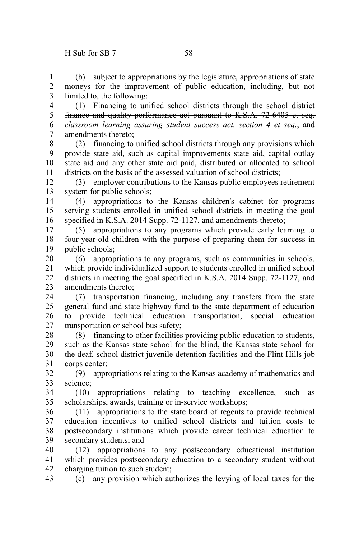(b) subject to appropriations by the legislature, appropriations of state moneys for the improvement of public education, including, but not limited to, the following: 1 2 3

(1) Financing to unified school districts through the school district finance and quality performance act pursuant to K.S.A. 72-6405 et seq. *classroom learning assuring student success act, section 4 et seq.*, and amendments thereto; 4 5 6 7

(2) financing to unified school districts through any provisions which provide state aid, such as capital improvements state aid, capital outlay state aid and any other state aid paid, distributed or allocated to school districts on the basis of the assessed valuation of school districts; 8 9 10 11

(3) employer contributions to the Kansas public employees retirement system for public schools; 12 13

(4) appropriations to the Kansas children's cabinet for programs serving students enrolled in unified school districts in meeting the goal specified in K.S.A. 2014 Supp. 72-1127, and amendments thereto; 14 15 16

(5) appropriations to any programs which provide early learning to four-year-old children with the purpose of preparing them for success in public schools; 17 18 19

(6) appropriations to any programs, such as communities in schools, which provide individualized support to students enrolled in unified school districts in meeting the goal specified in K.S.A. 2014 Supp. 72-1127, and amendments thereto; 20 21 22 23

(7) transportation financing, including any transfers from the state general fund and state highway fund to the state department of education to provide technical education transportation, special education transportation or school bus safety; 24 25 26 27

(8) financing to other facilities providing public education to students, such as the Kansas state school for the blind, the Kansas state school for the deaf, school district juvenile detention facilities and the Flint Hills job corps center; 28 29 30 31

(9) appropriations relating to the Kansas academy of mathematics and science; 32 33

(10) appropriations relating to teaching excellence, such as scholarships, awards, training or in-service workshops; 34 35

(11) appropriations to the state board of regents to provide technical education incentives to unified school districts and tuition costs to postsecondary institutions which provide career technical education to secondary students; and 36 37 38 39

(12) appropriations to any postsecondary educational institution which provides postsecondary education to a secondary student without charging tuition to such student; 40 41 42

(c) any provision which authorizes the levying of local taxes for the 43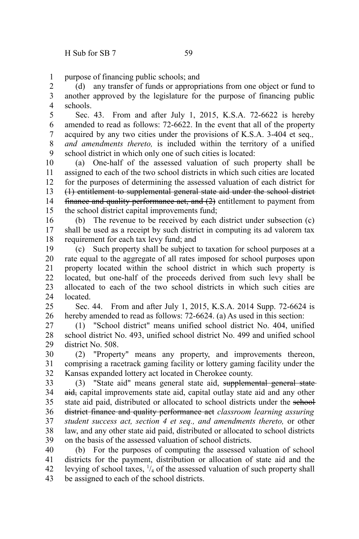purpose of financing public schools; and 1

(d) any transfer of funds or appropriations from one object or fund to another approved by the legislature for the purpose of financing public schools. 2 3 4

Sec. 43. From and after July 1, 2015, K.S.A. 72-6622 is hereby amended to read as follows: 72-6622. In the event that all of the property acquired by any two cities under the provisions of K.S.A. 3-404 et seq.*, and amendments thereto,* is included within the territory of a unified school district in which only one of such cities is located: 5 6 7 8 9

(a) One-half of the assessed valuation of such property shall be assigned to each of the two school districts in which such cities are located for the purposes of determining the assessed valuation of each district for (1) entitlement to supplemental general state aid under the school district finance and quality performance act, and (2) entitlement to payment from the school district capital improvements fund; 10 11 12 13 14 15

(b) The revenue to be received by each district under subsection (c) shall be used as a receipt by such district in computing its ad valorem tax requirement for each tax levy fund; and 16 17 18

(c) Such property shall be subject to taxation for school purposes at a rate equal to the aggregate of all rates imposed for school purposes upon property located within the school district in which such property is located, but one-half of the proceeds derived from such levy shall be allocated to each of the two school districts in which such cities are located. 19 20 21 22 23 24

Sec. 44. From and after July 1, 2015, K.S.A. 2014 Supp. 72-6624 is hereby amended to read as follows: 72-6624. (a) As used in this section:  $25$ 26

(1) "School district" means unified school district No. 404, unified school district No. 493, unified school district No. 499 and unified school district No. 508. 27 28 29

(2) "Property" means any property, and improvements thereon, comprising a racetrack gaming facility or lottery gaming facility under the Kansas expanded lottery act located in Cherokee county. 30 31 32

(3) "State aid" means general state aid, supplemental general state aid, capital improvements state aid, capital outlay state aid and any other state aid paid, distributed or allocated to school districts under the school district finance and quality performance act *classroom learning assuring student success act, section 4 et seq., and amendments thereto,* or other law, and any other state aid paid, distributed or allocated to school districts on the basis of the assessed valuation of school districts. 33 34 35 36 37 38 39

(b) For the purposes of computing the assessed valuation of school districts for the payment, distribution or allocation of state aid and the levying of school taxes,  $\frac{1}{4}$  of the assessed valuation of such property shall be assigned to each of the school districts. 40 41 42 43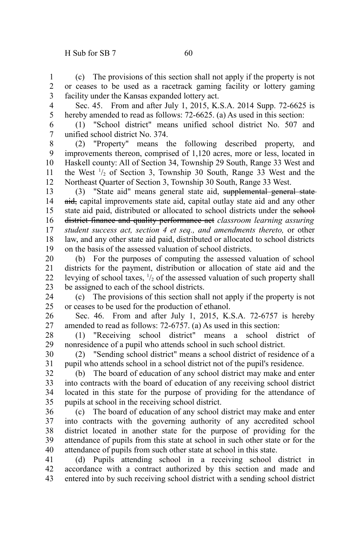(c) The provisions of this section shall not apply if the property is not or ceases to be used as a racetrack gaming facility or lottery gaming facility under the Kansas expanded lottery act. 1 2 3

- Sec. 45. From and after July 1, 2015, K.S.A. 2014 Supp. 72-6625 is hereby amended to read as follows: 72-6625. (a) As used in this section: 4 5
- (1) "School district" means unified school district No. 507 and unified school district No. 374. 6 7

(2) "Property" means the following described property, and improvements thereon, comprised of 1,120 acres, more or less, located in Haskell county: All of Section 34, Township 29 South, Range 33 West and the West  $\frac{1}{2}$  of Section 3, Township 30 South, Range 33 West and the Northeast Quarter of Section 3, Township 30 South, Range 33 West. 8 9 10 11 12

(3) "State aid" means general state aid, supplemental general state aid, capital improvements state aid, capital outlay state aid and any other state aid paid, distributed or allocated to school districts under the school district finance and quality performance act *classroom learning assuring student success act, section 4 et seq., and amendments thereto,* or other law, and any other state aid paid, distributed or allocated to school districts on the basis of the assessed valuation of school districts. 13 14 15 16 17 18 19

(b) For the purposes of computing the assessed valuation of school districts for the payment, distribution or allocation of state aid and the levying of school taxes,  $\frac{1}{2}$  of the assessed valuation of such property shall be assigned to each of the school districts. 20 21 22 23

(c) The provisions of this section shall not apply if the property is not or ceases to be used for the production of ethanol. 24 25

Sec. 46. From and after July 1, 2015, K.S.A. 72-6757 is hereby amended to read as follows: 72-6757. (a) As used in this section: 26 27

(1) "Receiving school district" means a school district of nonresidence of a pupil who attends school in such school district. 28 29

(2) "Sending school district" means a school district of residence of a pupil who attends school in a school district not of the pupil's residence. 30 31

(b) The board of education of any school district may make and enter into contracts with the board of education of any receiving school district located in this state for the purpose of providing for the attendance of pupils at school in the receiving school district. 32 33 34 35

(c) The board of education of any school district may make and enter into contracts with the governing authority of any accredited school district located in another state for the purpose of providing for the attendance of pupils from this state at school in such other state or for the attendance of pupils from such other state at school in this state. 36 37 38 39 40

(d) Pupils attending school in a receiving school district in accordance with a contract authorized by this section and made and entered into by such receiving school district with a sending school district 41 42 43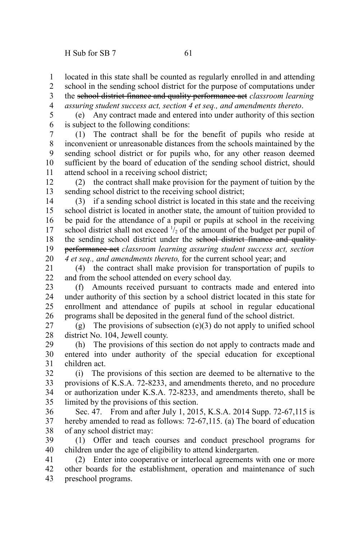located in this state shall be counted as regularly enrolled in and attending 1

school in the sending school district for the purpose of computations under 2 3

the school district finance and quality performance act *classroom learning assuring student success act, section 4 et seq., and amendments thereto*. 4

(e) Any contract made and entered into under authority of this section is subject to the following conditions: 5 6

(1) The contract shall be for the benefit of pupils who reside at inconvenient or unreasonable distances from the schools maintained by the sending school district or for pupils who, for any other reason deemed sufficient by the board of education of the sending school district, should attend school in a receiving school district; 7 8 9 10 11

(2) the contract shall make provision for the payment of tuition by the sending school district to the receiving school district; 12 13

(3) if a sending school district is located in this state and the receiving school district is located in another state, the amount of tuition provided to be paid for the attendance of a pupil or pupils at school in the receiving school district shall not exceed  $\frac{1}{2}$  of the amount of the budget per pupil of the sending school district under the sehool district finance and qualityperformance act *classroom learning assuring student success act, section 4 et seq., and amendments thereto,* for the current school year; and 14 15 16 17 18 19 20

(4) the contract shall make provision for transportation of pupils to and from the school attended on every school day. 21 22

(f) Amounts received pursuant to contracts made and entered into under authority of this section by a school district located in this state for enrollment and attendance of pupils at school in regular educational programs shall be deposited in the general fund of the school district. 23 24 25 26

(g) The provisions of subsection  $(e)(3)$  do not apply to unified school district No. 104, Jewell county. 27 28

(h) The provisions of this section do not apply to contracts made and entered into under authority of the special education for exceptional children act. 29 30 31

(i) The provisions of this section are deemed to be alternative to the provisions of K.S.A. 72-8233, and amendments thereto, and no procedure or authorization under K.S.A. 72-8233, and amendments thereto, shall be limited by the provisions of this section. 32 33 34 35

Sec. 47. From and after July 1, 2015, K.S.A. 2014 Supp. 72-67,115 is hereby amended to read as follows: 72-67,115. (a) The board of education of any school district may: 36 37 38

(1) Offer and teach courses and conduct preschool programs for children under the age of eligibility to attend kindergarten. 39 40

(2) Enter into cooperative or interlocal agreements with one or more other boards for the establishment, operation and maintenance of such preschool programs. 41 42 43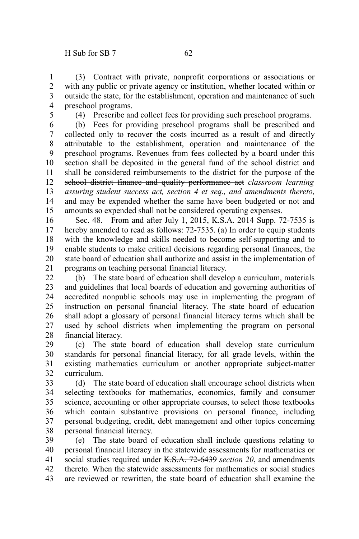(3) Contract with private, nonprofit corporations or associations or with any public or private agency or institution, whether located within or outside the state, for the establishment, operation and maintenance of such preschool programs. 1 2 3 4

5

(4) Prescribe and collect fees for providing such preschool programs.

(b) Fees for providing preschool programs shall be prescribed and collected only to recover the costs incurred as a result of and directly attributable to the establishment, operation and maintenance of the preschool programs. Revenues from fees collected by a board under this section shall be deposited in the general fund of the school district and shall be considered reimbursements to the district for the purpose of the school district finance and quality performance act *classroom learning assuring student success act, section 4 et seq., and amendments thereto,* and may be expended whether the same have been budgeted or not and amounts so expended shall not be considered operating expenses. 6 7 8 9 10 11 12 13 14 15

Sec. 48. From and after July 1, 2015, K.S.A. 2014 Supp. 72-7535 is hereby amended to read as follows: 72-7535. (a) In order to equip students with the knowledge and skills needed to become self-supporting and to enable students to make critical decisions regarding personal finances, the state board of education shall authorize and assist in the implementation of programs on teaching personal financial literacy. 16 17 18 19 20 21

(b) The state board of education shall develop a curriculum, materials and guidelines that local boards of education and governing authorities of accredited nonpublic schools may use in implementing the program of instruction on personal financial literacy. The state board of education shall adopt a glossary of personal financial literacy terms which shall be used by school districts when implementing the program on personal financial literacy. 22 23 24 25 26 27 28

(c) The state board of education shall develop state curriculum standards for personal financial literacy, for all grade levels, within the existing mathematics curriculum or another appropriate subject-matter curriculum. 29 30 31 32

(d) The state board of education shall encourage school districts when selecting textbooks for mathematics, economics, family and consumer science, accounting or other appropriate courses, to select those textbooks which contain substantive provisions on personal finance, including personal budgeting, credit, debt management and other topics concerning personal financial literacy. 33 34 35 36 37 38

(e) The state board of education shall include questions relating to personal financial literacy in the statewide assessments for mathematics or social studies required under K.S.A. 72-6439 *section 20*, and amendments thereto. When the statewide assessments for mathematics or social studies are reviewed or rewritten, the state board of education shall examine the 39 40 41 42 43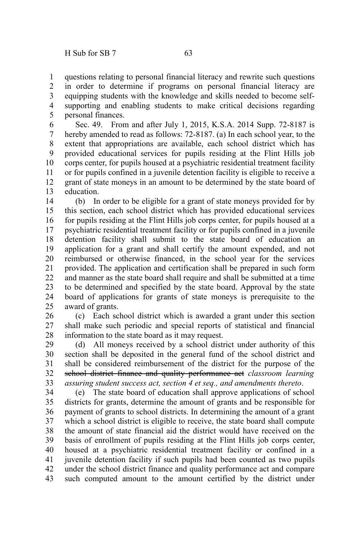questions relating to personal financial literacy and rewrite such questions in order to determine if programs on personal financial literacy are equipping students with the knowledge and skills needed to become selfsupporting and enabling students to make critical decisions regarding personal finances. 1 2 3 4 5

Sec. 49. From and after July 1, 2015, K.S.A. 2014 Supp. 72-8187 is hereby amended to read as follows: 72-8187. (a) In each school year, to the extent that appropriations are available, each school district which has provided educational services for pupils residing at the Flint Hills job corps center, for pupils housed at a psychiatric residential treatment facility or for pupils confined in a juvenile detention facility is eligible to receive a grant of state moneys in an amount to be determined by the state board of education. 6 7 8 9 10 11 12 13

(b) In order to be eligible for a grant of state moneys provided for by this section, each school district which has provided educational services for pupils residing at the Flint Hills job corps center, for pupils housed at a psychiatric residential treatment facility or for pupils confined in a juvenile detention facility shall submit to the state board of education an application for a grant and shall certify the amount expended, and not reimbursed or otherwise financed, in the school year for the services provided. The application and certification shall be prepared in such form and manner as the state board shall require and shall be submitted at a time to be determined and specified by the state board. Approval by the state board of applications for grants of state moneys is prerequisite to the award of grants. 14 15 16 17 18 19 20 21 22 23 24 25

(c) Each school district which is awarded a grant under this section shall make such periodic and special reports of statistical and financial information to the state board as it may request. 26 27 28

(d) All moneys received by a school district under authority of this section shall be deposited in the general fund of the school district and shall be considered reimbursement of the district for the purpose of the school district finance and quality performance act *classroom learning assuring student success act, section 4 et seq., and amendments thereto*. 29 30 31 32 33

(e) The state board of education shall approve applications of school districts for grants, determine the amount of grants and be responsible for payment of grants to school districts. In determining the amount of a grant which a school district is eligible to receive, the state board shall compute the amount of state financial aid the district would have received on the basis of enrollment of pupils residing at the Flint Hills job corps center, housed at a psychiatric residential treatment facility or confined in a juvenile detention facility if such pupils had been counted as two pupils under the school district finance and quality performance act and compare such computed amount to the amount certified by the district under 34 35 36 37 38 39 40 41 42 43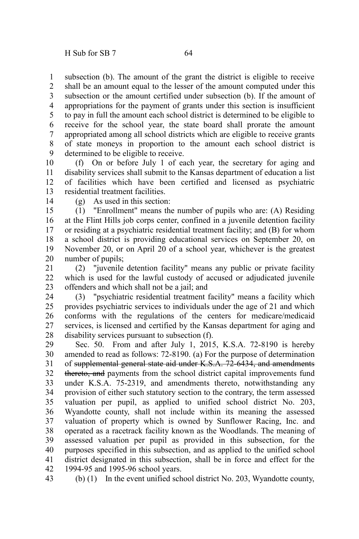subsection (b). The amount of the grant the district is eligible to receive shall be an amount equal to the lesser of the amount computed under this subsection or the amount certified under subsection (b). If the amount of appropriations for the payment of grants under this section is insufficient to pay in full the amount each school district is determined to be eligible to receive for the school year, the state board shall prorate the amount appropriated among all school districts which are eligible to receive grants of state moneys in proportion to the amount each school district is determined to be eligible to receive. 1 2 3 4 5 6 7 8 9

(f) On or before July 1 of each year, the secretary for aging and disability services shall submit to the Kansas department of education a list of facilities which have been certified and licensed as psychiatric residential treatment facilities. 10 11 12 13

14

(g) As used in this section:

(1) "Enrollment" means the number of pupils who are: (A) Residing at the Flint Hills job corps center, confined in a juvenile detention facility or residing at a psychiatric residential treatment facility; and (B) for whom a school district is providing educational services on September 20, on November 20, or on April 20 of a school year, whichever is the greatest number of pupils; 15 16 17 18 19 20

(2) "juvenile detention facility" means any public or private facility which is used for the lawful custody of accused or adjudicated juvenile offenders and which shall not be a jail; and 21 22 23

(3) "psychiatric residential treatment facility" means a facility which provides psychiatric services to individuals under the age of 21 and which conforms with the regulations of the centers for medicare/medicaid services, is licensed and certified by the Kansas department for aging and disability services pursuant to subsection (f). 24 25 26 27 28

Sec. 50. From and after July 1, 2015, K.S.A. 72-8190 is hereby amended to read as follows: 72-8190. (a) For the purpose of determination of supplemental general state aid under K.S.A. 72-6434, and amendments thereto, and payments from the school district capital improvements fund under K.S.A. 75-2319, and amendments thereto, notwithstanding any provision of either such statutory section to the contrary, the term assessed valuation per pupil, as applied to unified school district No. 203, Wyandotte county, shall not include within its meaning the assessed valuation of property which is owned by Sunflower Racing, Inc. and operated as a racetrack facility known as the Woodlands. The meaning of assessed valuation per pupil as provided in this subsection, for the purposes specified in this subsection, and as applied to the unified school district designated in this subsection, shall be in force and effect for the 1994-95 and 1995-96 school years. 29 30 31 32 33 34 35 36 37 38 39 40 41 42

43

(b) (1) In the event unified school district No. 203, Wyandotte county,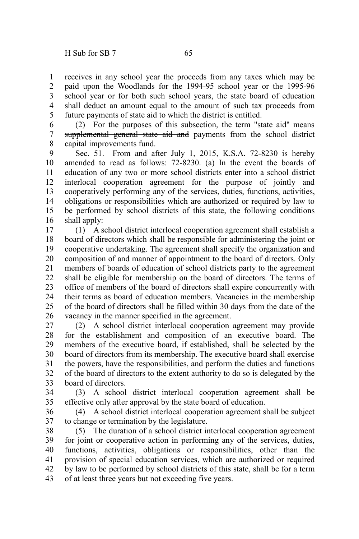receives in any school year the proceeds from any taxes which may be paid upon the Woodlands for the 1994-95 school year or the 1995-96 school year or for both such school years, the state board of education shall deduct an amount equal to the amount of such tax proceeds from future payments of state aid to which the district is entitled. 1 2 3 4 5

(2) For the purposes of this subsection, the term "state aid" means supplemental general state aid and payments from the school district capital improvements fund. 6 7 8

Sec. 51. From and after July 1, 2015, K.S.A. 72-8230 is hereby amended to read as follows: 72-8230. (a) In the event the boards of education of any two or more school districts enter into a school district interlocal cooperation agreement for the purpose of jointly and cooperatively performing any of the services, duties, functions, activities, obligations or responsibilities which are authorized or required by law to be performed by school districts of this state, the following conditions shall apply: 9 10 11 12 13 14 15 16

(1) A school district interlocal cooperation agreement shall establish a board of directors which shall be responsible for administering the joint or cooperative undertaking. The agreement shall specify the organization and composition of and manner of appointment to the board of directors. Only members of boards of education of school districts party to the agreement shall be eligible for membership on the board of directors. The terms of office of members of the board of directors shall expire concurrently with their terms as board of education members. Vacancies in the membership of the board of directors shall be filled within 30 days from the date of the vacancy in the manner specified in the agreement. 17 18 19 20 21 22 23 24 25 26

(2) A school district interlocal cooperation agreement may provide for the establishment and composition of an executive board. The members of the executive board, if established, shall be selected by the board of directors from its membership. The executive board shall exercise the powers, have the responsibilities, and perform the duties and functions of the board of directors to the extent authority to do so is delegated by the board of directors. 27 28 29 30 31 32 33

(3) A school district interlocal cooperation agreement shall be effective only after approval by the state board of education. 34 35

(4) A school district interlocal cooperation agreement shall be subject to change or termination by the legislature. 36 37

(5) The duration of a school district interlocal cooperation agreement for joint or cooperative action in performing any of the services, duties, functions, activities, obligations or responsibilities, other than the provision of special education services, which are authorized or required by law to be performed by school districts of this state, shall be for a term of at least three years but not exceeding five years. 38 39 40 41 42 43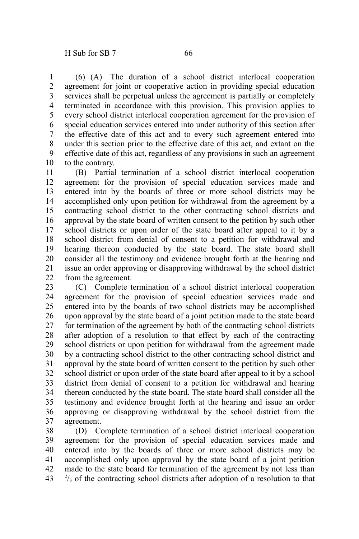(6) (A) The duration of a school district interlocal cooperation agreement for joint or cooperative action in providing special education services shall be perpetual unless the agreement is partially or completely terminated in accordance with this provision. This provision applies to every school district interlocal cooperation agreement for the provision of special education services entered into under authority of this section after the effective date of this act and to every such agreement entered into under this section prior to the effective date of this act, and extant on the effective date of this act, regardless of any provisions in such an agreement to the contrary. 1 2 3 4 5 6 7 8 9 10

(B) Partial termination of a school district interlocal cooperation agreement for the provision of special education services made and entered into by the boards of three or more school districts may be accomplished only upon petition for withdrawal from the agreement by a contracting school district to the other contracting school districts and approval by the state board of written consent to the petition by such other school districts or upon order of the state board after appeal to it by a school district from denial of consent to a petition for withdrawal and hearing thereon conducted by the state board. The state board shall consider all the testimony and evidence brought forth at the hearing and issue an order approving or disapproving withdrawal by the school district from the agreement. 11 12 13 14 15 16 17 18 19 20 21 22

(C) Complete termination of a school district interlocal cooperation agreement for the provision of special education services made and entered into by the boards of two school districts may be accomplished upon approval by the state board of a joint petition made to the state board for termination of the agreement by both of the contracting school districts after adoption of a resolution to that effect by each of the contracting school districts or upon petition for withdrawal from the agreement made by a contracting school district to the other contracting school district and approval by the state board of written consent to the petition by such other school district or upon order of the state board after appeal to it by a school district from denial of consent to a petition for withdrawal and hearing thereon conducted by the state board. The state board shall consider all the testimony and evidence brought forth at the hearing and issue an order approving or disapproving withdrawal by the school district from the agreement. 23 24 25 26 27 28 29 30 31 32 33 34 35 36 37

(D) Complete termination of a school district interlocal cooperation agreement for the provision of special education services made and entered into by the boards of three or more school districts may be accomplished only upon approval by the state board of a joint petition made to the state board for termination of the agreement by not less than  $^{2}/_{3}$  of the contracting school districts after adoption of a resolution to that 38 39 40 41 42 43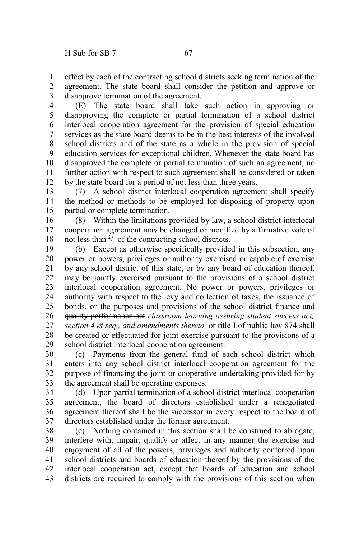effect by each of the contracting school districts seeking termination of the agreement. The state board shall consider the petition and approve or disapprove termination of the agreement. 1 2 3

(E) The state board shall take such action in approving or disapproving the complete or partial termination of a school district interlocal cooperation agreement for the provision of special education services as the state board deems to be in the best interests of the involved school districts and of the state as a whole in the provision of special education services for exceptional children. Whenever the state board has disapproved the complete or partial termination of such an agreement, no further action with respect to such agreement shall be considered or taken by the state board for a period of not less than three years. 4 5 6 7 8 9 10 11 12

(7) A school district interlocal cooperation agreement shall specify the method or methods to be employed for disposing of property upon partial or complete termination. 13 14 15

(8) Within the limitations provided by law, a school district interlocal cooperation agreement may be changed or modified by affirmative vote of not less than  $\frac{2}{3}$  of the contracting school districts. 16 17 18

(b) Except as otherwise specifically provided in this subsection, any power or powers, privileges or authority exercised or capable of exercise by any school district of this state, or by any board of education thereof, may be jointly exercised pursuant to the provisions of a school district interlocal cooperation agreement. No power or powers, privileges or authority with respect to the levy and collection of taxes, the issuance of bonds, or the purposes and provisions of the school district finance and quality performance act *classroom learning assuring student success act, section 4 et seq., and amendments thereto,* or title I of public law 874 shall be created or effectuated for joint exercise pursuant to the provisions of a school district interlocal cooperation agreement. 19 20 21 22 23 24 25 26 27 28 29

(c) Payments from the general fund of each school district which enters into any school district interlocal cooperation agreement for the purpose of financing the joint or cooperative undertaking provided for by the agreement shall be operating expenses. 30 31 32 33

(d) Upon partial termination of a school district interlocal cooperation agreement, the board of directors established under a renegotiated agreement thereof shall be the successor in every respect to the board of directors established under the former agreement. 34 35 36 37

(e) Nothing contained in this section shall be construed to abrogate, interfere with, impair, qualify or affect in any manner the exercise and enjoyment of all of the powers, privileges and authority conferred upon school districts and boards of education thereof by the provisions of the interlocal cooperation act, except that boards of education and school districts are required to comply with the provisions of this section when 38 39 40 41 42 43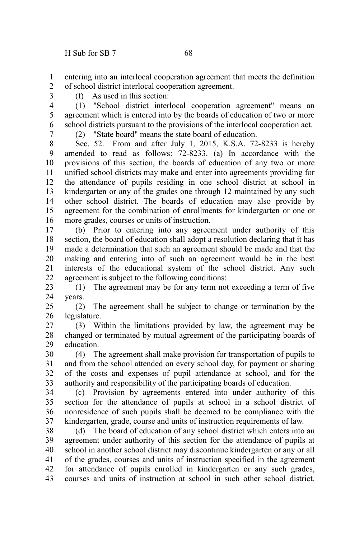entering into an interlocal cooperation agreement that meets the definition of school district interlocal cooperation agreement. 1 2

3

(f) As used in this section:

(1) "School district interlocal cooperation agreement" means an agreement which is entered into by the boards of education of two or more school districts pursuant to the provisions of the interlocal cooperation act. 4 5 6

7

(2) "State board" means the state board of education.

Sec. 52. From and after July 1, 2015, K.S.A. 72-8233 is hereby amended to read as follows: 72-8233. (a) In accordance with the provisions of this section, the boards of education of any two or more unified school districts may make and enter into agreements providing for the attendance of pupils residing in one school district at school in kindergarten or any of the grades one through 12 maintained by any such other school district. The boards of education may also provide by agreement for the combination of enrollments for kindergarten or one or more grades, courses or units of instruction. 8 9 10 11 12 13 14 15 16

(b) Prior to entering into any agreement under authority of this section, the board of education shall adopt a resolution declaring that it has made a determination that such an agreement should be made and that the making and entering into of such an agreement would be in the best interests of the educational system of the school district. Any such agreement is subject to the following conditions: 17 18 19 20 21 22

(1) The agreement may be for any term not exceeding a term of five years. 23 24

(2) The agreement shall be subject to change or termination by the legislature. 25 26

(3) Within the limitations provided by law, the agreement may be changed or terminated by mutual agreement of the participating boards of education. 27 28 29

(4) The agreement shall make provision for transportation of pupils to and from the school attended on every school day, for payment or sharing of the costs and expenses of pupil attendance at school, and for the authority and responsibility of the participating boards of education. 30 31 32 33

(c) Provision by agreements entered into under authority of this section for the attendance of pupils at school in a school district of nonresidence of such pupils shall be deemed to be compliance with the kindergarten, grade, course and units of instruction requirements of law. 34 35 36 37

(d) The board of education of any school district which enters into an agreement under authority of this section for the attendance of pupils at school in another school district may discontinue kindergarten or any or all of the grades, courses and units of instruction specified in the agreement for attendance of pupils enrolled in kindergarten or any such grades, courses and units of instruction at school in such other school district. 38 39 40 41 42 43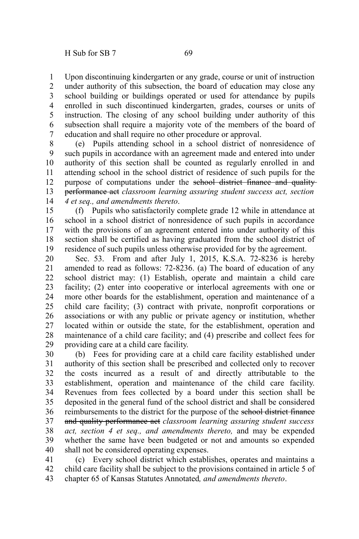Upon discontinuing kindergarten or any grade, course or unit of instruction under authority of this subsection, the board of education may close any school building or buildings operated or used for attendance by pupils enrolled in such discontinued kindergarten, grades, courses or units of instruction. The closing of any school building under authority of this subsection shall require a majority vote of the members of the board of education and shall require no other procedure or approval. 1 2 3 4 5 6 7

(e) Pupils attending school in a school district of nonresidence of such pupils in accordance with an agreement made and entered into under authority of this section shall be counted as regularly enrolled in and attending school in the school district of residence of such pupils for the purpose of computations under the school district finance and qualityperformance act *classroom learning assuring student success act, section 4 et seq., and amendments thereto*. 8 9 10 11 12 13 14

(f) Pupils who satisfactorily complete grade 12 while in attendance at school in a school district of nonresidence of such pupils in accordance with the provisions of an agreement entered into under authority of this section shall be certified as having graduated from the school district of residence of such pupils unless otherwise provided for by the agreement. 15 16 17 18 19

Sec. 53. From and after July 1, 2015, K.S.A. 72-8236 is hereby amended to read as follows: 72-8236. (a) The board of education of any school district may: (1) Establish, operate and maintain a child care facility; (2) enter into cooperative or interlocal agreements with one or more other boards for the establishment, operation and maintenance of a child care facility; (3) contract with private, nonprofit corporations or associations or with any public or private agency or institution, whether located within or outside the state, for the establishment, operation and maintenance of a child care facility; and (4) prescribe and collect fees for providing care at a child care facility. 20 21 22 23 24 25 26 27 28 29

(b) Fees for providing care at a child care facility established under authority of this section shall be prescribed and collected only to recover the costs incurred as a result of and directly attributable to the establishment, operation and maintenance of the child care facility. Revenues from fees collected by a board under this section shall be deposited in the general fund of the school district and shall be considered reimbursements to the district for the purpose of the school district finance and quality performance act *classroom learning assuring student success act, section 4 et seq., and amendments thereto,* and may be expended whether the same have been budgeted or not and amounts so expended shall not be considered operating expenses. 30 31 32 33 34 35 36 37 38 39 40

(c) Every school district which establishes, operates and maintains a child care facility shall be subject to the provisions contained in article 5 of chapter 65 of Kansas Statutes Annotated*, and amendments thereto*. 41 42 43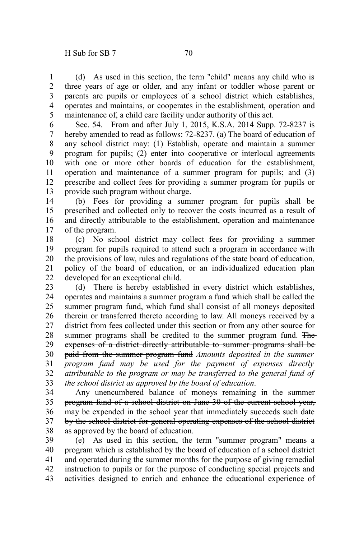(d) As used in this section, the term "child" means any child who is three years of age or older, and any infant or toddler whose parent or parents are pupils or employees of a school district which establishes, operates and maintains, or cooperates in the establishment, operation and maintenance of, a child care facility under authority of this act. 1 2 3 4 5

Sec. 54. From and after July 1, 2015, K.S.A. 2014 Supp. 72-8237 is hereby amended to read as follows: 72-8237. (a) The board of education of any school district may: (1) Establish, operate and maintain a summer program for pupils; (2) enter into cooperative or interlocal agreements with one or more other boards of education for the establishment, operation and maintenance of a summer program for pupils; and (3) prescribe and collect fees for providing a summer program for pupils or provide such program without charge. 6 7 8 9 10 11 12 13

(b) Fees for providing a summer program for pupils shall be prescribed and collected only to recover the costs incurred as a result of and directly attributable to the establishment, operation and maintenance of the program. 14 15 16 17

(c) No school district may collect fees for providing a summer program for pupils required to attend such a program in accordance with the provisions of law, rules and regulations of the state board of education, policy of the board of education, or an individualized education plan developed for an exceptional child. 18 19 20 21 22

(d) There is hereby established in every district which establishes, operates and maintains a summer program a fund which shall be called the summer program fund, which fund shall consist of all moneys deposited therein or transferred thereto according to law. All moneys received by a district from fees collected under this section or from any other source for summer programs shall be credited to the summer program fund. The expenses of a district directly attributable to summer programs shall be paid from the summer program fund *Amounts deposited in the summer program fund may be used for the payment of expenses directly attributable to the program or may be transferred to the general fund of the school district as approved by the board of education*. 23 24 25 26 27 28 29 30 31 32 33

Any unencumbered balance of moneys remaining in the summer program fund of a school district on June 30 of the current school year, may be expended in the school year that immediately succeeds such date by the school district for general operating expenses of the school district as approved by the board of education. 34 35 36 37 38

(e) As used in this section, the term "summer program" means a program which is established by the board of education of a school district and operated during the summer months for the purpose of giving remedial instruction to pupils or for the purpose of conducting special projects and activities designed to enrich and enhance the educational experience of 39 40 41 42 43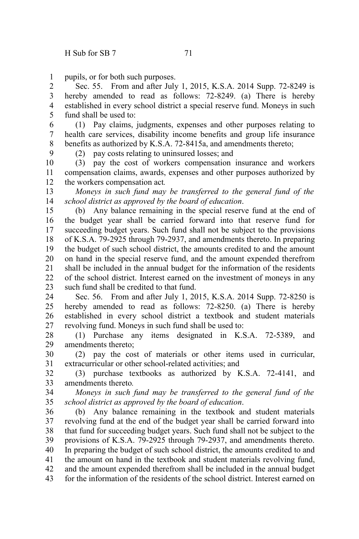pupils, or for both such purposes. 1

Sec. 55. From and after July 1, 2015, K.S.A. 2014 Supp. 72-8249 is hereby amended to read as follows: 72-8249. (a) There is hereby established in every school district a special reserve fund. Moneys in such fund shall be used to: 2 3 4 5

(1) Pay claims, judgments, expenses and other purposes relating to health care services, disability income benefits and group life insurance benefits as authorized by K.S.A. 72-8415a, and amendments thereto; 6 7 8

9

(2) pay costs relating to uninsured losses; and

(3) pay the cost of workers compensation insurance and workers compensation claims, awards, expenses and other purposes authorized by the workers compensation act*.* 10 11 12

*Moneys in such fund may be transferred to the general fund of the school district as approved by the board of education*. 13 14

(b) Any balance remaining in the special reserve fund at the end of the budget year shall be carried forward into that reserve fund for succeeding budget years. Such fund shall not be subject to the provisions of K.S.A. 79-2925 through 79-2937, and amendments thereto. In preparing the budget of such school district, the amounts credited to and the amount on hand in the special reserve fund, and the amount expended therefrom shall be included in the annual budget for the information of the residents of the school district. Interest earned on the investment of moneys in any such fund shall be credited to that fund. 15 16 17 18 19 20 21 22 23

Sec. 56. From and after July 1, 2015, K.S.A. 2014 Supp. 72-8250 is hereby amended to read as follows: 72-8250. (a) There is hereby established in every school district a textbook and student materials revolving fund. Moneys in such fund shall be used to: 24 25 26 27

(1) Purchase any items designated in K.S.A. 72-5389, and amendments thereto; 28 29

(2) pay the cost of materials or other items used in curricular, extracurricular or other school-related activities; and 30 31

(3) purchase textbooks as authorized by K.S.A. 72-4141, and amendments thereto*.* 32 33

*Moneys in such fund may be transferred to the general fund of the school district as approved by the board of education*. 34 35

(b) Any balance remaining in the textbook and student materials revolving fund at the end of the budget year shall be carried forward into that fund for succeeding budget years. Such fund shall not be subject to the provisions of K.S.A. 79-2925 through 79-2937, and amendments thereto. In preparing the budget of such school district, the amounts credited to and the amount on hand in the textbook and student materials revolving fund, and the amount expended therefrom shall be included in the annual budget for the information of the residents of the school district. Interest earned on 36 37 38 39 40 41 42 43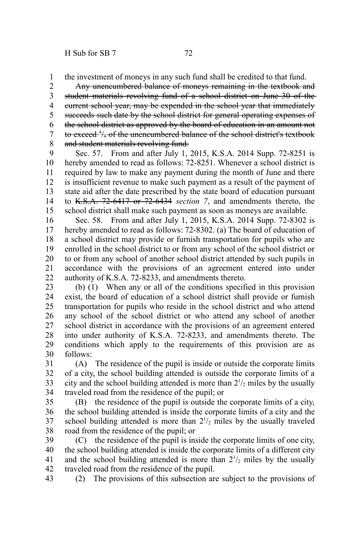the investment of moneys in any such fund shall be credited to that fund. 1

Any unencumbered balance of moneys remaining in the textbook and student materials revolving fund of a school district on June 30 of the current school year, may be expended in the school year that immediately succeeds such date by the school district for general operating expenses of the school district as approved by the board of education in an amount not to exceed <sup>+</sup>/<sub>3</sub> of the unencumbered balance of the school district's textbook and student materials revolving fund. 2 3 4 5 6 7 8

Sec. 57. From and after July 1, 2015, K.S.A. 2014 Supp. 72-8251 is hereby amended to read as follows: 72-8251. Whenever a school district is required by law to make any payment during the month of June and there is insufficient revenue to make such payment as a result of the payment of state aid after the date prescribed by the state board of education pursuant to K.S.A. 72-6417 or 72-6434 *section 7*, and amendments thereto, the school district shall make such payment as soon as moneys are available. 9 10 11 12 13 14 15

Sec. 58. From and after July 1, 2015, K.S.A. 2014 Supp. 72-8302 is hereby amended to read as follows: 72-8302. (a) The board of education of a school district may provide or furnish transportation for pupils who are enrolled in the school district to or from any school of the school district or to or from any school of another school district attended by such pupils in accordance with the provisions of an agreement entered into under authority of K.S.A. 72-8233, and amendments thereto. 16 17 18 19 20 21 22

(b) (1) When any or all of the conditions specified in this provision exist, the board of education of a school district shall provide or furnish transportation for pupils who reside in the school district and who attend any school of the school district or who attend any school of another school district in accordance with the provisions of an agreement entered into under authority of K.S.A. 72-8233, and amendments thereto. The conditions which apply to the requirements of this provision are as follows: 23 24 25 26 27 28 29 30

(A) The residence of the pupil is inside or outside the corporate limits of a city, the school building attended is outside the corporate limits of a city and the school building attended is more than  $2\frac{1}{2}$  miles by the usually traveled road from the residence of the pupil; or 31 32 33 34

(B) the residence of the pupil is outside the corporate limits of a city, the school building attended is inside the corporate limits of a city and the school building attended is more than  $2^{1/2}$  miles by the usually traveled road from the residence of the pupil; or 35 36 37 38

(C) the residence of the pupil is inside the corporate limits of one city, the school building attended is inside the corporate limits of a different city and the school building attended is more than  $2^{1/2}$  miles by the usually traveled road from the residence of the pupil. 39 40 41 42

(2) The provisions of this subsection are subject to the provisions of 43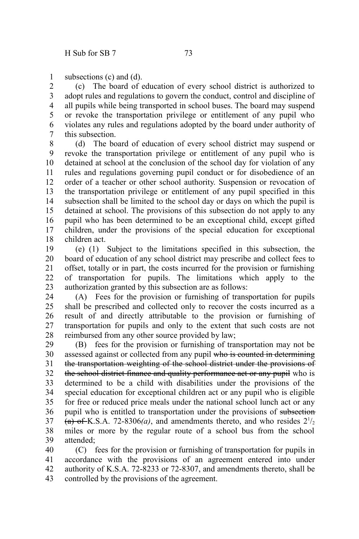subsections (c) and (d). 1

(c) The board of education of every school district is authorized to adopt rules and regulations to govern the conduct, control and discipline of all pupils while being transported in school buses. The board may suspend or revoke the transportation privilege or entitlement of any pupil who violates any rules and regulations adopted by the board under authority of this subsection. 2 3 4 5 6 7

(d) The board of education of every school district may suspend or revoke the transportation privilege or entitlement of any pupil who is detained at school at the conclusion of the school day for violation of any rules and regulations governing pupil conduct or for disobedience of an order of a teacher or other school authority. Suspension or revocation of the transportation privilege or entitlement of any pupil specified in this subsection shall be limited to the school day or days on which the pupil is detained at school. The provisions of this subsection do not apply to any pupil who has been determined to be an exceptional child, except gifted children, under the provisions of the special education for exceptional children act. 8 9 10 11 12 13 14 15 16 17 18

(e) (1) Subject to the limitations specified in this subsection, the board of education of any school district may prescribe and collect fees to offset, totally or in part, the costs incurred for the provision or furnishing of transportation for pupils. The limitations which apply to the authorization granted by this subsection are as follows: 19 20 21 22 23

(A) Fees for the provision or furnishing of transportation for pupils shall be prescribed and collected only to recover the costs incurred as a result of and directly attributable to the provision or furnishing of transportation for pupils and only to the extent that such costs are not reimbursed from any other source provided by law; 24 25 26 27 28

(B) fees for the provision or furnishing of transportation may not be assessed against or collected from any pupil who is counted in determining the transportation weighting of the school district under the provisions of the school district finance and quality performance act or any pupil who is determined to be a child with disabilities under the provisions of the special education for exceptional children act or any pupil who is eligible for free or reduced price meals under the national school lunch act or any pupil who is entitled to transportation under the provisions of subsection  $(a)$  of K.S.A. 72-8306(*a*), and amendments thereto, and who resides  $2^{1/2}$ miles or more by the regular route of a school bus from the school attended; 29 30 31 32 33 34 35 36 37 38 39

(C) fees for the provision or furnishing of transportation for pupils in accordance with the provisions of an agreement entered into under authority of K.S.A. 72-8233 or 72-8307, and amendments thereto, shall be controlled by the provisions of the agreement. 40 41 42 43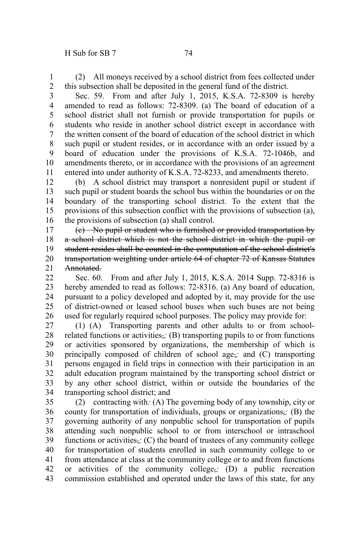(2) All moneys received by a school district from fees collected under this subsection shall be deposited in the general fund of the district. 1 2

Sec. 59. From and after July 1, 2015, K.S.A. 72-8309 is hereby amended to read as follows: 72-8309. (a) The board of education of a school district shall not furnish or provide transportation for pupils or students who reside in another school district except in accordance with the written consent of the board of education of the school district in which such pupil or student resides, or in accordance with an order issued by a board of education under the provisions of K.S.A. 72-1046b, and amendments thereto, or in accordance with the provisions of an agreement entered into under authority of K.S.A. 72-8233, and amendments thereto. 3 4 5 6 7 8 9 10 11

(b) A school district may transport a nonresident pupil or student if such pupil or student boards the school bus within the boundaries or on the boundary of the transporting school district. To the extent that the provisions of this subsection conflict with the provisions of subsection (a), the provisions of subsection (a) shall control. 12 13 14 15 16

(c) No pupil or student who is furnished or provided transportation by a school district which is not the school district in which the pupil or student resides shall be counted in the computation of the school district's transportation weighting under article 64 of chapter 72 of Kansas Statutes Annotated. 17 18 19 20 21

Sec. 60. From and after July 1, 2015, K.S.A. 2014 Supp. 72-8316 is hereby amended to read as follows: 72-8316. (a) Any board of education, pursuant to a policy developed and adopted by it, may provide for the use of district-owned or leased school buses when such buses are not being used for regularly required school purposes. The policy may provide for:  $22$ 23 24 25 26

(1) (A) Transporting parents and other adults to or from schoolrelated functions or activities,*;* (B) transporting pupils to or from functions or activities sponsored by organizations, the membership of which is principally composed of children of school age,*;* and (C) transporting persons engaged in field trips in connection with their participation in an adult education program maintained by the transporting school district or by any other school district, within or outside the boundaries of the transporting school district; and 27 28 29 30 31 32 33 34

(2) contracting with*:* (A) The governing body of any township, city or county for transportation of individuals, groups or organizations,*;* (B) the governing authority of any nonpublic school for transportation of pupils attending such nonpublic school to or from interschool or intraschool functions or activities,*;* (C) the board of trustees of any community college for transportation of students enrolled in such community college to or from attendance at class at the community college or to and from functions or activities of the community college,*;* (D) a public recreation commission established and operated under the laws of this state, for any 35 36 37 38 39 40 41 42 43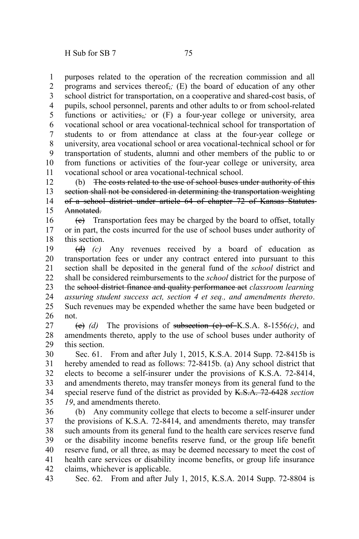purposes related to the operation of the recreation commission and all programs and services thereof,*;* (E) the board of education of any other school district for transportation, on a cooperative and shared-cost basis, of pupils, school personnel, parents and other adults to or from school-related functions or activities<sub>7</sub>; or (F) a four-year college or university, area vocational school or area vocational-technical school for transportation of students to or from attendance at class at the four-year college or university, area vocational school or area vocational-technical school or for transportation of students, alumni and other members of the public to or from functions or activities of the four-year college or university, area vocational school or area vocational-technical school. 1 2 3 4 5 6 7 8 9 10 11

(b) The costs related to the use of school buses under authority of this section shall not be considered in determining the transportation weighting of a school district under article 64 of chapter 72 of Kansas Statutes Annotated. 12 13 14 15

 $(e)$  Transportation fees may be charged by the board to offset, totally or in part, the costs incurred for the use of school buses under authority of this section. 16 17 18

(d) *(c)* Any revenues received by a board of education as transportation fees or under any contract entered into pursuant to this section shall be deposited in the general fund of the *school* district and shall be considered reimbursements to the *school* district for the purpose of the school district finance and quality performance act *classroom learning assuring student success act, section 4 et seq., and amendments thereto*. Such revenues may be expended whether the same have been budgeted or not. 19 20 21 22 23 24 25 26

(e) *(d)* The provisions of subsection (c) of K.S.A. 8-1556*(c)*, and amendments thereto, apply to the use of school buses under authority of this section. 27 28 29

Sec. 61. From and after July 1, 2015, K.S.A. 2014 Supp. 72-8415b is hereby amended to read as follows: 72-8415b. (a) Any school district that elects to become a self-insurer under the provisions of K.S.A. 72-8414, and amendments thereto, may transfer moneys from its general fund to the special reserve fund of the district as provided by K.S.A. 72-6428 *section 19*, and amendments thereto. 30 31 32 33 34 35

(b) Any community college that elects to become a self-insurer under the provisions of K.S.A. 72-8414, and amendments thereto, may transfer such amounts from its general fund to the health care services reserve fund or the disability income benefits reserve fund, or the group life benefit reserve fund, or all three, as may be deemed necessary to meet the cost of health care services or disability income benefits, or group life insurance claims, whichever is applicable. 36 37 38 39 40 41 42

Sec. 62. From and after July 1, 2015, K.S.A. 2014 Supp. 72-8804 is 43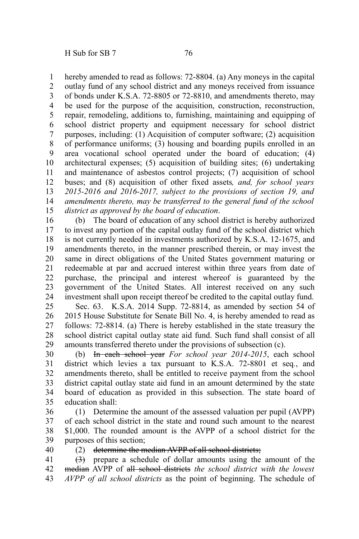hereby amended to read as follows: 72-8804. (a) Any moneys in the capital 1

outlay fund of any school district and any moneys received from issuance of bonds under K.S.A. 72-8805 or 72-8810, and amendments thereto, may be used for the purpose of the acquisition, construction, reconstruction, repair, remodeling, additions to, furnishing, maintaining and equipping of school district property and equipment necessary for school district purposes, including: (1) Acquisition of computer software; (2) acquisition of performance uniforms; (3) housing and boarding pupils enrolled in an area vocational school operated under the board of education; (4) architectural expenses; (5) acquisition of building sites; (6) undertaking and maintenance of asbestos control projects; (7) acquisition of school buses; and (8) acquisition of other fixed assets*, and, for school years 2015-2016 and 2016-2017, subject to the provisions of section 19, and amendments thereto, may be transferred to the general fund of the school district as approved by the board of education*. 2 3 4 5 6 7 8 9 10 11 12 13 14 15

(b) The board of education of any school district is hereby authorized to invest any portion of the capital outlay fund of the school district which is not currently needed in investments authorized by K.S.A. 12-1675, and amendments thereto, in the manner prescribed therein, or may invest the same in direct obligations of the United States government maturing or redeemable at par and accrued interest within three years from date of purchase, the principal and interest whereof is guaranteed by the government of the United States. All interest received on any such investment shall upon receipt thereof be credited to the capital outlay fund. 16 17 18 19 20 21 22 23 24

Sec. 63. K.S.A. 2014 Supp. 72-8814, as amended by section 54 of 2015 House Substitute for Senate Bill No. 4, is hereby amended to read as follows: 72-8814. (a) There is hereby established in the state treasury the school district capital outlay state aid fund. Such fund shall consist of all amounts transferred thereto under the provisions of subsection (c). 25 26 27 28 29

(b) In each school year *For school year 2014-2015*, each school district which levies a tax pursuant to K.S.A. 72-8801 et seq*.*, and amendments thereto, shall be entitled to receive payment from the school district capital outlay state aid fund in an amount determined by the state board of education as provided in this subsection. The state board of education shall: 30 31 32 33 34 35

(1) Determine the amount of the assessed valuation per pupil (AVPP) of each school district in the state and round such amount to the nearest \$1,000. The rounded amount is the AVPP of a school district for the purposes of this section; 36 37 38 39

40

## (2) determine the median AVPP of all school districts;

(3) prepare a schedule of dollar amounts using the amount of the median AVPP of all school districts *the school district with the lowest AVPP of all school districts* as the point of beginning. The schedule of 41 42 43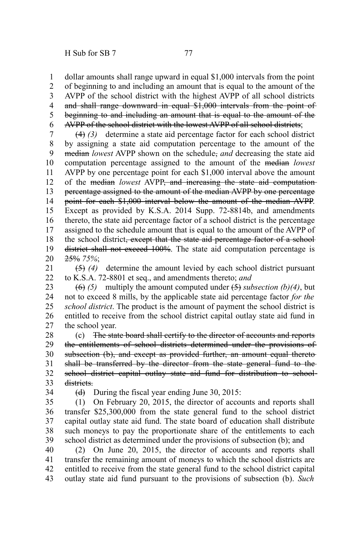dollar amounts shall range upward in equal \$1,000 intervals from the point 1

of beginning to and including an amount that is equal to the amount of the AVPP of the school district with the highest AVPP of all school districts and shall range downward in equal \$1,000 intervals from the point of beginning to and including an amount that is equal to the amount of the AVPP of the school district with the lowest AVPP of all school districts; 2 3 4 5 6

(4) *(3)* determine a state aid percentage factor for each school district by assigning a state aid computation percentage to the amount of the median *lowest* AVPP shown on the schedule, *and* decreasing the state aid computation percentage assigned to the amount of the median *lowest* AVPP by one percentage point for each \$1,000 interval above the amount of the median *lowest* AVPP, and increasing the state aid computation percentage assigned to the amount of the median AVPP by one percentage point for each \$1,000 interval below the amount of the median AVPP. Except as provided by K.S.A. 2014 Supp. 72-8814b, and amendments thereto, the state aid percentage factor of a school district is the percentage assigned to the schedule amount that is equal to the amount of the AVPP of the school district, except that the state aid percentage factor of a school district shall not exceed 100%. The state aid computation percentage is 25% *75%*; 7 8 9 10 11 12 13 14 15 16 17 18 19 20

(5) *(4)* determine the amount levied by each school district pursuant to K.S.A. 72-8801 et seq., and amendments thereto; *and* 21 22

 $(6)$  (5) multiply the amount computed under  $(5)$  *subsection* (b)(4), but not to exceed 8 mills, by the applicable state aid percentage factor *for the school district*. The product is the amount of payment the school district is entitled to receive from the school district capital outlay state aid fund in the school year. 23 24 25 26 27

(c) The state board shall certify to the director of accounts and reports the entitlements of school districts determined under the provisions of subsection (b), and except as provided further, an amount equal theretoshall be transferred by the director from the state general fund to the school district capital outlay state aid fund for distribution to schooldistricts. 28 29 30 31 32 33

34

 $(d)$  During the fiscal year ending June 30, 2015:

(1) On February 20, 2015, the director of accounts and reports shall transfer \$25,300,000 from the state general fund to the school district capital outlay state aid fund. The state board of education shall distribute such moneys to pay the proportionate share of the entitlements to each school district as determined under the provisions of subsection (b); and 35 36 37 38 39

(2) On June 20, 2015, the director of accounts and reports shall transfer the remaining amount of moneys to which the school districts are entitled to receive from the state general fund to the school district capital outlay state aid fund pursuant to the provisions of subsection (b). *Such* 40 41 42 43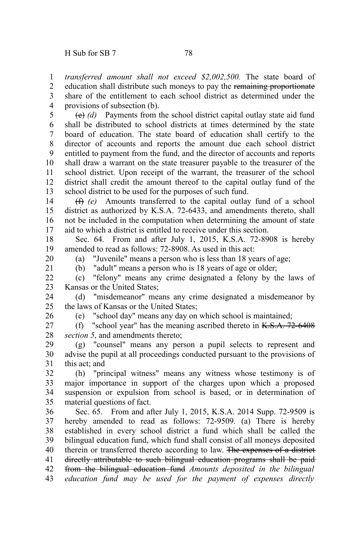*transferred amount shall not exceed \$2,002,500.* The state board of education shall distribute such moneys to pay the remaining proportionate share of the entitlement to each school district as determined under the provisions of subsection (b). 1 2 3 4

(e) *(d)* Payments from the school district capital outlay state aid fund shall be distributed to school districts at times determined by the state board of education. The state board of education shall certify to the director of accounts and reports the amount due each school district entitled to payment from the fund, and the director of accounts and reports shall draw a warrant on the state treasurer payable to the treasurer of the school district. Upon receipt of the warrant, the treasurer of the school district shall credit the amount thereof to the capital outlay fund of the school district to be used for the purposes of such fund. 5 6 7 8 9 10 11 12 13

(f) *(e)* Amounts transferred to the capital outlay fund of a school district as authorized by K.S.A. 72-6433, and amendments thereto, shall not be included in the computation when determining the amount of state aid to which a district is entitled to receive under this section. 14 15 16 17

Sec. 64. From and after July 1, 2015, K.S.A. 72-8908 is hereby amended to read as follows: 72-8908. As used in this act: 18 19

(a) "Juvenile" means a person who is less than 18 years of age;

20 21

(b) "adult" means a person who is 18 years of age or older;

(c) "felony" means any crime designated a felony by the laws of Kansas or the United States;  $22$ 23

(d) "misdemeanor" means any crime designated a misdemeanor by the laws of Kansas or the United States; 24  $25$ 

26

(e) "school day" means any day on which school is maintained;

(f) "school year" has the meaning ascribed thereto in  $K.S.A. 72-6408$ *section 5*, and amendments thereto; 27 28

(g) "counsel" means any person a pupil selects to represent and advise the pupil at all proceedings conducted pursuant to the provisions of this act; and 29 30 31

(h) "principal witness" means any witness whose testimony is of major importance in support of the charges upon which a proposed suspension or expulsion from school is based, or in determination of material questions of fact. 32 33 34 35

Sec. 65. From and after July 1, 2015, K.S.A. 2014 Supp. 72-9509 is hereby amended to read as follows: 72-9509. (a) There is hereby established in every school district a fund which shall be called the bilingual education fund, which fund shall consist of all moneys deposited therein or transferred thereto according to law. The expenses of a district directly attributable to such bilingual education programs shall be paid from the bilingual education fund *Amounts deposited in the bilingual education fund may be used for the payment of expenses directly* 36 37 38 39 40 41 42 43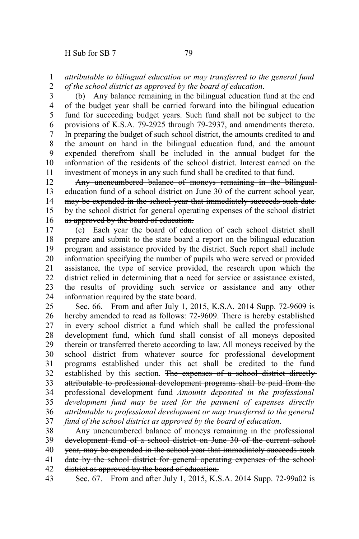## *attributable to bilingual education or may transferred to the general fund of the school district as approved by the board of education*. 1 2

(b) Any balance remaining in the bilingual education fund at the end of the budget year shall be carried forward into the bilingual education fund for succeeding budget years. Such fund shall not be subject to the provisions of K.S.A. 79-2925 through 79-2937, and amendments thereto. In preparing the budget of such school district, the amounts credited to and the amount on hand in the bilingual education fund, and the amount expended therefrom shall be included in the annual budget for the information of the residents of the school district. Interest earned on the investment of moneys in any such fund shall be credited to that fund. 3 4 5 6 7 8 9 10 11

Any unencumbered balance of moneys remaining in the bilingualeducation fund of a school district on June 30 of the current school year, may be expended in the school year that immediately succeeds such date by the school district for general operating expenses of the school district as approved by the board of education. 12 13 14 15 16

(c) Each year the board of education of each school district shall prepare and submit to the state board a report on the bilingual education program and assistance provided by the district. Such report shall include information specifying the number of pupils who were served or provided assistance, the type of service provided, the research upon which the district relied in determining that a need for service or assistance existed, the results of providing such service or assistance and any other information required by the state board. 17 18 19 20 21 22 23 24

Sec. 66. From and after July 1, 2015, K.S.A. 2014 Supp. 72-9609 is hereby amended to read as follows: 72-9609. There is hereby established in every school district a fund which shall be called the professional development fund, which fund shall consist of all moneys deposited therein or transferred thereto according to law. All moneys received by the school district from whatever source for professional development programs established under this act shall be credited to the fund established by this section. The expenses of a school district directlyattributable to professional development programs shall be paid from the professional development fund *Amounts deposited in the professional development fund may be used for the payment of expenses directly attributable to professional development or may transferred to the general fund of the school district as approved by the board of education*. 25 26 27 28 29 30 31 32 33 34 35 36 37

Any unencumbered balance of moneys remaining in the professional development fund of a school district on June 30 of the current school year, may be expended in the school year that immediately succeeds such date by the school district for general operating expenses of the school district as approved by the board of education. 38 39 40 41 42

Sec. 67. From and after July 1, 2015, K.S.A. 2014 Supp. 72-99a02 is 43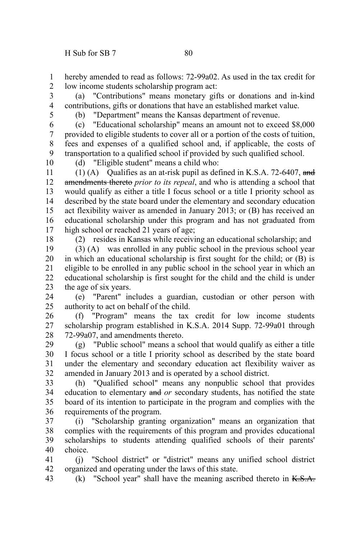hereby amended to read as follows: 72-99a02. As used in the tax credit for low income students scholarship program act: 1 2

(a) "Contributions" means monetary gifts or donations and in-kind contributions, gifts or donations that have an established market value. 3 4

5

(b) "Department" means the Kansas department of revenue.

(c) "Educational scholarship" means an amount not to exceed \$8,000 provided to eligible students to cover all or a portion of the costs of tuition, fees and expenses of a qualified school and, if applicable, the costs of transportation to a qualified school if provided by such qualified school. 6 7 8 9

10

(d) "Eligible student" means a child who:

(1) (A) Qualifies as an at-risk pupil as defined in K.S.A. 72-6407, and amendments thereto *prior to its repeal*, and who is attending a school that would qualify as either a title I focus school or a title I priority school as described by the state board under the elementary and secondary education act flexibility waiver as amended in January 2013; or (B) has received an educational scholarship under this program and has not graduated from high school or reached 21 years of age; 11 12 13 14 15 16 17

18

(2) resides in Kansas while receiving an educational scholarship; and

(3) (A) was enrolled in any public school in the previous school year in which an educational scholarship is first sought for the child; or (B) is eligible to be enrolled in any public school in the school year in which an educational scholarship is first sought for the child and the child is under the age of six years. 19 20 21 22 23

(e) "Parent" includes a guardian, custodian or other person with authority to act on behalf of the child. 24 25

(f) "Program" means the tax credit for low income students scholarship program established in K.S.A. 2014 Supp. 72-99a01 through 72-99a07, and amendments thereto. 26 27 28

(g) "Public school" means a school that would qualify as either a title I focus school or a title I priority school as described by the state board under the elementary and secondary education act flexibility waiver as amended in January 2013 and is operated by a school district. 29 30 31 32

(h) "Qualified school" means any nonpublic school that provides education to elementary and *or* secondary students, has notified the state board of its intention to participate in the program and complies with the requirements of the program. 33 34 35 36

(i) "Scholarship granting organization" means an organization that complies with the requirements of this program and provides educational scholarships to students attending qualified schools of their parents' choice. 37 38 39 40

(j) "School district" or "district" means any unified school district organized and operating under the laws of this state. 41 42

 $(k)$  "School year" shall have the meaning ascribed thereto in  $K.S.A.$ 43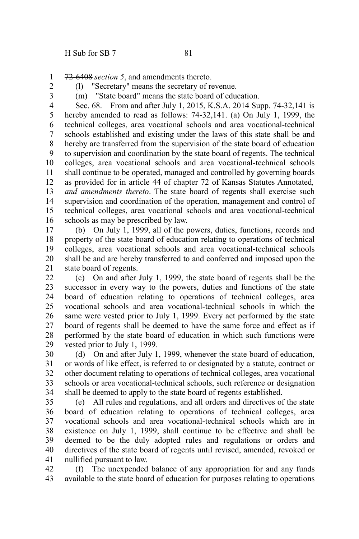72-6408 *section 5*, and amendments thereto. 1

2 3 (l) "Secretary" means the secretary of revenue.

(m) "State board" means the state board of education.

Sec. 68. From and after July 1, 2015, K.S.A. 2014 Supp. 74-32,141 is hereby amended to read as follows: 74-32,141. (a) On July 1, 1999, the technical colleges, area vocational schools and area vocational-technical schools established and existing under the laws of this state shall be and hereby are transferred from the supervision of the state board of education to supervision and coordination by the state board of regents. The technical colleges, area vocational schools and area vocational-technical schools shall continue to be operated, managed and controlled by governing boards as provided for in article 44 of chapter 72 of Kansas Statutes Annotated*, and amendments thereto*. The state board of regents shall exercise such supervision and coordination of the operation, management and control of technical colleges, area vocational schools and area vocational-technical schools as may be prescribed by law. 4 5 6 7 8 9 10 11 12 13 14 15 16

(b) On July 1, 1999, all of the powers, duties, functions, records and property of the state board of education relating to operations of technical colleges, area vocational schools and area vocational-technical schools shall be and are hereby transferred to and conferred and imposed upon the state board of regents. 17 18 19 20 21

(c) On and after July 1, 1999, the state board of regents shall be the successor in every way to the powers, duties and functions of the state board of education relating to operations of technical colleges, area vocational schools and area vocational-technical schools in which the same were vested prior to July 1, 1999. Every act performed by the state board of regents shall be deemed to have the same force and effect as if performed by the state board of education in which such functions were vested prior to July 1, 1999.  $22$ 23 24 25 26 27 28 29

(d) On and after July 1, 1999, whenever the state board of education, or words of like effect, is referred to or designated by a statute, contract or other document relating to operations of technical colleges, area vocational schools or area vocational-technical schools, such reference or designation shall be deemed to apply to the state board of regents established. 30 31 32 33 34

(e) All rules and regulations, and all orders and directives of the state board of education relating to operations of technical colleges, area vocational schools and area vocational-technical schools which are in existence on July 1, 1999, shall continue to be effective and shall be deemed to be the duly adopted rules and regulations or orders and directives of the state board of regents until revised, amended, revoked or nullified pursuant to law. 35 36 37 38 39 40 41

(f) The unexpended balance of any appropriation for and any funds available to the state board of education for purposes relating to operations 42 43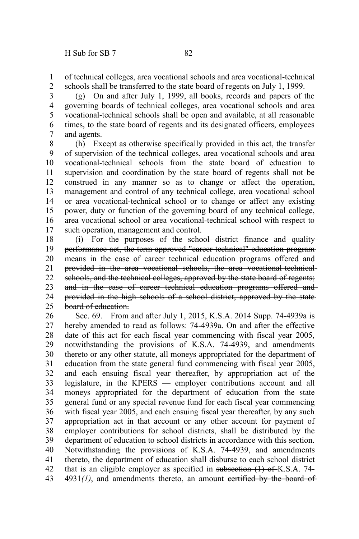of technical colleges, area vocational schools and area vocational-technical schools shall be transferred to the state board of regents on July 1, 1999. 1 2

(g) On and after July 1, 1999, all books, records and papers of the governing boards of technical colleges, area vocational schools and area vocational-technical schools shall be open and available, at all reasonable times, to the state board of regents and its designated officers, employees and agents. 3 4 5 6 7

(h) Except as otherwise specifically provided in this act, the transfer of supervision of the technical colleges, area vocational schools and area vocational-technical schools from the state board of education to supervision and coordination by the state board of regents shall not be construed in any manner so as to change or affect the operation, management and control of any technical college, area vocational school or area vocational-technical school or to change or affect any existing power, duty or function of the governing board of any technical college, area vocational school or area vocational-technical school with respect to such operation, management and control. 8 9 10 11 12 13 14 15 16 17

(i) For the purposes of the school district finance and quality performance act, the term approved "career technical" education program means in the case of career technical education programs offered and provided in the area vocational schools, the area vocational-technical schools, and the technical colleges, approved by the state board of regents; and in the case of career technical education programs offered and provided in the high schools of a school district, approved by the state board of education. 18 19 20 21 22 23 24 25

Sec. 69. From and after July 1, 2015, K.S.A. 2014 Supp. 74-4939a is hereby amended to read as follows: 74-4939a. On and after the effective date of this act for each fiscal year commencing with fiscal year 2005, notwithstanding the provisions of K.S.A. 74-4939, and amendments thereto or any other statute, all moneys appropriated for the department of education from the state general fund commencing with fiscal year 2005, and each ensuing fiscal year thereafter, by appropriation act of the legislature, in the KPERS — employer contributions account and all moneys appropriated for the department of education from the state general fund or any special revenue fund for each fiscal year commencing with fiscal year 2005, and each ensuing fiscal year thereafter, by any such appropriation act in that account or any other account for payment of employer contributions for school districts, shall be distributed by the department of education to school districts in accordance with this section. Notwithstanding the provisions of K.S.A. 74-4939, and amendments thereto, the department of education shall disburse to each school district that is an eligible employer as specified in subsection (1) of K.S.A. 74- $4931(1)$ , and amendments thereto, an amount eertified by the board of 26 27 28 29 30 31 32 33 34 35 36 37 38 39 40 41 42 43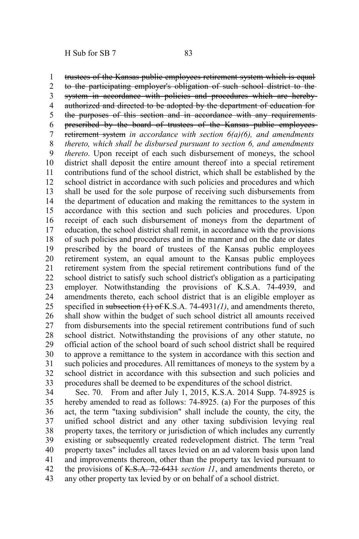trustees of the Kansas public employees retirement system which is equal to the participating employer's obligation of such school district to the system in accordance with policies and procedures which are herebyauthorized and directed to be adopted by the department of education for the purposes of this section and in accordance with any requirements prescribed by the board of trustees of the Kansas public employees retirement system *in accordance with section 6(a)(6), and amendments thereto, which shall be disbursed pursuant to section 6, and amendments thereto*. Upon receipt of each such disbursement of moneys, the school district shall deposit the entire amount thereof into a special retirement contributions fund of the school district, which shall be established by the school district in accordance with such policies and procedures and which shall be used for the sole purpose of receiving such disbursements from the department of education and making the remittances to the system in accordance with this section and such policies and procedures. Upon receipt of each such disbursement of moneys from the department of education, the school district shall remit, in accordance with the provisions of such policies and procedures and in the manner and on the date or dates prescribed by the board of trustees of the Kansas public employees retirement system, an equal amount to the Kansas public employees retirement system from the special retirement contributions fund of the school district to satisfy such school district's obligation as a participating employer. Notwithstanding the provisions of K.S.A. 74-4939, and amendments thereto, each school district that is an eligible employer as specified in subsection (1) of K.S.A. 74-4931*(1)*, and amendments thereto, shall show within the budget of such school district all amounts received from disbursements into the special retirement contributions fund of such school district. Notwithstanding the provisions of any other statute, no official action of the school board of such school district shall be required to approve a remittance to the system in accordance with this section and such policies and procedures. All remittances of moneys to the system by a school district in accordance with this subsection and such policies and procedures shall be deemed to be expenditures of the school district. 1 2 3 4 5 6 7 8 9 10 11 12 13 14 15 16 17 18 19 20 21 22 23 24 25 26 27 28 29 30 31 32 33

Sec. 70. From and after July 1, 2015, K.S.A. 2014 Supp. 74-8925 is hereby amended to read as follows: 74-8925. (a) For the purposes of this act, the term "taxing subdivision" shall include the county, the city, the unified school district and any other taxing subdivision levying real property taxes, the territory or jurisdiction of which includes any currently existing or subsequently created redevelopment district. The term "real property taxes" includes all taxes levied on an ad valorem basis upon land and improvements thereon, other than the property tax levied pursuant to the provisions of K.S.A. 72-6431 *section 11*, and amendments thereto, or any other property tax levied by or on behalf of a school district. 34 35 36 37 38 39 40 41 42 43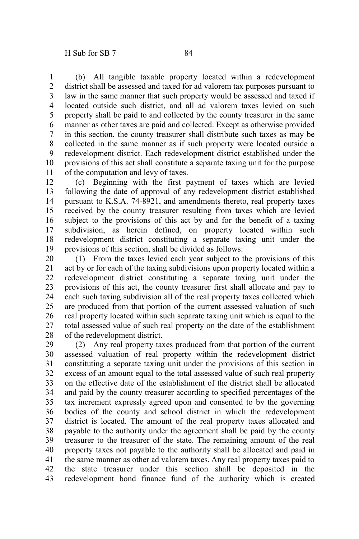(b) All tangible taxable property located within a redevelopment district shall be assessed and taxed for ad valorem tax purposes pursuant to law in the same manner that such property would be assessed and taxed if located outside such district, and all ad valorem taxes levied on such property shall be paid to and collected by the county treasurer in the same manner as other taxes are paid and collected. Except as otherwise provided in this section, the county treasurer shall distribute such taxes as may be

collected in the same manner as if such property were located outside a redevelopment district. Each redevelopment district established under the provisions of this act shall constitute a separate taxing unit for the purpose of the computation and levy of taxes. 8 9 10 11

(c) Beginning with the first payment of taxes which are levied following the date of approval of any redevelopment district established pursuant to K.S.A. 74-8921, and amendments thereto, real property taxes received by the county treasurer resulting from taxes which are levied subject to the provisions of this act by and for the benefit of a taxing subdivision, as herein defined, on property located within such redevelopment district constituting a separate taxing unit under the provisions of this section, shall be divided as follows: 12 13 14 15 16 17 18 19

(1) From the taxes levied each year subject to the provisions of this act by or for each of the taxing subdivisions upon property located within a redevelopment district constituting a separate taxing unit under the provisions of this act, the county treasurer first shall allocate and pay to each such taxing subdivision all of the real property taxes collected which are produced from that portion of the current assessed valuation of such real property located within such separate taxing unit which is equal to the total assessed value of such real property on the date of the establishment of the redevelopment district. 20 21 22 23 24 25 26 27 28

(2) Any real property taxes produced from that portion of the current assessed valuation of real property within the redevelopment district constituting a separate taxing unit under the provisions of this section in excess of an amount equal to the total assessed value of such real property on the effective date of the establishment of the district shall be allocated and paid by the county treasurer according to specified percentages of the tax increment expressly agreed upon and consented to by the governing bodies of the county and school district in which the redevelopment district is located. The amount of the real property taxes allocated and payable to the authority under the agreement shall be paid by the county treasurer to the treasurer of the state. The remaining amount of the real property taxes not payable to the authority shall be allocated and paid in the same manner as other ad valorem taxes. Any real property taxes paid to the state treasurer under this section shall be deposited in the redevelopment bond finance fund of the authority which is created 29 30 31 32 33 34 35 36 37 38 39 40 41 42 43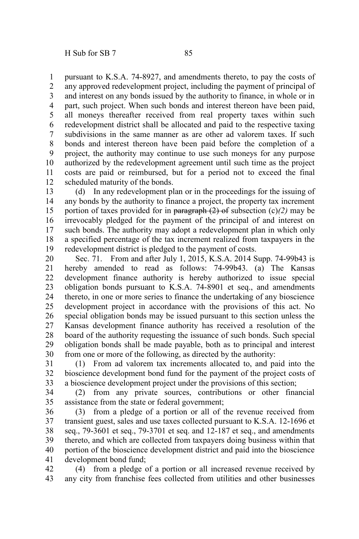pursuant to K.S.A. 74-8927, and amendments thereto, to pay the costs of any approved redevelopment project, including the payment of principal of and interest on any bonds issued by the authority to finance, in whole or in part, such project. When such bonds and interest thereon have been paid, all moneys thereafter received from real property taxes within such redevelopment district shall be allocated and paid to the respective taxing subdivisions in the same manner as are other ad valorem taxes. If such bonds and interest thereon have been paid before the completion of a project, the authority may continue to use such moneys for any purpose authorized by the redevelopment agreement until such time as the project costs are paid or reimbursed, but for a period not to exceed the final scheduled maturity of the bonds. 1 2 3 4 5 6 7 8 9 10 11 12

(d) In any redevelopment plan or in the proceedings for the issuing of any bonds by the authority to finance a project, the property tax increment portion of taxes provided for in paragraph (2) of subsection (c)*(2)* may be irrevocably pledged for the payment of the principal of and interest on such bonds. The authority may adopt a redevelopment plan in which only a specified percentage of the tax increment realized from taxpayers in the redevelopment district is pledged to the payment of costs. 13 14 15 16 17 18 19

Sec. 71. From and after July 1, 2015, K.S.A. 2014 Supp. 74-99b43 is hereby amended to read as follows: 74-99b43. (a) The Kansas development finance authority is hereby authorized to issue special obligation bonds pursuant to K.S.A. 74-8901 et seq., and amendments thereto, in one or more series to finance the undertaking of any bioscience development project in accordance with the provisions of this act. No special obligation bonds may be issued pursuant to this section unless the Kansas development finance authority has received a resolution of the board of the authority requesting the issuance of such bonds. Such special obligation bonds shall be made payable, both as to principal and interest from one or more of the following, as directed by the authority: 20 21 22 23 24 25 26 27 28 29 30

(1) From ad valorem tax increments allocated to, and paid into the bioscience development bond fund for the payment of the project costs of a bioscience development project under the provisions of this section; 31 32 33

(2) from any private sources, contributions or other financial assistance from the state or federal government; 34 35

(3) from a pledge of a portion or all of the revenue received from transient guest, sales and use taxes collected pursuant to K.S.A. 12-1696 et seq., 79-3601 et seq., 79-3701 et seq. and 12-187 et seq., and amendments thereto, and which are collected from taxpayers doing business within that portion of the bioscience development district and paid into the bioscience development bond fund; 36 37 38 39 40 41

(4) from a pledge of a portion or all increased revenue received by any city from franchise fees collected from utilities and other businesses 42 43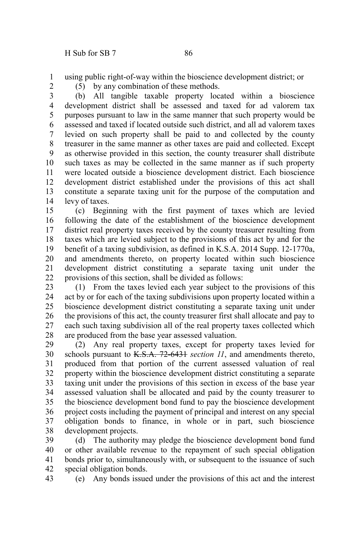using public right-of-way within the bioscience development district; or 1

2

(5) by any combination of these methods.

(b) All tangible taxable property located within a bioscience development district shall be assessed and taxed for ad valorem tax purposes pursuant to law in the same manner that such property would be assessed and taxed if located outside such district, and all ad valorem taxes levied on such property shall be paid to and collected by the county treasurer in the same manner as other taxes are paid and collected. Except as otherwise provided in this section, the county treasurer shall distribute such taxes as may be collected in the same manner as if such property were located outside a bioscience development district. Each bioscience development district established under the provisions of this act shall constitute a separate taxing unit for the purpose of the computation and levy of taxes. 3 4 5 6 7 8 9 10 11 12 13 14

(c) Beginning with the first payment of taxes which are levied following the date of the establishment of the bioscience development district real property taxes received by the county treasurer resulting from taxes which are levied subject to the provisions of this act by and for the benefit of a taxing subdivision, as defined in K.S.A. 2014 Supp. 12-1770a, and amendments thereto, on property located within such bioscience development district constituting a separate taxing unit under the provisions of this section, shall be divided as follows: 15 16 17 18 19 20 21 22

(1) From the taxes levied each year subject to the provisions of this act by or for each of the taxing subdivisions upon property located within a bioscience development district constituting a separate taxing unit under the provisions of this act, the county treasurer first shall allocate and pay to each such taxing subdivision all of the real property taxes collected which are produced from the base year assessed valuation. 23 24 25 26 27 28

(2) Any real property taxes, except for property taxes levied for schools pursuant to K.S.A. 72-6431 *section 11*, and amendments thereto, produced from that portion of the current assessed valuation of real property within the bioscience development district constituting a separate taxing unit under the provisions of this section in excess of the base year assessed valuation shall be allocated and paid by the county treasurer to the bioscience development bond fund to pay the bioscience development project costs including the payment of principal and interest on any special obligation bonds to finance, in whole or in part, such bioscience development projects. 29 30 31 32 33 34 35 36 37 38

(d) The authority may pledge the bioscience development bond fund or other available revenue to the repayment of such special obligation bonds prior to, simultaneously with, or subsequent to the issuance of such special obligation bonds. 39 40 41 42

(e) Any bonds issued under the provisions of this act and the interest 43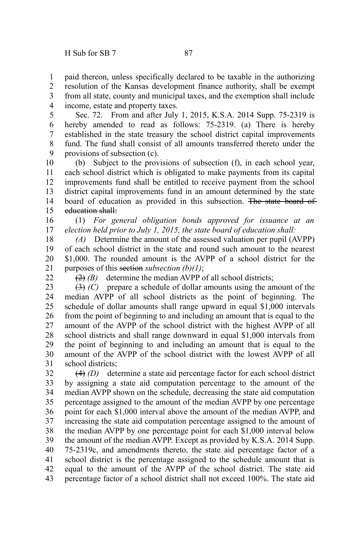paid thereon, unless specifically declared to be taxable in the authorizing resolution of the Kansas development finance authority, shall be exempt 1 2

from all state, county and municipal taxes, and the exemption shall include income, estate and property taxes. 3 4

Sec. 72. From and after July 1, 2015, K.S.A. 2014 Supp. 75-2319 is hereby amended to read as follows: 75-2319. (a) There is hereby established in the state treasury the school district capital improvements fund. The fund shall consist of all amounts transferred thereto under the provisions of subsection (c). 5 6 7 8 9

(b) Subject to the provisions of subsection (f), in each school year, each school district which is obligated to make payments from its capital improvements fund shall be entitled to receive payment from the school district capital improvements fund in an amount determined by the state board of education as provided in this subsection. The state board of education shall: 10 11 12 13 14 15

(1) *For general obligation bonds approved for issuance at an election held prior to July 1, 2015, the state board of education shall:* 16 17

*(A)* Determine the amount of the assessed valuation per pupil (AVPP) of each school district in the state and round such amount to the nearest \$1,000. The rounded amount is the AVPP of a school district for the purposes of this section *subsection (b)(1)*; 18 19 20 21

 $22$ 

(2) *(B)* determine the median AVPP of all school districts;

(3) *(C)* prepare a schedule of dollar amounts using the amount of the median AVPP of all school districts as the point of beginning. The schedule of dollar amounts shall range upward in equal \$1,000 intervals from the point of beginning to and including an amount that is equal to the amount of the AVPP of the school district with the highest AVPP of all school districts and shall range downward in equal \$1,000 intervals from the point of beginning to and including an amount that is equal to the amount of the AVPP of the school district with the lowest AVPP of all school districts: 23 24 25 26 27 28 29 30 31

(4) *(D)* determine a state aid percentage factor for each school district by assigning a state aid computation percentage to the amount of the median AVPP shown on the schedule, decreasing the state aid computation percentage assigned to the amount of the median AVPP by one percentage point for each \$1,000 interval above the amount of the median AVPP, and increasing the state aid computation percentage assigned to the amount of the median AVPP by one percentage point for each \$1,000 interval below the amount of the median AVPP. Except as provided by K.S.A. 2014 Supp. 75-2319c, and amendments thereto, the state aid percentage factor of a school district is the percentage assigned to the schedule amount that is equal to the amount of the AVPP of the school district. The state aid percentage factor of a school district shall not exceed 100%. The state aid 32 33 34 35 36 37 38 39 40 41 42 43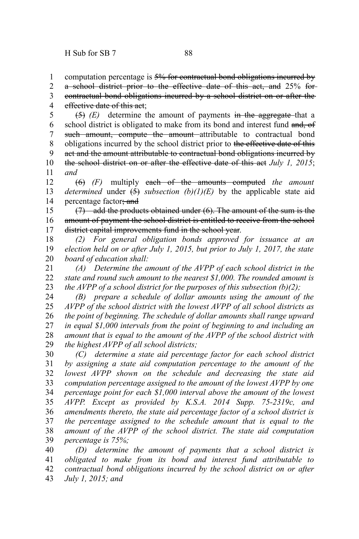computation percentage is 5% for contractual bond obligations incurred by 1

a school district prior to the effective date of this act, and 25% for 2

contractual bond obligations incurred by a school district on or after the effective date of this act; 3 4

(5) *(E)* determine the amount of payments in the aggregate that a school district is obligated to make from its bond and interest fund and, of such amount, compute the amount attributable to contractual bond obligations incurred by the school district prior to the effective date of this act and the amount attributable to contractual bond obligations incurred by the school district on or after the effective date of this act *July 1, 2015*; *and* 5 6 7 8 9 10 11

(6) *(F)* multiply each of the amounts computed *the amount determined* under  $\left(\frac{5}{2}\right)$  *subsection*  $(b)(1)(E)$  by the applicable state aid percentage factor; and 12 13 14

(7) add the products obtained under (6). The amount of the sum is the amount of payment the school district is entitled to receive from the school district capital improvements fund in the school year. 15 16 17

*(2) For general obligation bonds approved for issuance at an election held on or after July 1, 2015, but prior to July 1, 2017, the state board of education shall:* 18 19 20

*(A) Determine the amount of the AVPP of each school district in the state and round such amount to the nearest \$1,000. The rounded amount is the AVPP of a school district for the purposes of this subsection (b)(2);* 21 22 23

*(B) prepare a schedule of dollar amounts using the amount of the AVPP of the school district with the lowest AVPP of all school districts as the point of beginning. The schedule of dollar amounts shall range upward in equal \$1,000 intervals from the point of beginning to and including an amount that is equal to the amount of the AVPP of the school district with the highest AVPP of all school districts;* 24 25 26 27 28 29

*(C) determine a state aid percentage factor for each school district by assigning a state aid computation percentage to the amount of the lowest AVPP shown on the schedule and decreasing the state aid computation percentage assigned to the amount of the lowest AVPP by one percentage point for each \$1,000 interval above the amount of the lowest AVPP. Except as provided by K.S.A. 2014 Supp. 75-2319c, and amendments thereto, the state aid percentage factor of a school district is the percentage assigned to the schedule amount that is equal to the amount of the AVPP of the school district. The state aid computation percentage is 75%;* 30 31 32 33 34 35 36 37 38 39

*(D) determine the amount of payments that a school district is obligated to make from its bond and interest fund attributable to contractual bond obligations incurred by the school district on or after July 1, 2015; and* 40 41 42 43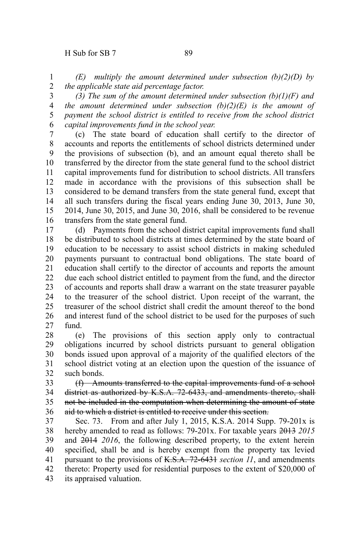*(E) multiply the amount determined under subsection (b)(2)(D) by the applicable state aid percentage factor.* 1 2

3

*(3) The sum of the amount determined under subsection (b)(1)(F) and the amount determined under subsection (b)(2)(E) is the amount of payment the school district is entitled to receive from the school district capital improvements fund in the school year.* 4 5 6

(c) The state board of education shall certify to the director of accounts and reports the entitlements of school districts determined under the provisions of subsection (b), and an amount equal thereto shall be transferred by the director from the state general fund to the school district capital improvements fund for distribution to school districts. All transfers made in accordance with the provisions of this subsection shall be considered to be demand transfers from the state general fund, except that all such transfers during the fiscal years ending June 30, 2013, June 30, 2014, June 30, 2015, and June 30, 2016, shall be considered to be revenue transfers from the state general fund. 7 8 9 10 11 12 13 14 15 16

(d) Payments from the school district capital improvements fund shall be distributed to school districts at times determined by the state board of education to be necessary to assist school districts in making scheduled payments pursuant to contractual bond obligations. The state board of education shall certify to the director of accounts and reports the amount due each school district entitled to payment from the fund, and the director of accounts and reports shall draw a warrant on the state treasurer payable to the treasurer of the school district. Upon receipt of the warrant, the treasurer of the school district shall credit the amount thereof to the bond and interest fund of the school district to be used for the purposes of such fund. 17 18 19 20 21 22 23 24 25 26 27

(e) The provisions of this section apply only to contractual obligations incurred by school districts pursuant to general obligation bonds issued upon approval of a majority of the qualified electors of the school district voting at an election upon the question of the issuance of such bonds. 28 29 30 31 32

(f) Amounts transferred to the capital improvements fund of a school district as authorized by K.S.A. 72-6433, and amendments thereto, shall not be included in the computation when determining the amount of state aid to which a district is entitled to receive under this section. 33 34 35 36

Sec. 73. From and after July 1, 2015, K.S.A. 2014 Supp. 79-201x is hereby amended to read as follows: 79-201x. For taxable years 2013 *2015* and 2014 *2016*, the following described property, to the extent herein specified, shall be and is hereby exempt from the property tax levied pursuant to the provisions of K.S.A. 72-6431 *section 11*, and amendments thereto: Property used for residential purposes to the extent of \$20,000 of its appraised valuation. 37 38 39 40 41 42 43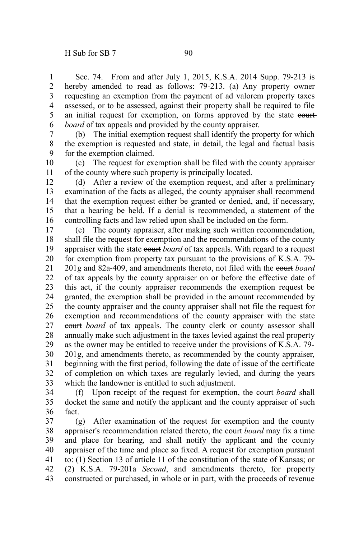Sec. 74. From and after July 1, 2015, K.S.A. 2014 Supp. 79-213 is hereby amended to read as follows: 79-213. (a) Any property owner requesting an exemption from the payment of ad valorem property taxes assessed, or to be assessed, against their property shall be required to file an initial request for exemption, on forms approved by the state court *board* of tax appeals and provided by the county appraiser. 1 2 3 4 5 6

(b) The initial exemption request shall identify the property for which the exemption is requested and state, in detail, the legal and factual basis for the exemption claimed. 7 8 9

(c) The request for exemption shall be filed with the county appraiser of the county where such property is principally located. 10 11

(d) After a review of the exemption request, and after a preliminary examination of the facts as alleged, the county appraiser shall recommend that the exemption request either be granted or denied, and, if necessary, that a hearing be held. If a denial is recommended, a statement of the controlling facts and law relied upon shall be included on the form. 12 13 14 15 16

(e) The county appraiser, after making such written recommendation, shall file the request for exemption and the recommendations of the county appraiser with the state courth *board* of tax appeals. With regard to a request for exemption from property tax pursuant to the provisions of K.S.A. 79- 201g and 82a-409, and amendments thereto, not filed with the court *board* of tax appeals by the county appraiser on or before the effective date of this act, if the county appraiser recommends the exemption request be granted, the exemption shall be provided in the amount recommended by the county appraiser and the county appraiser shall not file the request for exemption and recommendations of the county appraiser with the state court *board* of tax appeals. The county clerk or county assessor shall annually make such adjustment in the taxes levied against the real property as the owner may be entitled to receive under the provisions of K.S.A. 79- 201g, and amendments thereto, as recommended by the county appraiser, beginning with the first period, following the date of issue of the certificate of completion on which taxes are regularly levied, and during the years which the landowner is entitled to such adjustment. 17 18 19 20 21 22 23 24 25 26 27 28 29 30 31 32 33

(f) Upon receipt of the request for exemption, the court *board* shall docket the same and notify the applicant and the county appraiser of such fact. 34 35 36

(g) After examination of the request for exemption and the county appraiser's recommendation related thereto, the court *board* may fix a time and place for hearing, and shall notify the applicant and the county appraiser of the time and place so fixed. A request for exemption pursuant to: (1) Section 13 of article 11 of the constitution of the state of Kansas; or (2) K.S.A. 79-201a *Second*, and amendments thereto, for property constructed or purchased, in whole or in part, with the proceeds of revenue 37 38 39 40 41 42 43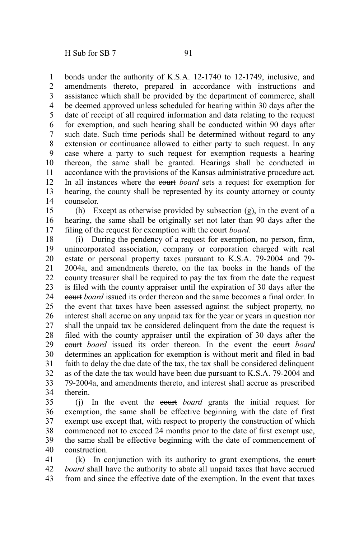bonds under the authority of K.S.A. 12-1740 to 12-1749, inclusive, and amendments thereto, prepared in accordance with instructions and assistance which shall be provided by the department of commerce, shall be deemed approved unless scheduled for hearing within 30 days after the date of receipt of all required information and data relating to the request for exemption, and such hearing shall be conducted within 90 days after such date. Such time periods shall be determined without regard to any extension or continuance allowed to either party to such request. In any case where a party to such request for exemption requests a hearing thereon, the same shall be granted. Hearings shall be conducted in accordance with the provisions of the Kansas administrative procedure act. In all instances where the court *board* sets a request for exemption for hearing, the county shall be represented by its county attorney or county counselor. 1 2 3 4 5 6 7 8 9 10 11 12 13 14

(h) Except as otherwise provided by subsection (g), in the event of a hearing, the same shall be originally set not later than 90 days after the filing of the request for exemption with the court *board*. 15 16 17

(i) During the pendency of a request for exemption, no person, firm, unincorporated association, company or corporation charged with real estate or personal property taxes pursuant to K.S.A. 79-2004 and 79- 2004a, and amendments thereto, on the tax books in the hands of the county treasurer shall be required to pay the tax from the date the request is filed with the county appraiser until the expiration of 30 days after the court *board* issued its order thereon and the same becomes a final order. In the event that taxes have been assessed against the subject property, no interest shall accrue on any unpaid tax for the year or years in question nor shall the unpaid tax be considered delinquent from the date the request is filed with the county appraiser until the expiration of 30 days after the court *board* issued its order thereon. In the event the court *board* determines an application for exemption is without merit and filed in bad faith to delay the due date of the tax, the tax shall be considered delinquent as of the date the tax would have been due pursuant to K.S.A. 79-2004 and 79-2004a, and amendments thereto, and interest shall accrue as prescribed therein. 18 19 20 21 22 23 24 25 26 27 28 29 30 31 32 33 34

(j) In the event the court *board* grants the initial request for exemption, the same shall be effective beginning with the date of first exempt use except that, with respect to property the construction of which commenced not to exceed 24 months prior to the date of first exempt use, the same shall be effective beginning with the date of commencement of construction. 35 36 37 38 39 40

 $(k)$  In conjunction with its authority to grant exemptions, the eourt *board* shall have the authority to abate all unpaid taxes that have accrued from and since the effective date of the exemption. In the event that taxes 41 42 43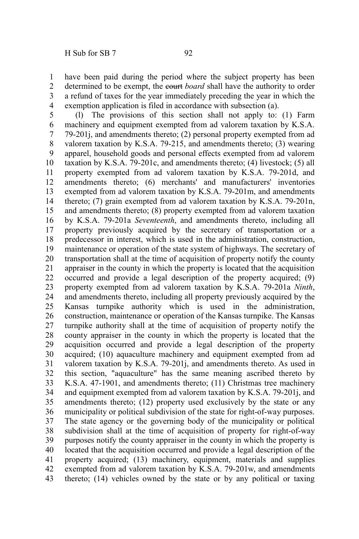have been paid during the period where the subject property has been determined to be exempt, the court *board* shall have the authority to order a refund of taxes for the year immediately preceding the year in which the exemption application is filed in accordance with subsection (a). 1 2 3 4

(l) The provisions of this section shall not apply to: (1) Farm machinery and equipment exempted from ad valorem taxation by K.S.A. 79-201j, and amendments thereto; (2) personal property exempted from ad valorem taxation by K.S.A. 79-215, and amendments thereto; (3) wearing apparel, household goods and personal effects exempted from ad valorem taxation by K.S.A. 79-201c, and amendments thereto; (4) livestock; (5) all property exempted from ad valorem taxation by K.S.A. 79-201d, and amendments thereto; (6) merchants' and manufacturers' inventories exempted from ad valorem taxation by K.S.A. 79-201m, and amendments thereto; (7) grain exempted from ad valorem taxation by K.S.A. 79-201n, and amendments thereto; (8) property exempted from ad valorem taxation by K.S.A. 79-201a *Seventeenth*, and amendments thereto, including all property previously acquired by the secretary of transportation or a predecessor in interest, which is used in the administration, construction, maintenance or operation of the state system of highways. The secretary of transportation shall at the time of acquisition of property notify the county appraiser in the county in which the property is located that the acquisition occurred and provide a legal description of the property acquired; (9) property exempted from ad valorem taxation by K.S.A. 79-201a *Ninth*, and amendments thereto, including all property previously acquired by the Kansas turnpike authority which is used in the administration, construction, maintenance or operation of the Kansas turnpike. The Kansas turnpike authority shall at the time of acquisition of property notify the county appraiser in the county in which the property is located that the acquisition occurred and provide a legal description of the property acquired; (10) aquaculture machinery and equipment exempted from ad valorem taxation by K.S.A. 79-201j, and amendments thereto. As used in this section, "aquaculture" has the same meaning ascribed thereto by K.S.A. 47-1901, and amendments thereto; (11) Christmas tree machinery and equipment exempted from ad valorem taxation by K.S.A. 79-201j, and amendments thereto; (12) property used exclusively by the state or any municipality or political subdivision of the state for right-of-way purposes. The state agency or the governing body of the municipality or political subdivision shall at the time of acquisition of property for right-of-way purposes notify the county appraiser in the county in which the property is located that the acquisition occurred and provide a legal description of the property acquired; (13) machinery, equipment, materials and supplies exempted from ad valorem taxation by K.S.A. 79-201w, and amendments thereto; (14) vehicles owned by the state or by any political or taxing 5 6 7 8 9 10 11 12 13 14 15 16 17 18 19 20 21 22 23 24 25 26 27 28 29 30 31 32 33 34 35 36 37 38 39 40 41 42 43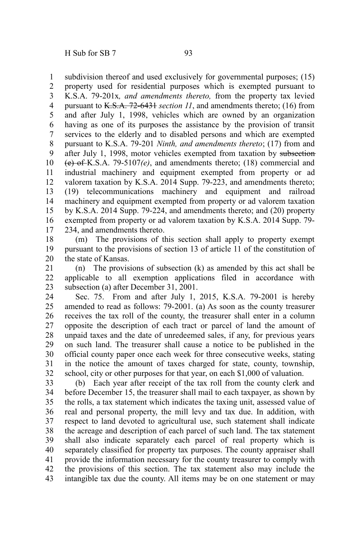subdivision thereof and used exclusively for governmental purposes; (15) property used for residential purposes which is exempted pursuant to K.S.A. 79-201x*, and amendments thereto,* from the property tax levied pursuant to K.S.A. 72-6431 *section 11*, and amendments thereto; (16) from and after July 1, 1998, vehicles which are owned by an organization having as one of its purposes the assistance by the provision of transit services to the elderly and to disabled persons and which are exempted pursuant to K.S.A. 79-201 *Ninth, and amendments thereto*; (17) from and after July 1, 1998, motor vehicles exempted from taxation by subsection-(e) of K.S.A. 79-5107*(e)*, and amendments thereto; (18) commercial and industrial machinery and equipment exempted from property or ad valorem taxation by K.S.A. 2014 Supp. 79-223, and amendments thereto; (19) telecommunications machinery and equipment and railroad machinery and equipment exempted from property or ad valorem taxation by K.S.A. 2014 Supp. 79-224, and amendments thereto; and (20) property exempted from property or ad valorem taxation by K.S.A. 2014 Supp. 79- 234, and amendments thereto. 1 2 3 4 5 6 7 8 9 10 11 12 13 14 15 16 17

(m) The provisions of this section shall apply to property exempt pursuant to the provisions of section 13 of article 11 of the constitution of the state of Kansas. 18 19 20

(n) The provisions of subsection (k) as amended by this act shall be applicable to all exemption applications filed in accordance with subsection (a) after December 31, 2001. 21 22 23

Sec. 75. From and after July 1, 2015, K.S.A. 79-2001 is hereby amended to read as follows: 79-2001. (a) As soon as the county treasurer receives the tax roll of the county, the treasurer shall enter in a column opposite the description of each tract or parcel of land the amount of unpaid taxes and the date of unredeemed sales, if any, for previous years on such land. The treasurer shall cause a notice to be published in the official county paper once each week for three consecutive weeks, stating in the notice the amount of taxes charged for state, county, township, school, city or other purposes for that year, on each \$1,000 of valuation. 24 25 26 27 28 29 30 31 32

(b) Each year after receipt of the tax roll from the county clerk and before December 15, the treasurer shall mail to each taxpayer, as shown by the rolls, a tax statement which indicates the taxing unit, assessed value of real and personal property, the mill levy and tax due. In addition, with respect to land devoted to agricultural use, such statement shall indicate the acreage and description of each parcel of such land. The tax statement shall also indicate separately each parcel of real property which is separately classified for property tax purposes. The county appraiser shall provide the information necessary for the county treasurer to comply with the provisions of this section. The tax statement also may include the intangible tax due the county. All items may be on one statement or may 33 34 35 36 37 38 39 40 41 42 43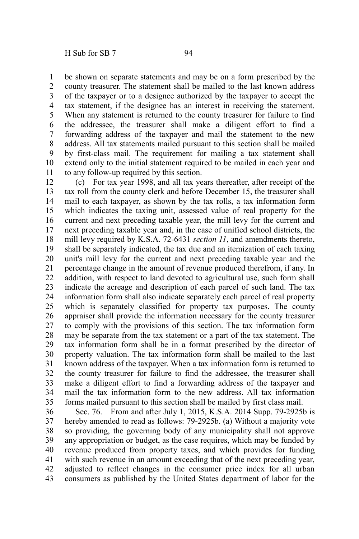be shown on separate statements and may be on a form prescribed by the county treasurer. The statement shall be mailed to the last known address of the taxpayer or to a designee authorized by the taxpayer to accept the tax statement, if the designee has an interest in receiving the statement. When any statement is returned to the county treasurer for failure to find the addressee, the treasurer shall make a diligent effort to find a forwarding address of the taxpayer and mail the statement to the new address. All tax statements mailed pursuant to this section shall be mailed by first-class mail. The requirement for mailing a tax statement shall extend only to the initial statement required to be mailed in each year and to any follow-up required by this section. 1 2 3 4 5 6 7 8 9 10 11

(c) For tax year 1998, and all tax years thereafter, after receipt of the tax roll from the county clerk and before December 15, the treasurer shall mail to each taxpayer, as shown by the tax rolls, a tax information form which indicates the taxing unit, assessed value of real property for the current and next preceding taxable year, the mill levy for the current and next preceding taxable year and, in the case of unified school districts, the mill levy required by K.S.A. 72-6431 *section 11*, and amendments thereto, shall be separately indicated, the tax due and an itemization of each taxing unit's mill levy for the current and next preceding taxable year and the percentage change in the amount of revenue produced therefrom, if any. In addition, with respect to land devoted to agricultural use, such form shall indicate the acreage and description of each parcel of such land. The tax information form shall also indicate separately each parcel of real property which is separately classified for property tax purposes. The county appraiser shall provide the information necessary for the county treasurer to comply with the provisions of this section. The tax information form may be separate from the tax statement or a part of the tax statement. The tax information form shall be in a format prescribed by the director of property valuation. The tax information form shall be mailed to the last known address of the taxpayer. When a tax information form is returned to the county treasurer for failure to find the addressee, the treasurer shall make a diligent effort to find a forwarding address of the taxpayer and mail the tax information form to the new address. All tax information forms mailed pursuant to this section shall be mailed by first class mail. 12 13 14 15 16 17 18 19 20 21 22 23 24 25 26 27 28 29 30 31 32 33 34 35

Sec. 76. From and after July 1, 2015, K.S.A. 2014 Supp. 79-2925b is hereby amended to read as follows: 79-2925b. (a) Without a majority vote so providing, the governing body of any municipality shall not approve any appropriation or budget, as the case requires, which may be funded by revenue produced from property taxes, and which provides for funding with such revenue in an amount exceeding that of the next preceding year, adjusted to reflect changes in the consumer price index for all urban consumers as published by the United States department of labor for the 36 37 38 39 40 41 42 43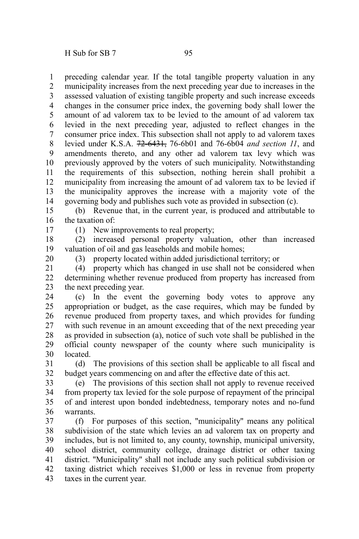preceding calendar year. If the total tangible property valuation in any municipality increases from the next preceding year due to increases in the assessed valuation of existing tangible property and such increase exceeds changes in the consumer price index, the governing body shall lower the amount of ad valorem tax to be levied to the amount of ad valorem tax levied in the next preceding year, adjusted to reflect changes in the consumer price index. This subsection shall not apply to ad valorem taxes levied under K.S.A. 72-6431, 76-6b01 and 76-6b04 *and section 11*, and amendments thereto, and any other ad valorem tax levy which was previously approved by the voters of such municipality. Notwithstanding the requirements of this subsection, nothing herein shall prohibit a municipality from increasing the amount of ad valorem tax to be levied if the municipality approves the increase with a majority vote of the governing body and publishes such vote as provided in subsection (c). 1 2 3 4 5 6 7 8 9 10 11 12 13 14

(b) Revenue that, in the current year, is produced and attributable to the taxation of: 15 16

17

20

(1) New improvements to real property;

(2) increased personal property valuation, other than increased valuation of oil and gas leaseholds and mobile homes; 18 19

(3) property located within added jurisdictional territory; or

(4) property which has changed in use shall not be considered when determining whether revenue produced from property has increased from the next preceding year. 21 22 23

(c) In the event the governing body votes to approve any appropriation or budget, as the case requires, which may be funded by revenue produced from property taxes, and which provides for funding with such revenue in an amount exceeding that of the next preceding year as provided in subsection (a), notice of such vote shall be published in the official county newspaper of the county where such municipality is **located** 24 25 26 27 28 29 30

(d) The provisions of this section shall be applicable to all fiscal and budget years commencing on and after the effective date of this act. 31 32

(e) The provisions of this section shall not apply to revenue received from property tax levied for the sole purpose of repayment of the principal of and interest upon bonded indebtedness, temporary notes and no-fund warrants. 33 34 35 36

(f) For purposes of this section, "municipality" means any political subdivision of the state which levies an ad valorem tax on property and includes, but is not limited to, any county, township, municipal university, school district, community college, drainage district or other taxing district. "Municipality" shall not include any such political subdivision or taxing district which receives \$1,000 or less in revenue from property taxes in the current year. 37 38 39 40 41 42 43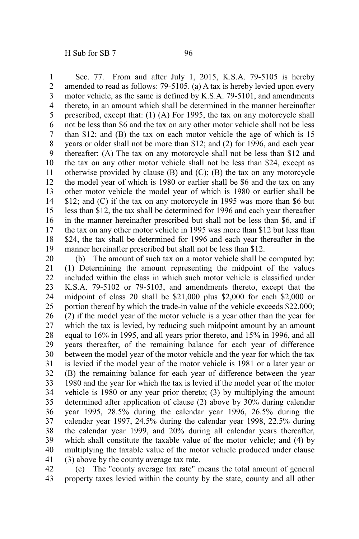Sec. 77. From and after July 1, 2015, K.S.A. 79-5105 is hereby amended to read as follows: 79-5105. (a) A tax is hereby levied upon every motor vehicle, as the same is defined by K.S.A. 79-5101, and amendments thereto, in an amount which shall be determined in the manner hereinafter prescribed, except that: (1) (A) For 1995, the tax on any motorcycle shall not be less than \$6 and the tax on any other motor vehicle shall not be less than \$12; and (B) the tax on each motor vehicle the age of which is 15 years or older shall not be more than \$12; and (2) for 1996, and each year thereafter: (A) The tax on any motorcycle shall not be less than \$12 and the tax on any other motor vehicle shall not be less than \$24, except as otherwise provided by clause  $(B)$  and  $(C)$ ;  $(B)$  the tax on any motorcycle the model year of which is 1980 or earlier shall be \$6 and the tax on any other motor vehicle the model year of which is 1980 or earlier shall be \$12; and (C) if the tax on any motorcycle in 1995 was more than \$6 but less than \$12, the tax shall be determined for 1996 and each year thereafter in the manner hereinafter prescribed but shall not be less than \$6, and if the tax on any other motor vehicle in 1995 was more than \$12 but less than \$24, the tax shall be determined for 1996 and each year thereafter in the manner hereinafter prescribed but shall not be less than \$12. 1 2 3 4 5 6 7 8 9 10 11 12 13 14 15 16 17 18 19

(b) The amount of such tax on a motor vehicle shall be computed by: (1) Determining the amount representing the midpoint of the values included within the class in which such motor vehicle is classified under K.S.A. 79-5102 or 79-5103, and amendments thereto, except that the midpoint of class 20 shall be \$21,000 plus \$2,000 for each \$2,000 or portion thereof by which the trade-in value of the vehicle exceeds \$22,000; (2) if the model year of the motor vehicle is a year other than the year for which the tax is levied, by reducing such midpoint amount by an amount equal to 16% in 1995, and all years prior thereto, and 15% in 1996, and all years thereafter, of the remaining balance for each year of difference between the model year of the motor vehicle and the year for which the tax is levied if the model year of the motor vehicle is 1981 or a later year or (B) the remaining balance for each year of difference between the year 1980 and the year for which the tax is levied if the model year of the motor vehicle is 1980 or any year prior thereto; (3) by multiplying the amount determined after application of clause (2) above by 30% during calendar year 1995, 28.5% during the calendar year 1996, 26.5% during the calendar year 1997, 24.5% during the calendar year 1998, 22.5% during the calendar year 1999, and 20% during all calendar years thereafter, which shall constitute the taxable value of the motor vehicle; and (4) by multiplying the taxable value of the motor vehicle produced under clause (3) above by the county average tax rate. 20 21 22 23 24 25 26 27 28 29 30 31 32 33 34 35 36 37 38 39 40 41

(c) The "county average tax rate" means the total amount of general property taxes levied within the county by the state, county and all other 42 43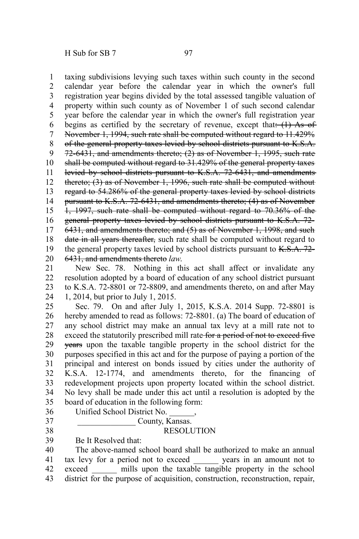taxing subdivisions levying such taxes within such county in the second calendar year before the calendar year in which the owner's full registration year begins divided by the total assessed tangible valuation of property within such county as of November 1 of such second calendar year before the calendar year in which the owner's full registration year begins as certified by the secretary of revenue, except that:  $(1)$  As of November 1, 1994, such rate shall be computed without regard to 11.429% of the general property taxes levied by school districts pursuant to K.S.A. 72-6431, and amendments thereto; (2) as of November 1, 1995, such rate shall be computed without regard to 31.429% of the general property taxes levied by school districts pursuant to K.S.A. 72-6431, and amendments thereto; (3) as of November 1, 1996, such rate shall be computed without regard to 54.286% of the general property taxes levied by school districts pursuant to K.S.A. 72-6431, and amendments thereto; (4) as of November 1, 1997, such rate shall be computed without regard to 70.36% of the general property taxes levied by school districts pursuant to K.S.A. 72- 6431, and amendments thereto; and (5) as of November 1, 1998, and such date in all years thereafter, such rate shall be computed without regard to the general property taxes levied by school districts pursuant to  $K.S.A. 72-$ 6431, and amendments thereto *law*. 1 2 3 4 5 6 7 8 9 10 11 12 13 14 15 16 17 18 19 20

New Sec. 78. Nothing in this act shall affect or invalidate any resolution adopted by a board of education of any school district pursuant to K.S.A. 72-8801 or 72-8809, and amendments thereto, on and after May 1, 2014, but prior to July 1, 2015. 21 22 23 24

Sec. 79. On and after July 1, 2015, K.S.A. 2014 Supp. 72-8801 is hereby amended to read as follows: 72-8801. (a) The board of education of any school district may make an annual tax levy at a mill rate not to exceed the statutorily prescribed mill rate for a period of not to exceed five years upon the taxable tangible property in the school district for the purposes specified in this act and for the purpose of paying a portion of the principal and interest on bonds issued by cities under the authority of K.S.A. 12-1774, and amendments thereto, for the financing of redevelopment projects upon property located within the school district. No levy shall be made under this act until a resolution is adopted by the board of education in the following form: 25 26 27 28 29 30 31 32 33 34 35

- Unified School District No. \_\_\_\_\_\_, 36
	- County, Kansas.

## RESOLUTION

Be It Resolved that: 39

37 38

The above-named school board shall be authorized to make an annual tax levy for a period not to exceed years in an amount not to exceed in mills upon the taxable tangible property in the school district for the purpose of acquisition, construction, reconstruction, repair, 40 41 42 43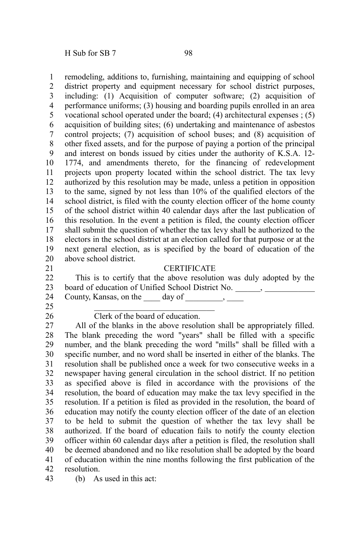H Sub for SB 7 98

remodeling, additions to, furnishing, maintaining and equipping of school district property and equipment necessary for school district purposes, including: (1) Acquisition of computer software; (2) acquisition of performance uniforms; (3) housing and boarding pupils enrolled in an area vocational school operated under the board; (4) architectural expenses ; (5) acquisition of building sites; (6) undertaking and maintenance of asbestos control projects; (7) acquisition of school buses; and (8) acquisition of other fixed assets, and for the purpose of paying a portion of the principal and interest on bonds issued by cities under the authority of K.S.A. 12- 1774, and amendments thereto, for the financing of redevelopment projects upon property located within the school district. The tax levy authorized by this resolution may be made, unless a petition in opposition to the same, signed by not less than 10% of the qualified electors of the school district, is filed with the county election officer of the home county of the school district within 40 calendar days after the last publication of this resolution. In the event a petition is filed, the county election officer shall submit the question of whether the tax levy shall be authorized to the electors in the school district at an election called for that purpose or at the next general election, as is specified by the board of education of the above school district. **CERTIFICATE** 1 2 3 4 5 6 7 8 9 10 11 12 13 14 15 16 17 18 19 20 21

- This is to certify that the above resolution was duly adopted by the board of education of Unified School District No. \_\_\_\_\_\_, \_\_\_\_\_\_\_\_\_\_\_\_ County, Kansas, on the  $\qquad \text{day of} \qquad \qquad$ 22 23 24
- 25

26

## Clerk of the board of education.

All of the blanks in the above resolution shall be appropriately filled. The blank preceding the word "years" shall be filled with a specific number, and the blank preceding the word "mills" shall be filled with a specific number, and no word shall be inserted in either of the blanks. The resolution shall be published once a week for two consecutive weeks in a newspaper having general circulation in the school district. If no petition as specified above is filed in accordance with the provisions of the resolution, the board of education may make the tax levy specified in the resolution. If a petition is filed as provided in the resolution, the board of education may notify the county election officer of the date of an election to be held to submit the question of whether the tax levy shall be authorized. If the board of education fails to notify the county election officer within 60 calendar days after a petition is filed, the resolution shall be deemed abandoned and no like resolution shall be adopted by the board of education within the nine months following the first publication of the resolution. 27 28 29 30 31 32 33 34 35 36 37 38 39 40 41 42

(b) As used in this act: 43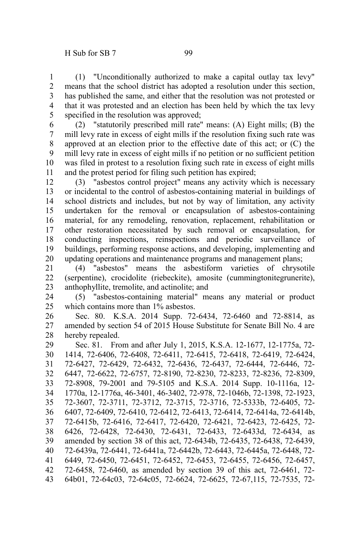(1) "Unconditionally authorized to make a capital outlay tax levy" means that the school district has adopted a resolution under this section, has published the same, and either that the resolution was not protested or that it was protested and an election has been held by which the tax levy specified in the resolution was approved; 1 2 3 4 5

(2) "statutorily prescribed mill rate" means: (A) Eight mills; (B) the mill levy rate in excess of eight mills if the resolution fixing such rate was approved at an election prior to the effective date of this act; or (C) the mill levy rate in excess of eight mills if no petition or no sufficient petition was filed in protest to a resolution fixing such rate in excess of eight mills and the protest period for filing such petition has expired; 6 7 8 9 10 11

(3) "asbestos control project" means any activity which is necessary or incidental to the control of asbestos-containing material in buildings of school districts and includes, but not by way of limitation, any activity undertaken for the removal or encapsulation of asbestos-containing material, for any remodeling, renovation, replacement, rehabilitation or other restoration necessitated by such removal or encapsulation, for conducting inspections, reinspections and periodic surveillance of buildings, performing response actions, and developing, implementing and updating operations and maintenance programs and management plans; 12 13 14 15 16 17 18 19 20

(4) "asbestos" means the asbestiform varieties of chrysotile (serpentine), crocidolite (riebeckite), amosite (cummingtonitegrunerite), anthophyllite, tremolite, and actinolite; and 21 22 23

(5) "asbestos-containing material" means any material or product which contains more than 1% asbestos. 24 25

Sec. 80. K.S.A. 2014 Supp. 72-6434, 72-6460 and 72-8814, as amended by section 54 of 2015 House Substitute for Senate Bill No. 4 are hereby repealed. 26 27 28

Sec. 81. From and after July 1, 2015, K.S.A. 12-1677, 12-1775a, 72- 1414, 72-6406, 72-6408, 72-6411, 72-6415, 72-6418, 72-6419, 72-6424, 72-6427, 72-6429, 72-6432, 72-6436, 72-6437, 72-6444, 72-6446, 72- 6447, 72-6622, 72-6757, 72-8190, 72-8230, 72-8233, 72-8236, 72-8309, 72-8908, 79-2001 and 79-5105 and K.S.A. 2014 Supp. 10-1116a, 12- 1770a, 12-1776a, 46-3401, 46-3402, 72-978, 72-1046b, 72-1398, 72-1923, 72-3607, 72-3711, 72-3712, 72-3715, 72-3716, 72-5333b, 72-6405, 72- 6407, 72-6409, 72-6410, 72-6412, 72-6413, 72-6414, 72-6414a, 72-6414b, 72-6415b, 72-6416, 72-6417, 72-6420, 72-6421, 72-6423, 72-6425, 72- 6426, 72-6428, 72-6430, 72-6431, 72-6433, 72-6433d, 72-6434, as amended by section 38 of this act, 72-6434b, 72-6435, 72-6438, 72-6439, 72-6439a, 72-6441, 72-6441a, 72-6442b, 72-6443, 72-6445a, 72-6448, 72- 6449, 72-6450, 72-6451, 72-6452, 72-6453, 72-6455, 72-6456, 72-6457, 72-6458, 72-6460, as amended by section 39 of this act, 72-6461, 72- 64b01, 72-64c03, 72-64c05, 72-6624, 72-6625, 72-67,115, 72-7535, 72- 29 30 31 32 33 34 35 36 37 38 39 40 41 42 43